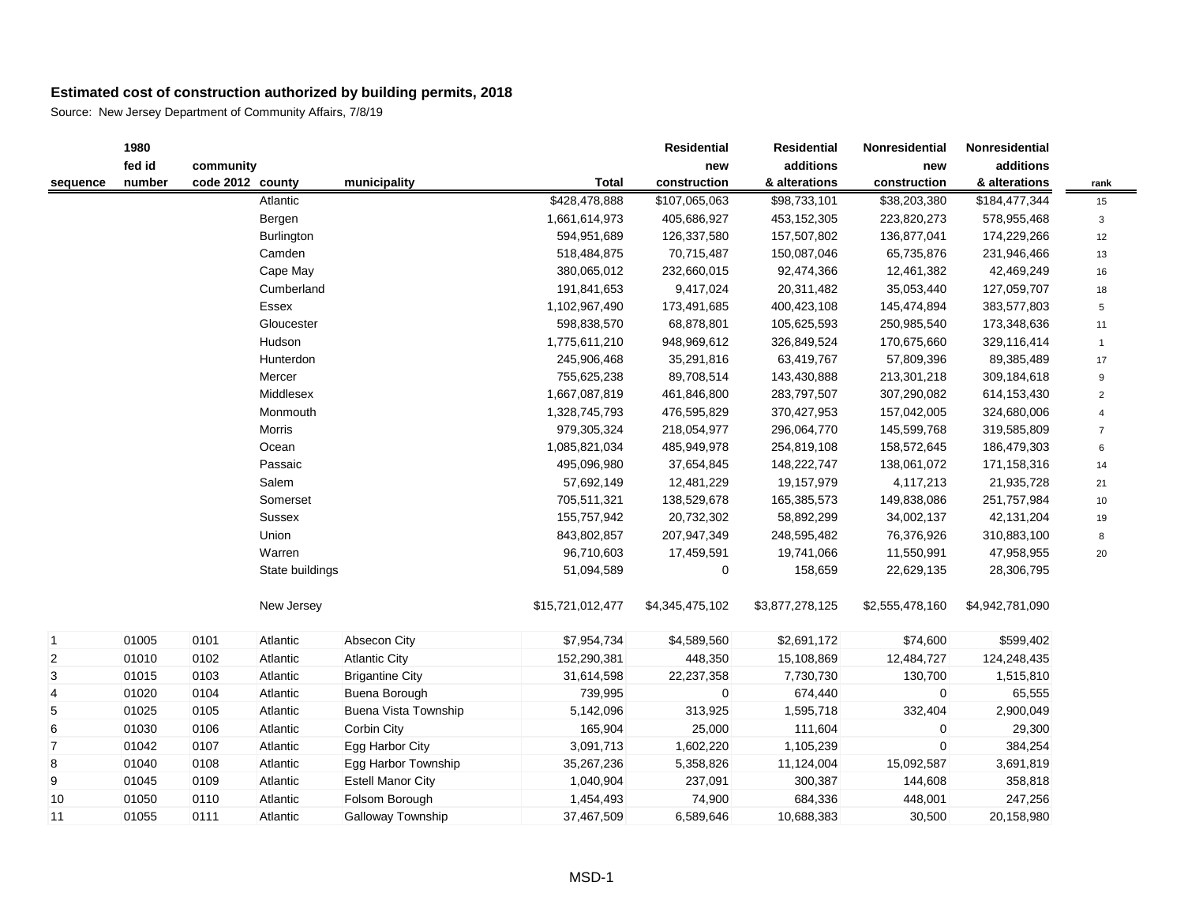|                | 1980   |                  |                   |                             |                  | Residential     | <b>Residential</b> | Nonresidential  | Nonresidential  |                         |
|----------------|--------|------------------|-------------------|-----------------------------|------------------|-----------------|--------------------|-----------------|-----------------|-------------------------|
|                | fed id | community        |                   |                             |                  | new             | additions          | new             | additions       |                         |
| sequence       | number | code 2012 county |                   | municipality                | <b>Total</b>     | construction    | & alterations      | construction    | & alterations   | rank                    |
|                |        |                  | Atlantic          |                             | \$428,478,888    | \$107,065,063   | \$98,733,101       | \$38,203,380    | \$184,477,344   | 15                      |
|                |        |                  | Bergen            |                             | 1,661,614,973    | 405,686,927     | 453,152,305        | 223,820,273     | 578,955,468     | 3                       |
|                |        |                  | <b>Burlington</b> |                             | 594,951,689      | 126,337,580     | 157,507,802        | 136,877,041     | 174,229,266     | 12                      |
|                |        |                  | Camden            |                             | 518,484,875      | 70,715,487      | 150,087,046        | 65,735,876      | 231,946,466     | 13                      |
|                |        |                  | Cape May          |                             | 380,065,012      | 232,660,015     | 92,474,366         | 12,461,382      | 42,469,249      | 16                      |
|                |        |                  | Cumberland        |                             | 191,841,653      | 9,417,024       | 20,311,482         | 35,053,440      | 127,059,707     | 18                      |
|                |        |                  | Essex             |                             | 1,102,967,490    | 173,491,685     | 400,423,108        | 145,474,894     | 383,577,803     | 5                       |
|                |        |                  | Gloucester        |                             | 598,838,570      | 68,878,801      | 105,625,593        | 250,985,540     | 173,348,636     | 11                      |
|                |        |                  | Hudson            |                             | 1,775,611,210    | 948,969,612     | 326,849,524        | 170,675,660     | 329,116,414     | $\mathbf{1}$            |
|                |        |                  | Hunterdon         |                             | 245,906,468      | 35,291,816      | 63,419,767         | 57,809,396      | 89,385,489      | 17                      |
|                |        |                  | Mercer            |                             | 755,625,238      | 89,708,514      | 143,430,888        | 213,301,218     | 309,184,618     | 9                       |
|                |        |                  | Middlesex         |                             | 1,667,087,819    | 461,846,800     | 283,797,507        | 307,290,082     | 614,153,430     | $\overline{2}$          |
|                |        |                  | Monmouth          |                             | 1,328,745,793    | 476,595,829     | 370,427,953        | 157,042,005     | 324,680,006     | $\overline{\mathbf{4}}$ |
|                |        |                  | Morris            |                             | 979,305,324      | 218,054,977     | 296,064,770        | 145,599,768     | 319,585,809     | $\overline{7}$          |
|                |        |                  | Ocean             |                             | 1,085,821,034    | 485,949,978     | 254,819,108        | 158,572,645     | 186,479,303     | 6                       |
|                |        |                  | Passaic           |                             | 495,096,980      | 37,654,845      | 148,222,747        | 138,061,072     | 171,158,316     | 14                      |
|                |        |                  | Salem             |                             | 57,692,149       | 12,481,229      | 19,157,979         | 4,117,213       | 21,935,728      | 21                      |
|                |        |                  | Somerset          |                             | 705,511,321      | 138,529,678     | 165,385,573        | 149,838,086     | 251,757,984     | 10                      |
|                |        |                  | Sussex            |                             | 155,757,942      | 20,732,302      | 58,892,299         | 34,002,137      | 42,131,204      | 19                      |
|                |        |                  | Union             |                             | 843,802,857      | 207,947,349     | 248,595,482        | 76,376,926      | 310,883,100     | 8                       |
|                |        |                  | Warren            |                             | 96,710,603       | 17,459,591      | 19,741,066         | 11,550,991      | 47,958,955      | 20                      |
|                |        |                  | State buildings   |                             | 51,094,589       | 0               | 158,659            | 22,629,135      | 28,306,795      |                         |
|                |        |                  | New Jersey        |                             | \$15,721,012,477 | \$4,345,475,102 | \$3,877,278,125    | \$2,555,478,160 | \$4,942,781,090 |                         |
| $\vert$ 1      | 01005  | 0101             | Atlantic          | Absecon City                | \$7,954,734      | \$4,589,560     | \$2,691,172        | \$74,600        | \$599,402       |                         |
| 2              | 01010  | 0102             | Atlantic          | <b>Atlantic City</b>        | 152,290,381      | 448,350         | 15,108,869         | 12,484,727      | 124,248,435     |                         |
| 3              | 01015  | 0103             | Atlantic          | <b>Brigantine City</b>      | 31,614,598       | 22,237,358      | 7,730,730          | 130,700         | 1,515,810       |                         |
| 4              | 01020  | 0104             | Atlantic          | Buena Borough               | 739,995          | 0               | 674,440            | $\mathbf 0$     | 65,555          |                         |
| 5              | 01025  | 0105             | Atlantic          | <b>Buena Vista Township</b> | 5,142,096        | 313,925         | 1,595,718          | 332,404         | 2,900,049       |                         |
| 6              | 01030  | 0106             | Atlantic          | Corbin City                 | 165,904          | 25,000          | 111,604            | $\mathbf 0$     | 29,300          |                         |
| $\overline{7}$ | 01042  | 0107             | Atlantic          | Egg Harbor City             | 3,091,713        | 1,602,220       | 1,105,239          | $\mathbf 0$     | 384,254         |                         |
| 8              | 01040  | 0108             | Atlantic          | Egg Harbor Township         | 35,267,236       | 5,358,826       | 11,124,004         | 15,092,587      | 3,691,819       |                         |
| 9              | 01045  | 0109             | Atlantic          | <b>Estell Manor City</b>    | 1,040,904        | 237,091         | 300,387            | 144,608         | 358,818         |                         |
| $10$           | 01050  | 0110             | Atlantic          | Folsom Borough              | 1,454,493        | 74,900          | 684,336            | 448,001         | 247,256         |                         |
| 11             | 01055  | 0111             | Atlantic          | Galloway Township           | 37,467,509       | 6,589,646       | 10,688,383         | 30,500          | 20,158,980      |                         |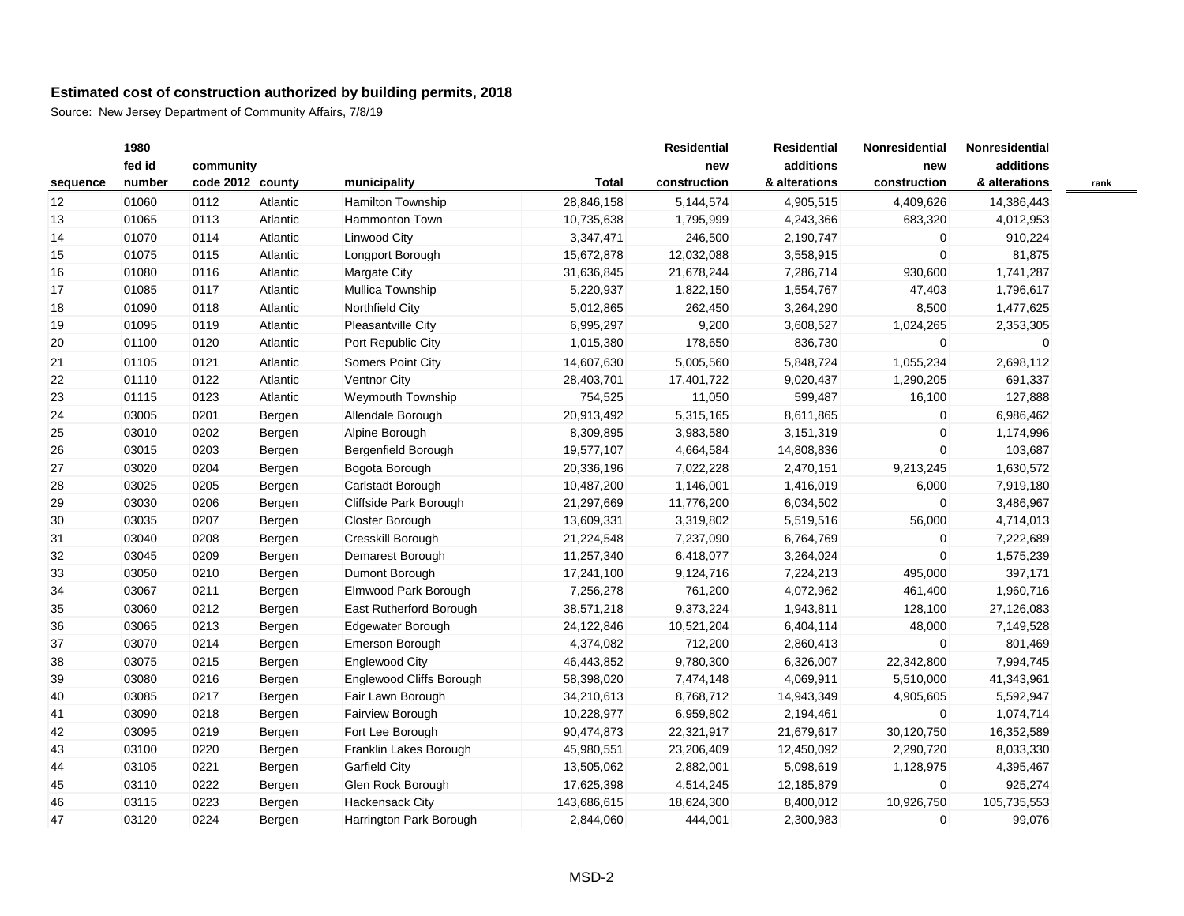|          | 1980   |                  |          |                          |              | <b>Residential</b> | <b>Residential</b> | Nonresidential | Nonresidential |  |
|----------|--------|------------------|----------|--------------------------|--------------|--------------------|--------------------|----------------|----------------|--|
|          | fed id | community        |          |                          |              | new                | additions          | new            | additions      |  |
| sequence | number | code 2012 county |          | municipality             | <b>Total</b> | construction       | & alterations      | construction   | & alterations  |  |
| 12       | 01060  | 0112             | Atlantic | Hamilton Township        | 28,846,158   | 5,144,574          | 4,905,515          | 4,409,626      | 14,386,443     |  |
| 13       | 01065  | 0113             | Atlantic | <b>Hammonton Town</b>    | 10,735,638   | 1,795,999          | 4,243,366          | 683,320        | 4,012,953      |  |
| 14       | 01070  | 0114             | Atlantic | <b>Linwood City</b>      | 3,347,471    | 246,500            | 2,190,747          | 0              | 910,224        |  |
| 15       | 01075  | 0115             | Atlantic | Longport Borough         | 15,672,878   | 12,032,088         | 3,558,915          | 0              | 81,875         |  |
| 16       | 01080  | 0116             | Atlantic | Margate City             | 31,636,845   | 21,678,244         | 7,286,714          | 930,600        | 1,741,287      |  |
| 17       | 01085  | 0117             | Atlantic | Mullica Township         | 5,220,937    | 1,822,150          | 1,554,767          | 47,403         | 1,796,617      |  |
| 18       | 01090  | 0118             | Atlantic | Northfield City          | 5,012,865    | 262,450            | 3,264,290          | 8,500          | 1,477,625      |  |
| 19       | 01095  | 0119             | Atlantic | Pleasantville City       | 6,995,297    | 9,200              | 3,608,527          | 1,024,265      | 2,353,305      |  |
| 20       | 01100  | 0120             | Atlantic | Port Republic City       | 1,015,380    | 178,650            | 836,730            | $\mathbf 0$    | 0              |  |
| 21       | 01105  | 0121             | Atlantic | Somers Point City        | 14,607,630   | 5,005,560          | 5,848,724          | 1,055,234      | 2,698,112      |  |
| 22       | 01110  | 0122             | Atlantic | <b>Ventnor City</b>      | 28,403,701   | 17,401,722         | 9,020,437          | 1,290,205      | 691,337        |  |
| 23       | 01115  | 0123             | Atlantic | Weymouth Township        | 754,525      | 11,050             | 599,487            | 16,100         | 127,888        |  |
| 24       | 03005  | 0201             | Bergen   | Allendale Borough        | 20,913,492   | 5,315,165          | 8,611,865          | $\overline{0}$ | 6,986,462      |  |
| 25       | 03010  | 0202             | Bergen   | Alpine Borough           | 8,309,895    | 3,983,580          | 3,151,319          | $\Omega$       | 1,174,996      |  |
| 26       | 03015  | 0203             | Bergen   | Bergenfield Borough      | 19,577,107   | 4,664,584          | 14,808,836         | $\Omega$       | 103,687        |  |
| 27       | 03020  | 0204             | Bergen   | Bogota Borough           | 20,336,196   | 7,022,228          | 2,470,151          | 9,213,245      | 1,630,572      |  |
| 28       | 03025  | 0205             | Bergen   | Carlstadt Borough        | 10,487,200   | 1,146,001          | 1,416,019          | 6,000          | 7,919,180      |  |
| 29       | 03030  | 0206             | Bergen   | Cliffside Park Borough   | 21,297,669   | 11,776,200         | 6,034,502          | 0              | 3,486,967      |  |
| 30       | 03035  | 0207             | Bergen   | Closter Borough          | 13,609,331   | 3,319,802          | 5,519,516          | 56,000         | 4,714,013      |  |
| 31       | 03040  | 0208             | Bergen   | Cresskill Borough        | 21,224,548   | 7,237,090          | 6,764,769          | 0              | 7,222,689      |  |
| 32       | 03045  | 0209             | Bergen   | Demarest Borough         | 11,257,340   | 6,418,077          | 3,264,024          | $\mathbf 0$    | 1,575,239      |  |
| 33       | 03050  | 0210             | Bergen   | Dumont Borough           | 17,241,100   | 9,124,716          | 7,224,213          | 495,000        | 397,171        |  |
| 34       | 03067  | 0211             | Bergen   | Elmwood Park Borough     | 7,256,278    | 761,200            | 4,072,962          | 461,400        | 1,960,716      |  |
| 35       | 03060  | 0212             | Bergen   | East Rutherford Borough  | 38,571,218   | 9,373,224          | 1,943,811          | 128,100        | 27,126,083     |  |
| 36       | 03065  | 0213             | Bergen   | Edgewater Borough        | 24,122,846   | 10,521,204         | 6,404,114          | 48,000         | 7,149,528      |  |
| 37       | 03070  | 0214             | Bergen   | Emerson Borough          | 4,374,082    | 712,200            | 2,860,413          | 0              | 801,469        |  |
| 38       | 03075  | 0215             | Bergen   | <b>Englewood City</b>    | 46,443,852   | 9,780,300          | 6,326,007          | 22,342,800     | 7,994,745      |  |
| 39       | 03080  | 0216             | Bergen   | Englewood Cliffs Borough | 58,398,020   | 7,474,148          | 4,069,911          | 5,510,000      | 41,343,961     |  |
| 40       | 03085  | 0217             | Bergen   | Fair Lawn Borough        | 34,210,613   | 8,768,712          | 14,943,349         | 4,905,605      | 5,592,947      |  |
| 41       | 03090  | 0218             | Bergen   | Fairview Borough         | 10,228,977   | 6,959,802          | 2,194,461          | 0              | 1,074,714      |  |
| 42       | 03095  | 0219             | Bergen   | Fort Lee Borough         | 90,474,873   | 22,321,917         | 21,679,617         | 30,120,750     | 16,352,589     |  |
| 43       | 03100  | 0220             | Bergen   | Franklin Lakes Borough   | 45,980,551   | 23,206,409         | 12,450,092         | 2,290,720      | 8,033,330      |  |
| 44       | 03105  | 0221             | Bergen   | <b>Garfield City</b>     | 13,505,062   | 2,882,001          | 5,098,619          | 1,128,975      | 4,395,467      |  |
| 45       | 03110  | 0222             | Bergen   | Glen Rock Borough        | 17,625,398   | 4,514,245          | 12,185,879         | $\mathbf 0$    | 925,274        |  |
| 46       | 03115  | 0223             | Bergen   | <b>Hackensack City</b>   | 143,686,615  | 18,624,300         | 8,400,012          | 10,926,750     | 105,735,553    |  |
| 47       | 03120  | 0224             | Bergen   | Harrington Park Borough  | 2,844,060    | 444,001            | 2,300,983          | 0              | 99,076         |  |
|          |        |                  |          |                          |              |                    |                    |                |                |  |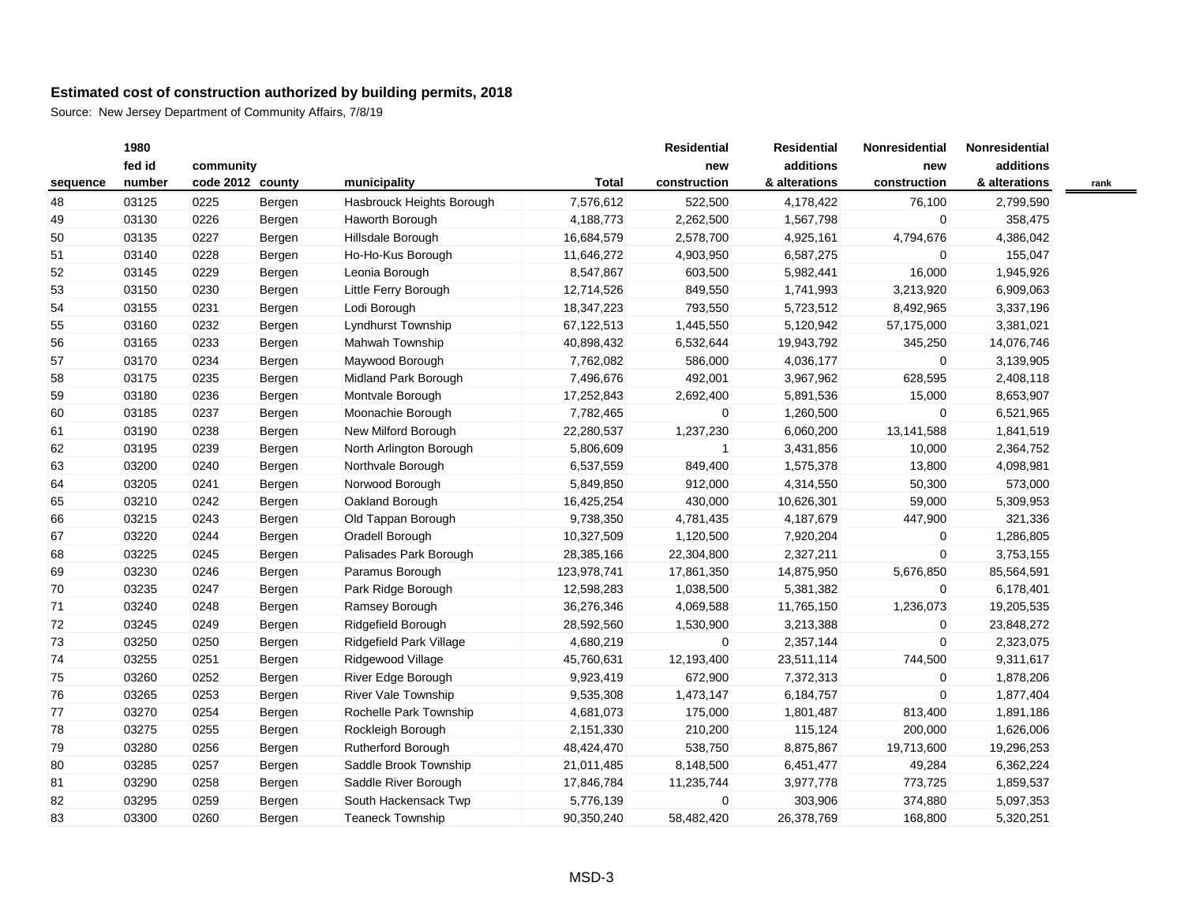|          | 1980   |                  |        |                            |              | <b>Residential</b> | <b>Residential</b> | Nonresidential | Nonresidential |      |
|----------|--------|------------------|--------|----------------------------|--------------|--------------------|--------------------|----------------|----------------|------|
|          | fed id | community        |        |                            |              | new                | additions          | new            | additions      |      |
| sequence | number | code 2012 county |        | municipality               | <b>Total</b> | construction       | & alterations      | construction   | & alterations  | rank |
| 48       | 03125  | 0225             | Bergen | Hasbrouck Heights Borough  | 7,576,612    | 522,500            | 4,178,422          | 76,100         | 2,799,590      |      |
| 49       | 03130  | 0226             | Bergen | Haworth Borough            | 4,188,773    | 2,262,500          | 1,567,798          | $\overline{0}$ | 358,475        |      |
| 50       | 03135  | 0227             | Bergen | Hillsdale Borough          | 16,684,579   | 2,578,700          | 4,925,161          | 4,794,676      | 4,386,042      |      |
| 51       | 03140  | 0228             | Bergen | Ho-Ho-Kus Borough          | 11,646,272   | 4,903,950          | 6,587,275          | $\mathbf 0$    | 155,047        |      |
| 52       | 03145  | 0229             | Bergen | Leonia Borough             | 8,547,867    | 603,500            | 5,982,441          | 16,000         | 1,945,926      |      |
| 53       | 03150  | 0230             | Bergen | Little Ferry Borough       | 12,714,526   | 849,550            | 1,741,993          | 3,213,920      | 6,909,063      |      |
| 54       | 03155  | 0231             | Bergen | Lodi Borough               | 18,347,223   | 793,550            | 5,723,512          | 8,492,965      | 3,337,196      |      |
| 55       | 03160  | 0232             | Bergen | <b>Lyndhurst Township</b>  | 67,122,513   | 1,445,550          | 5,120,942          | 57,175,000     | 3,381,021      |      |
| 56       | 03165  | 0233             | Bergen | Mahwah Township            | 40,898,432   | 6,532,644          | 19,943,792         | 345,250        | 14,076,746     |      |
| 57       | 03170  | 0234             | Bergen | Maywood Borough            | 7,762,082    | 586,000            | 4,036,177          | $\overline{0}$ | 3,139,905      |      |
| 58       | 03175  | 0235             | Bergen | Midland Park Borough       | 7,496,676    | 492,001            | 3,967,962          | 628,595        | 2,408,118      |      |
| 59       | 03180  | 0236             | Bergen | Montvale Borough           | 17,252,843   | 2,692,400          | 5,891,536          | 15,000         | 8,653,907      |      |
| 60       | 03185  | 0237             | Bergen | Moonachie Borough          | 7,782,465    | $\mathbf 0$        | 1,260,500          | $\overline{0}$ | 6,521,965      |      |
| 61       | 03190  | 0238             | Bergen | New Milford Borough        | 22,280,537   | 1,237,230          | 6,060,200          | 13,141,588     | 1,841,519      |      |
| 62       | 03195  | 0239             | Bergen | North Arlington Borough    | 5,806,609    | 1                  | 3,431,856          | 10,000         | 2,364,752      |      |
| 63       | 03200  | 0240             | Bergen | Northvale Borough          | 6,537,559    | 849,400            | 1,575,378          | 13,800         | 4,098,981      |      |
| 64       | 03205  | 0241             | Bergen | Norwood Borough            | 5,849,850    | 912,000            | 4,314,550          | 50,300         | 573,000        |      |
| 65       | 03210  | 0242             | Bergen | Oakland Borough            | 16,425,254   | 430,000            | 10,626,301         | 59,000         | 5,309,953      |      |
| 66       | 03215  | 0243             | Bergen | Old Tappan Borough         | 9,738,350    | 4,781,435          | 4,187,679          | 447,900        | 321,336        |      |
| 67       | 03220  | 0244             | Bergen | Oradell Borough            | 10,327,509   | 1,120,500          | 7,920,204          | $\mathbf 0$    | 1,286,805      |      |
| 68       | 03225  | 0245             | Bergen | Palisades Park Borough     | 28,385,166   | 22,304,800         | 2,327,211          | $\mathbf 0$    | 3,753,155      |      |
| 69       | 03230  | 0246             | Bergen | Paramus Borough            | 123,978,741  | 17,861,350         | 14,875,950         | 5,676,850      | 85,564,591     |      |
| 70       | 03235  | 0247             | Bergen | Park Ridge Borough         | 12,598,283   | 1,038,500          | 5,381,382          | $\overline{0}$ | 6,178,401      |      |
| 71       | 03240  | 0248             | Bergen | Ramsey Borough             | 36,276,346   | 4,069,588          | 11,765,150         | 1,236,073      | 19,205,535     |      |
| 72       | 03245  | 0249             | Bergen | Ridgefield Borough         | 28,592,560   | 1,530,900          | 3,213,388          | $\overline{0}$ | 23,848,272     |      |
| 73       | 03250  | 0250             | Bergen | Ridgefield Park Village    | 4,680,219    | $\mathbf 0$        | 2,357,144          | $\mathbf{0}$   | 2,323,075      |      |
| 74       | 03255  | 0251             | Bergen | Ridgewood Village          | 45,760,631   | 12,193,400         | 23,511,114         | 744,500        | 9,311,617      |      |
| 75       | 03260  | 0252             | Bergen | River Edge Borough         | 9,923,419    | 672,900            | 7,372,313          | $\mathbf 0$    | 1,878,206      |      |
| 76       | 03265  | 0253             | Bergen | <b>River Vale Township</b> | 9,535,308    | 1,473,147          | 6,184,757          | $\overline{0}$ | 1,877,404      |      |
| 77       | 03270  | 0254             | Bergen | Rochelle Park Township     | 4,681,073    | 175,000            | 1,801,487          | 813,400        | 1,891,186      |      |
| 78       | 03275  | 0255             | Bergen | Rockleigh Borough          | 2,151,330    | 210,200            | 115,124            | 200,000        | 1,626,006      |      |
| 79       | 03280  | 0256             | Bergen | Rutherford Borough         | 48,424,470   | 538,750            | 8,875,867          | 19,713,600     | 19,296,253     |      |
| 80       | 03285  | 0257             | Bergen | Saddle Brook Township      | 21,011,485   | 8,148,500          | 6,451,477          | 49,284         | 6,362,224      |      |
| 81       | 03290  | 0258             | Bergen | Saddle River Borough       | 17,846,784   | 11,235,744         | 3,977,778          | 773,725        | 1,859,537      |      |
| 82       | 03295  | 0259             | Bergen | South Hackensack Twp       | 5,776,139    | $\mathbf 0$        | 303,906            | 374,880        | 5,097,353      |      |
| 83       | 03300  | 0260             | Bergen | <b>Teaneck Township</b>    | 90,350,240   | 58,482,420         | 26,378,769         | 168,800        | 5,320,251      |      |
|          |        |                  |        |                            |              |                    |                    |                |                |      |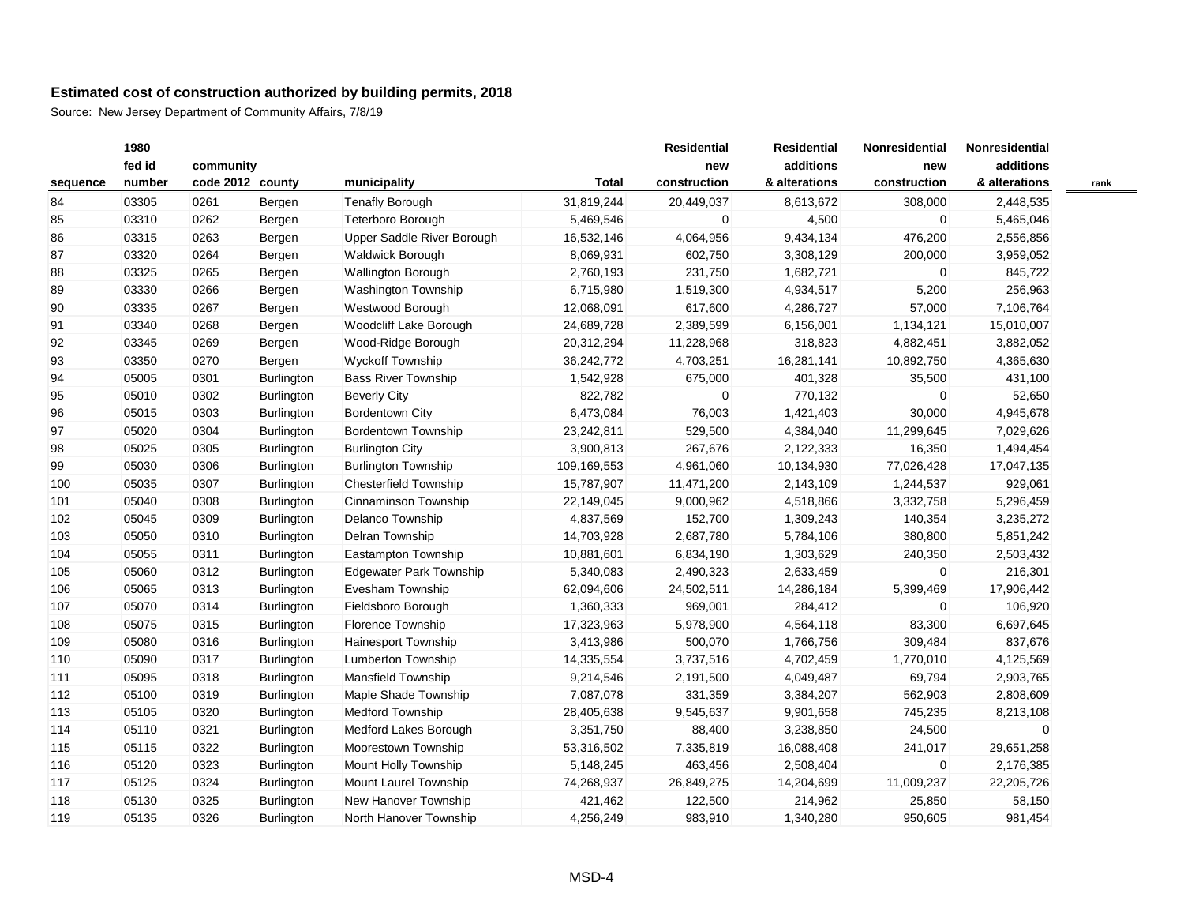| fed id<br>additions<br>additions<br>community<br>new<br>new<br>number<br>code 2012 county<br>municipality<br>Total<br>construction<br>& alterations<br>construction<br>& alterations<br>03305<br>0261<br><b>Tenafly Borough</b><br>31,819,244<br>20,449,037<br>8,613,672<br>308,000<br>2,448,535<br>Bergen<br>03310<br>Teterboro Borough<br>4,500<br>$\overline{0}$<br>5,465,046<br>0262<br>5,469,546<br>0<br>Bergen<br>03315<br>0263<br>Upper Saddle River Borough<br>16,532,146<br>4,064,956<br>9,434,134<br>476,200<br>2,556,856<br>Bergen<br>03320<br>0264<br><b>Waldwick Borough</b><br>8,069,931<br>602,750<br>3,308,129<br>200,000<br>3,959,052<br>Bergen<br>03325<br><b>Wallington Borough</b><br>231,750<br>1,682,721<br>0265<br>Bergen<br>2,760,193<br>$\mathbf 0$<br>845,722<br>5,200<br>03330<br><b>Washington Township</b><br>1,519,300<br>4,934,517<br>256,963<br>0266<br>Bergen<br>6,715,980<br>03335<br>57,000<br>0267<br>Westwood Borough<br>12,068,091<br>617,600<br>4,286,727<br>7,106,764<br>Bergen<br>03340<br>0268<br>Woodcliff Lake Borough<br>2,389,599<br>6,156,001<br>24,689,728<br>1,134,121<br>15,010,007<br>Bergen<br>03345<br>Wood-Ridge Borough<br>318,823<br>0269<br>20,312,294<br>11,228,968<br>4,882,451<br>3,882,052<br>Bergen<br>03350<br><b>Wyckoff Township</b><br>0270<br>36,242,772<br>4,703,251<br>16,281,141<br>10,892,750<br>4,365,630<br>Bergen<br>05005<br>0301<br><b>Bass River Township</b><br>1,542,928<br>675,000<br>401,328<br>35,500<br>431,100<br>Burlington<br>05010<br>822,782<br>0<br>770,132<br>$\mathbf 0$<br>52,650<br>0302<br><b>Burlington</b><br><b>Beverly City</b><br>05015<br>0303<br><b>Bordentown City</b><br>6,473,084<br>76,003<br>1,421,403<br>30,000<br>4,945,678<br>Burlington<br>Bordentown Township<br>05020<br>0304<br>Burlington<br>23,242,811<br>529,500<br>4,384,040<br>11,299,645<br>7,029,626<br>05025<br>0305<br>Burlington<br><b>Burlington City</b><br>3,900,813<br>267,676<br>2,122,333<br>16,350<br>1,494,454<br>05030<br>0306<br><b>Burlington Township</b><br>109,169,553<br>4,961,060<br>10,134,930<br>77,026,428<br>17,047,135<br><b>Burlington</b><br>05035<br>0307<br>Burlington<br><b>Chesterfield Township</b><br>15,787,907<br>11,471,200<br>2,143,109<br>1,244,537<br>929,061<br>05040<br>Cinnaminson Township<br>22,149,045<br>4,518,866<br>3,332,758<br>5,296,459<br>0308<br><b>Burlington</b><br>9,000,962<br>05045<br>0309<br>Delanco Township<br>4,837,569<br>152,700<br>1,309,243<br>140,354<br>3,235,272<br>Burlington<br>05050<br>Delran Township<br>2,687,780<br>5,784,106<br>380,800<br>0310<br>Burlington<br>14,703,928<br>5,851,242<br>05055<br>Eastampton Township<br>240,350<br>0311<br><b>Burlington</b><br>10,881,601<br>6,834,190<br>1,303,629<br>2,503,432<br>2,633,459<br>05060<br>0312<br>Burlington<br><b>Edgewater Park Township</b><br>5,340,083<br>2,490,323<br>$\overline{0}$<br>216,301<br>24,502,511<br>14,286,184<br>17,906,442<br>05065<br>0313<br>Burlington<br>Evesham Township<br>62,094,606<br>5,399,469<br>05070<br>Fieldsboro Borough<br>969,001<br>284,412<br>$\mathbf 0$<br>106,920<br>0314<br><b>Burlington</b><br>1,360,333<br>Florence Township<br>5,978,900<br>4,564,118<br>83,300<br>6,697,645<br>05075<br>0315<br>Burlington<br>17,323,963<br>500,070<br>1,766,756<br>837,676<br>05080<br>0316<br>Burlington<br><b>Hainesport Township</b><br>3,413,986<br>309,484<br>3,737,516<br>05090<br>0317<br>Lumberton Township<br>14,335,554<br>4,702,459<br>1,770,010<br>4,125,569<br>Burlington<br>05095<br>69,794<br>0318<br><b>Burlington</b><br><b>Mansfield Township</b><br>9,214,546<br>2,191,500<br>4,049,487<br>2,903,765<br>05100<br>0319<br>Burlington<br>Maple Shade Township<br>7,087,078<br>331,359<br>3,384,207<br>562,903<br>2,808,609<br>05105<br>0320<br><b>Medford Township</b><br>28,405,638<br>9,545,637<br>9,901,658<br>745,235<br>Burlington<br>8,213,108<br>05110<br>0321<br>3,238,850<br>24,500<br>Burlington<br>Medford Lakes Borough<br>3,351,750<br>88,400<br>0<br>Moorestown Township<br>241,017<br>05115<br>0322<br><b>Burlington</b><br>53,316,502<br>7,335,819<br>16,088,408<br>29,651,258<br>05120<br>0323<br><b>Burlington</b><br>Mount Holly Township<br>5,148,245<br>463,456<br>2,508,404<br>0<br>2,176,385<br>05125<br>0324<br>Mount Laurel Township<br>74,268,937<br>26,849,275<br>14,204,699<br>11,009,237<br>22,205,726<br>Burlington<br>New Hanover Township<br>05130<br>0325<br>Burlington<br>421,462<br>122,500<br>214,962<br>25,850<br>58,150<br>05135<br>0326<br>North Hanover Township<br><b>Burlington</b><br>4,256,249<br>983,910<br>1,340,280<br>950,605<br>981,454 |          | 1980 |  |  | <b>Residential</b> | <b>Residential</b> | <b>Nonresidential</b> | Nonresidential |  |
|-------------------------------------------------------------------------------------------------------------------------------------------------------------------------------------------------------------------------------------------------------------------------------------------------------------------------------------------------------------------------------------------------------------------------------------------------------------------------------------------------------------------------------------------------------------------------------------------------------------------------------------------------------------------------------------------------------------------------------------------------------------------------------------------------------------------------------------------------------------------------------------------------------------------------------------------------------------------------------------------------------------------------------------------------------------------------------------------------------------------------------------------------------------------------------------------------------------------------------------------------------------------------------------------------------------------------------------------------------------------------------------------------------------------------------------------------------------------------------------------------------------------------------------------------------------------------------------------------------------------------------------------------------------------------------------------------------------------------------------------------------------------------------------------------------------------------------------------------------------------------------------------------------------------------------------------------------------------------------------------------------------------------------------------------------------------------------------------------------------------------------------------------------------------------------------------------------------------------------------------------------------------------------------------------------------------------------------------------------------------------------------------------------------------------------------------------------------------------------------------------------------------------------------------------------------------------------------------------------------------------------------------------------------------------------------------------------------------------------------------------------------------------------------------------------------------------------------------------------------------------------------------------------------------------------------------------------------------------------------------------------------------------------------------------------------------------------------------------------------------------------------------------------------------------------------------------------------------------------------------------------------------------------------------------------------------------------------------------------------------------------------------------------------------------------------------------------------------------------------------------------------------------------------------------------------------------------------------------------------------------------------------------------------------------------------------------------------------------------------------------------------------------------------------------------------------------------------------------------------------------------------------------------------------------------------------------------------------------------------------------------------------------------------------------------------------------------------------------------------------------------------------------------------------------------------------------------------------------------------------------------------------------------------------------------------------------------------------------------------------------------------------------------------------------------------------------------------------------------------------------------------------------------------------------------------------------------------------------------------------------------------------------------|----------|------|--|--|--------------------|--------------------|-----------------------|----------------|--|
|                                                                                                                                                                                                                                                                                                                                                                                                                                                                                                                                                                                                                                                                                                                                                                                                                                                                                                                                                                                                                                                                                                                                                                                                                                                                                                                                                                                                                                                                                                                                                                                                                                                                                                                                                                                                                                                                                                                                                                                                                                                                                                                                                                                                                                                                                                                                                                                                                                                                                                                                                                                                                                                                                                                                                                                                                                                                                                                                                                                                                                                                                                                                                                                                                                                                                                                                                                                                                                                                                                                                                                                                                                                                                                                                                                                                                                                                                                                                                                                                                                                                                                                                                                                                                                                                                                                                                                                                                                                                                                                                                                                                                                                       |          |      |  |  |                    |                    |                       |                |  |
|                                                                                                                                                                                                                                                                                                                                                                                                                                                                                                                                                                                                                                                                                                                                                                                                                                                                                                                                                                                                                                                                                                                                                                                                                                                                                                                                                                                                                                                                                                                                                                                                                                                                                                                                                                                                                                                                                                                                                                                                                                                                                                                                                                                                                                                                                                                                                                                                                                                                                                                                                                                                                                                                                                                                                                                                                                                                                                                                                                                                                                                                                                                                                                                                                                                                                                                                                                                                                                                                                                                                                                                                                                                                                                                                                                                                                                                                                                                                                                                                                                                                                                                                                                                                                                                                                                                                                                                                                                                                                                                                                                                                                                                       | sequence |      |  |  |                    |                    |                       |                |  |
|                                                                                                                                                                                                                                                                                                                                                                                                                                                                                                                                                                                                                                                                                                                                                                                                                                                                                                                                                                                                                                                                                                                                                                                                                                                                                                                                                                                                                                                                                                                                                                                                                                                                                                                                                                                                                                                                                                                                                                                                                                                                                                                                                                                                                                                                                                                                                                                                                                                                                                                                                                                                                                                                                                                                                                                                                                                                                                                                                                                                                                                                                                                                                                                                                                                                                                                                                                                                                                                                                                                                                                                                                                                                                                                                                                                                                                                                                                                                                                                                                                                                                                                                                                                                                                                                                                                                                                                                                                                                                                                                                                                                                                                       | 84       |      |  |  |                    |                    |                       |                |  |
|                                                                                                                                                                                                                                                                                                                                                                                                                                                                                                                                                                                                                                                                                                                                                                                                                                                                                                                                                                                                                                                                                                                                                                                                                                                                                                                                                                                                                                                                                                                                                                                                                                                                                                                                                                                                                                                                                                                                                                                                                                                                                                                                                                                                                                                                                                                                                                                                                                                                                                                                                                                                                                                                                                                                                                                                                                                                                                                                                                                                                                                                                                                                                                                                                                                                                                                                                                                                                                                                                                                                                                                                                                                                                                                                                                                                                                                                                                                                                                                                                                                                                                                                                                                                                                                                                                                                                                                                                                                                                                                                                                                                                                                       | 85       |      |  |  |                    |                    |                       |                |  |
|                                                                                                                                                                                                                                                                                                                                                                                                                                                                                                                                                                                                                                                                                                                                                                                                                                                                                                                                                                                                                                                                                                                                                                                                                                                                                                                                                                                                                                                                                                                                                                                                                                                                                                                                                                                                                                                                                                                                                                                                                                                                                                                                                                                                                                                                                                                                                                                                                                                                                                                                                                                                                                                                                                                                                                                                                                                                                                                                                                                                                                                                                                                                                                                                                                                                                                                                                                                                                                                                                                                                                                                                                                                                                                                                                                                                                                                                                                                                                                                                                                                                                                                                                                                                                                                                                                                                                                                                                                                                                                                                                                                                                                                       | 86       |      |  |  |                    |                    |                       |                |  |
|                                                                                                                                                                                                                                                                                                                                                                                                                                                                                                                                                                                                                                                                                                                                                                                                                                                                                                                                                                                                                                                                                                                                                                                                                                                                                                                                                                                                                                                                                                                                                                                                                                                                                                                                                                                                                                                                                                                                                                                                                                                                                                                                                                                                                                                                                                                                                                                                                                                                                                                                                                                                                                                                                                                                                                                                                                                                                                                                                                                                                                                                                                                                                                                                                                                                                                                                                                                                                                                                                                                                                                                                                                                                                                                                                                                                                                                                                                                                                                                                                                                                                                                                                                                                                                                                                                                                                                                                                                                                                                                                                                                                                                                       | 87       |      |  |  |                    |                    |                       |                |  |
|                                                                                                                                                                                                                                                                                                                                                                                                                                                                                                                                                                                                                                                                                                                                                                                                                                                                                                                                                                                                                                                                                                                                                                                                                                                                                                                                                                                                                                                                                                                                                                                                                                                                                                                                                                                                                                                                                                                                                                                                                                                                                                                                                                                                                                                                                                                                                                                                                                                                                                                                                                                                                                                                                                                                                                                                                                                                                                                                                                                                                                                                                                                                                                                                                                                                                                                                                                                                                                                                                                                                                                                                                                                                                                                                                                                                                                                                                                                                                                                                                                                                                                                                                                                                                                                                                                                                                                                                                                                                                                                                                                                                                                                       | 88       |      |  |  |                    |                    |                       |                |  |
|                                                                                                                                                                                                                                                                                                                                                                                                                                                                                                                                                                                                                                                                                                                                                                                                                                                                                                                                                                                                                                                                                                                                                                                                                                                                                                                                                                                                                                                                                                                                                                                                                                                                                                                                                                                                                                                                                                                                                                                                                                                                                                                                                                                                                                                                                                                                                                                                                                                                                                                                                                                                                                                                                                                                                                                                                                                                                                                                                                                                                                                                                                                                                                                                                                                                                                                                                                                                                                                                                                                                                                                                                                                                                                                                                                                                                                                                                                                                                                                                                                                                                                                                                                                                                                                                                                                                                                                                                                                                                                                                                                                                                                                       | 89       |      |  |  |                    |                    |                       |                |  |
|                                                                                                                                                                                                                                                                                                                                                                                                                                                                                                                                                                                                                                                                                                                                                                                                                                                                                                                                                                                                                                                                                                                                                                                                                                                                                                                                                                                                                                                                                                                                                                                                                                                                                                                                                                                                                                                                                                                                                                                                                                                                                                                                                                                                                                                                                                                                                                                                                                                                                                                                                                                                                                                                                                                                                                                                                                                                                                                                                                                                                                                                                                                                                                                                                                                                                                                                                                                                                                                                                                                                                                                                                                                                                                                                                                                                                                                                                                                                                                                                                                                                                                                                                                                                                                                                                                                                                                                                                                                                                                                                                                                                                                                       | 90       |      |  |  |                    |                    |                       |                |  |
|                                                                                                                                                                                                                                                                                                                                                                                                                                                                                                                                                                                                                                                                                                                                                                                                                                                                                                                                                                                                                                                                                                                                                                                                                                                                                                                                                                                                                                                                                                                                                                                                                                                                                                                                                                                                                                                                                                                                                                                                                                                                                                                                                                                                                                                                                                                                                                                                                                                                                                                                                                                                                                                                                                                                                                                                                                                                                                                                                                                                                                                                                                                                                                                                                                                                                                                                                                                                                                                                                                                                                                                                                                                                                                                                                                                                                                                                                                                                                                                                                                                                                                                                                                                                                                                                                                                                                                                                                                                                                                                                                                                                                                                       | 91       |      |  |  |                    |                    |                       |                |  |
|                                                                                                                                                                                                                                                                                                                                                                                                                                                                                                                                                                                                                                                                                                                                                                                                                                                                                                                                                                                                                                                                                                                                                                                                                                                                                                                                                                                                                                                                                                                                                                                                                                                                                                                                                                                                                                                                                                                                                                                                                                                                                                                                                                                                                                                                                                                                                                                                                                                                                                                                                                                                                                                                                                                                                                                                                                                                                                                                                                                                                                                                                                                                                                                                                                                                                                                                                                                                                                                                                                                                                                                                                                                                                                                                                                                                                                                                                                                                                                                                                                                                                                                                                                                                                                                                                                                                                                                                                                                                                                                                                                                                                                                       | 92       |      |  |  |                    |                    |                       |                |  |
|                                                                                                                                                                                                                                                                                                                                                                                                                                                                                                                                                                                                                                                                                                                                                                                                                                                                                                                                                                                                                                                                                                                                                                                                                                                                                                                                                                                                                                                                                                                                                                                                                                                                                                                                                                                                                                                                                                                                                                                                                                                                                                                                                                                                                                                                                                                                                                                                                                                                                                                                                                                                                                                                                                                                                                                                                                                                                                                                                                                                                                                                                                                                                                                                                                                                                                                                                                                                                                                                                                                                                                                                                                                                                                                                                                                                                                                                                                                                                                                                                                                                                                                                                                                                                                                                                                                                                                                                                                                                                                                                                                                                                                                       | 93       |      |  |  |                    |                    |                       |                |  |
|                                                                                                                                                                                                                                                                                                                                                                                                                                                                                                                                                                                                                                                                                                                                                                                                                                                                                                                                                                                                                                                                                                                                                                                                                                                                                                                                                                                                                                                                                                                                                                                                                                                                                                                                                                                                                                                                                                                                                                                                                                                                                                                                                                                                                                                                                                                                                                                                                                                                                                                                                                                                                                                                                                                                                                                                                                                                                                                                                                                                                                                                                                                                                                                                                                                                                                                                                                                                                                                                                                                                                                                                                                                                                                                                                                                                                                                                                                                                                                                                                                                                                                                                                                                                                                                                                                                                                                                                                                                                                                                                                                                                                                                       | 94       |      |  |  |                    |                    |                       |                |  |
|                                                                                                                                                                                                                                                                                                                                                                                                                                                                                                                                                                                                                                                                                                                                                                                                                                                                                                                                                                                                                                                                                                                                                                                                                                                                                                                                                                                                                                                                                                                                                                                                                                                                                                                                                                                                                                                                                                                                                                                                                                                                                                                                                                                                                                                                                                                                                                                                                                                                                                                                                                                                                                                                                                                                                                                                                                                                                                                                                                                                                                                                                                                                                                                                                                                                                                                                                                                                                                                                                                                                                                                                                                                                                                                                                                                                                                                                                                                                                                                                                                                                                                                                                                                                                                                                                                                                                                                                                                                                                                                                                                                                                                                       | 95       |      |  |  |                    |                    |                       |                |  |
|                                                                                                                                                                                                                                                                                                                                                                                                                                                                                                                                                                                                                                                                                                                                                                                                                                                                                                                                                                                                                                                                                                                                                                                                                                                                                                                                                                                                                                                                                                                                                                                                                                                                                                                                                                                                                                                                                                                                                                                                                                                                                                                                                                                                                                                                                                                                                                                                                                                                                                                                                                                                                                                                                                                                                                                                                                                                                                                                                                                                                                                                                                                                                                                                                                                                                                                                                                                                                                                                                                                                                                                                                                                                                                                                                                                                                                                                                                                                                                                                                                                                                                                                                                                                                                                                                                                                                                                                                                                                                                                                                                                                                                                       | 96       |      |  |  |                    |                    |                       |                |  |
|                                                                                                                                                                                                                                                                                                                                                                                                                                                                                                                                                                                                                                                                                                                                                                                                                                                                                                                                                                                                                                                                                                                                                                                                                                                                                                                                                                                                                                                                                                                                                                                                                                                                                                                                                                                                                                                                                                                                                                                                                                                                                                                                                                                                                                                                                                                                                                                                                                                                                                                                                                                                                                                                                                                                                                                                                                                                                                                                                                                                                                                                                                                                                                                                                                                                                                                                                                                                                                                                                                                                                                                                                                                                                                                                                                                                                                                                                                                                                                                                                                                                                                                                                                                                                                                                                                                                                                                                                                                                                                                                                                                                                                                       | 97       |      |  |  |                    |                    |                       |                |  |
|                                                                                                                                                                                                                                                                                                                                                                                                                                                                                                                                                                                                                                                                                                                                                                                                                                                                                                                                                                                                                                                                                                                                                                                                                                                                                                                                                                                                                                                                                                                                                                                                                                                                                                                                                                                                                                                                                                                                                                                                                                                                                                                                                                                                                                                                                                                                                                                                                                                                                                                                                                                                                                                                                                                                                                                                                                                                                                                                                                                                                                                                                                                                                                                                                                                                                                                                                                                                                                                                                                                                                                                                                                                                                                                                                                                                                                                                                                                                                                                                                                                                                                                                                                                                                                                                                                                                                                                                                                                                                                                                                                                                                                                       | 98       |      |  |  |                    |                    |                       |                |  |
|                                                                                                                                                                                                                                                                                                                                                                                                                                                                                                                                                                                                                                                                                                                                                                                                                                                                                                                                                                                                                                                                                                                                                                                                                                                                                                                                                                                                                                                                                                                                                                                                                                                                                                                                                                                                                                                                                                                                                                                                                                                                                                                                                                                                                                                                                                                                                                                                                                                                                                                                                                                                                                                                                                                                                                                                                                                                                                                                                                                                                                                                                                                                                                                                                                                                                                                                                                                                                                                                                                                                                                                                                                                                                                                                                                                                                                                                                                                                                                                                                                                                                                                                                                                                                                                                                                                                                                                                                                                                                                                                                                                                                                                       | 99       |      |  |  |                    |                    |                       |                |  |
|                                                                                                                                                                                                                                                                                                                                                                                                                                                                                                                                                                                                                                                                                                                                                                                                                                                                                                                                                                                                                                                                                                                                                                                                                                                                                                                                                                                                                                                                                                                                                                                                                                                                                                                                                                                                                                                                                                                                                                                                                                                                                                                                                                                                                                                                                                                                                                                                                                                                                                                                                                                                                                                                                                                                                                                                                                                                                                                                                                                                                                                                                                                                                                                                                                                                                                                                                                                                                                                                                                                                                                                                                                                                                                                                                                                                                                                                                                                                                                                                                                                                                                                                                                                                                                                                                                                                                                                                                                                                                                                                                                                                                                                       | 100      |      |  |  |                    |                    |                       |                |  |
|                                                                                                                                                                                                                                                                                                                                                                                                                                                                                                                                                                                                                                                                                                                                                                                                                                                                                                                                                                                                                                                                                                                                                                                                                                                                                                                                                                                                                                                                                                                                                                                                                                                                                                                                                                                                                                                                                                                                                                                                                                                                                                                                                                                                                                                                                                                                                                                                                                                                                                                                                                                                                                                                                                                                                                                                                                                                                                                                                                                                                                                                                                                                                                                                                                                                                                                                                                                                                                                                                                                                                                                                                                                                                                                                                                                                                                                                                                                                                                                                                                                                                                                                                                                                                                                                                                                                                                                                                                                                                                                                                                                                                                                       | 101      |      |  |  |                    |                    |                       |                |  |
|                                                                                                                                                                                                                                                                                                                                                                                                                                                                                                                                                                                                                                                                                                                                                                                                                                                                                                                                                                                                                                                                                                                                                                                                                                                                                                                                                                                                                                                                                                                                                                                                                                                                                                                                                                                                                                                                                                                                                                                                                                                                                                                                                                                                                                                                                                                                                                                                                                                                                                                                                                                                                                                                                                                                                                                                                                                                                                                                                                                                                                                                                                                                                                                                                                                                                                                                                                                                                                                                                                                                                                                                                                                                                                                                                                                                                                                                                                                                                                                                                                                                                                                                                                                                                                                                                                                                                                                                                                                                                                                                                                                                                                                       | 102      |      |  |  |                    |                    |                       |                |  |
|                                                                                                                                                                                                                                                                                                                                                                                                                                                                                                                                                                                                                                                                                                                                                                                                                                                                                                                                                                                                                                                                                                                                                                                                                                                                                                                                                                                                                                                                                                                                                                                                                                                                                                                                                                                                                                                                                                                                                                                                                                                                                                                                                                                                                                                                                                                                                                                                                                                                                                                                                                                                                                                                                                                                                                                                                                                                                                                                                                                                                                                                                                                                                                                                                                                                                                                                                                                                                                                                                                                                                                                                                                                                                                                                                                                                                                                                                                                                                                                                                                                                                                                                                                                                                                                                                                                                                                                                                                                                                                                                                                                                                                                       | 103      |      |  |  |                    |                    |                       |                |  |
|                                                                                                                                                                                                                                                                                                                                                                                                                                                                                                                                                                                                                                                                                                                                                                                                                                                                                                                                                                                                                                                                                                                                                                                                                                                                                                                                                                                                                                                                                                                                                                                                                                                                                                                                                                                                                                                                                                                                                                                                                                                                                                                                                                                                                                                                                                                                                                                                                                                                                                                                                                                                                                                                                                                                                                                                                                                                                                                                                                                                                                                                                                                                                                                                                                                                                                                                                                                                                                                                                                                                                                                                                                                                                                                                                                                                                                                                                                                                                                                                                                                                                                                                                                                                                                                                                                                                                                                                                                                                                                                                                                                                                                                       | 104      |      |  |  |                    |                    |                       |                |  |
|                                                                                                                                                                                                                                                                                                                                                                                                                                                                                                                                                                                                                                                                                                                                                                                                                                                                                                                                                                                                                                                                                                                                                                                                                                                                                                                                                                                                                                                                                                                                                                                                                                                                                                                                                                                                                                                                                                                                                                                                                                                                                                                                                                                                                                                                                                                                                                                                                                                                                                                                                                                                                                                                                                                                                                                                                                                                                                                                                                                                                                                                                                                                                                                                                                                                                                                                                                                                                                                                                                                                                                                                                                                                                                                                                                                                                                                                                                                                                                                                                                                                                                                                                                                                                                                                                                                                                                                                                                                                                                                                                                                                                                                       | 105      |      |  |  |                    |                    |                       |                |  |
|                                                                                                                                                                                                                                                                                                                                                                                                                                                                                                                                                                                                                                                                                                                                                                                                                                                                                                                                                                                                                                                                                                                                                                                                                                                                                                                                                                                                                                                                                                                                                                                                                                                                                                                                                                                                                                                                                                                                                                                                                                                                                                                                                                                                                                                                                                                                                                                                                                                                                                                                                                                                                                                                                                                                                                                                                                                                                                                                                                                                                                                                                                                                                                                                                                                                                                                                                                                                                                                                                                                                                                                                                                                                                                                                                                                                                                                                                                                                                                                                                                                                                                                                                                                                                                                                                                                                                                                                                                                                                                                                                                                                                                                       | 106      |      |  |  |                    |                    |                       |                |  |
|                                                                                                                                                                                                                                                                                                                                                                                                                                                                                                                                                                                                                                                                                                                                                                                                                                                                                                                                                                                                                                                                                                                                                                                                                                                                                                                                                                                                                                                                                                                                                                                                                                                                                                                                                                                                                                                                                                                                                                                                                                                                                                                                                                                                                                                                                                                                                                                                                                                                                                                                                                                                                                                                                                                                                                                                                                                                                                                                                                                                                                                                                                                                                                                                                                                                                                                                                                                                                                                                                                                                                                                                                                                                                                                                                                                                                                                                                                                                                                                                                                                                                                                                                                                                                                                                                                                                                                                                                                                                                                                                                                                                                                                       | 107      |      |  |  |                    |                    |                       |                |  |
|                                                                                                                                                                                                                                                                                                                                                                                                                                                                                                                                                                                                                                                                                                                                                                                                                                                                                                                                                                                                                                                                                                                                                                                                                                                                                                                                                                                                                                                                                                                                                                                                                                                                                                                                                                                                                                                                                                                                                                                                                                                                                                                                                                                                                                                                                                                                                                                                                                                                                                                                                                                                                                                                                                                                                                                                                                                                                                                                                                                                                                                                                                                                                                                                                                                                                                                                                                                                                                                                                                                                                                                                                                                                                                                                                                                                                                                                                                                                                                                                                                                                                                                                                                                                                                                                                                                                                                                                                                                                                                                                                                                                                                                       | 108      |      |  |  |                    |                    |                       |                |  |
|                                                                                                                                                                                                                                                                                                                                                                                                                                                                                                                                                                                                                                                                                                                                                                                                                                                                                                                                                                                                                                                                                                                                                                                                                                                                                                                                                                                                                                                                                                                                                                                                                                                                                                                                                                                                                                                                                                                                                                                                                                                                                                                                                                                                                                                                                                                                                                                                                                                                                                                                                                                                                                                                                                                                                                                                                                                                                                                                                                                                                                                                                                                                                                                                                                                                                                                                                                                                                                                                                                                                                                                                                                                                                                                                                                                                                                                                                                                                                                                                                                                                                                                                                                                                                                                                                                                                                                                                                                                                                                                                                                                                                                                       | 109      |      |  |  |                    |                    |                       |                |  |
|                                                                                                                                                                                                                                                                                                                                                                                                                                                                                                                                                                                                                                                                                                                                                                                                                                                                                                                                                                                                                                                                                                                                                                                                                                                                                                                                                                                                                                                                                                                                                                                                                                                                                                                                                                                                                                                                                                                                                                                                                                                                                                                                                                                                                                                                                                                                                                                                                                                                                                                                                                                                                                                                                                                                                                                                                                                                                                                                                                                                                                                                                                                                                                                                                                                                                                                                                                                                                                                                                                                                                                                                                                                                                                                                                                                                                                                                                                                                                                                                                                                                                                                                                                                                                                                                                                                                                                                                                                                                                                                                                                                                                                                       | 110      |      |  |  |                    |                    |                       |                |  |
|                                                                                                                                                                                                                                                                                                                                                                                                                                                                                                                                                                                                                                                                                                                                                                                                                                                                                                                                                                                                                                                                                                                                                                                                                                                                                                                                                                                                                                                                                                                                                                                                                                                                                                                                                                                                                                                                                                                                                                                                                                                                                                                                                                                                                                                                                                                                                                                                                                                                                                                                                                                                                                                                                                                                                                                                                                                                                                                                                                                                                                                                                                                                                                                                                                                                                                                                                                                                                                                                                                                                                                                                                                                                                                                                                                                                                                                                                                                                                                                                                                                                                                                                                                                                                                                                                                                                                                                                                                                                                                                                                                                                                                                       | 111      |      |  |  |                    |                    |                       |                |  |
|                                                                                                                                                                                                                                                                                                                                                                                                                                                                                                                                                                                                                                                                                                                                                                                                                                                                                                                                                                                                                                                                                                                                                                                                                                                                                                                                                                                                                                                                                                                                                                                                                                                                                                                                                                                                                                                                                                                                                                                                                                                                                                                                                                                                                                                                                                                                                                                                                                                                                                                                                                                                                                                                                                                                                                                                                                                                                                                                                                                                                                                                                                                                                                                                                                                                                                                                                                                                                                                                                                                                                                                                                                                                                                                                                                                                                                                                                                                                                                                                                                                                                                                                                                                                                                                                                                                                                                                                                                                                                                                                                                                                                                                       | 112      |      |  |  |                    |                    |                       |                |  |
|                                                                                                                                                                                                                                                                                                                                                                                                                                                                                                                                                                                                                                                                                                                                                                                                                                                                                                                                                                                                                                                                                                                                                                                                                                                                                                                                                                                                                                                                                                                                                                                                                                                                                                                                                                                                                                                                                                                                                                                                                                                                                                                                                                                                                                                                                                                                                                                                                                                                                                                                                                                                                                                                                                                                                                                                                                                                                                                                                                                                                                                                                                                                                                                                                                                                                                                                                                                                                                                                                                                                                                                                                                                                                                                                                                                                                                                                                                                                                                                                                                                                                                                                                                                                                                                                                                                                                                                                                                                                                                                                                                                                                                                       | 113      |      |  |  |                    |                    |                       |                |  |
|                                                                                                                                                                                                                                                                                                                                                                                                                                                                                                                                                                                                                                                                                                                                                                                                                                                                                                                                                                                                                                                                                                                                                                                                                                                                                                                                                                                                                                                                                                                                                                                                                                                                                                                                                                                                                                                                                                                                                                                                                                                                                                                                                                                                                                                                                                                                                                                                                                                                                                                                                                                                                                                                                                                                                                                                                                                                                                                                                                                                                                                                                                                                                                                                                                                                                                                                                                                                                                                                                                                                                                                                                                                                                                                                                                                                                                                                                                                                                                                                                                                                                                                                                                                                                                                                                                                                                                                                                                                                                                                                                                                                                                                       | 114      |      |  |  |                    |                    |                       |                |  |
|                                                                                                                                                                                                                                                                                                                                                                                                                                                                                                                                                                                                                                                                                                                                                                                                                                                                                                                                                                                                                                                                                                                                                                                                                                                                                                                                                                                                                                                                                                                                                                                                                                                                                                                                                                                                                                                                                                                                                                                                                                                                                                                                                                                                                                                                                                                                                                                                                                                                                                                                                                                                                                                                                                                                                                                                                                                                                                                                                                                                                                                                                                                                                                                                                                                                                                                                                                                                                                                                                                                                                                                                                                                                                                                                                                                                                                                                                                                                                                                                                                                                                                                                                                                                                                                                                                                                                                                                                                                                                                                                                                                                                                                       | 115      |      |  |  |                    |                    |                       |                |  |
|                                                                                                                                                                                                                                                                                                                                                                                                                                                                                                                                                                                                                                                                                                                                                                                                                                                                                                                                                                                                                                                                                                                                                                                                                                                                                                                                                                                                                                                                                                                                                                                                                                                                                                                                                                                                                                                                                                                                                                                                                                                                                                                                                                                                                                                                                                                                                                                                                                                                                                                                                                                                                                                                                                                                                                                                                                                                                                                                                                                                                                                                                                                                                                                                                                                                                                                                                                                                                                                                                                                                                                                                                                                                                                                                                                                                                                                                                                                                                                                                                                                                                                                                                                                                                                                                                                                                                                                                                                                                                                                                                                                                                                                       | 116      |      |  |  |                    |                    |                       |                |  |
|                                                                                                                                                                                                                                                                                                                                                                                                                                                                                                                                                                                                                                                                                                                                                                                                                                                                                                                                                                                                                                                                                                                                                                                                                                                                                                                                                                                                                                                                                                                                                                                                                                                                                                                                                                                                                                                                                                                                                                                                                                                                                                                                                                                                                                                                                                                                                                                                                                                                                                                                                                                                                                                                                                                                                                                                                                                                                                                                                                                                                                                                                                                                                                                                                                                                                                                                                                                                                                                                                                                                                                                                                                                                                                                                                                                                                                                                                                                                                                                                                                                                                                                                                                                                                                                                                                                                                                                                                                                                                                                                                                                                                                                       | 117      |      |  |  |                    |                    |                       |                |  |
|                                                                                                                                                                                                                                                                                                                                                                                                                                                                                                                                                                                                                                                                                                                                                                                                                                                                                                                                                                                                                                                                                                                                                                                                                                                                                                                                                                                                                                                                                                                                                                                                                                                                                                                                                                                                                                                                                                                                                                                                                                                                                                                                                                                                                                                                                                                                                                                                                                                                                                                                                                                                                                                                                                                                                                                                                                                                                                                                                                                                                                                                                                                                                                                                                                                                                                                                                                                                                                                                                                                                                                                                                                                                                                                                                                                                                                                                                                                                                                                                                                                                                                                                                                                                                                                                                                                                                                                                                                                                                                                                                                                                                                                       | 118      |      |  |  |                    |                    |                       |                |  |
|                                                                                                                                                                                                                                                                                                                                                                                                                                                                                                                                                                                                                                                                                                                                                                                                                                                                                                                                                                                                                                                                                                                                                                                                                                                                                                                                                                                                                                                                                                                                                                                                                                                                                                                                                                                                                                                                                                                                                                                                                                                                                                                                                                                                                                                                                                                                                                                                                                                                                                                                                                                                                                                                                                                                                                                                                                                                                                                                                                                                                                                                                                                                                                                                                                                                                                                                                                                                                                                                                                                                                                                                                                                                                                                                                                                                                                                                                                                                                                                                                                                                                                                                                                                                                                                                                                                                                                                                                                                                                                                                                                                                                                                       | 119      |      |  |  |                    |                    |                       |                |  |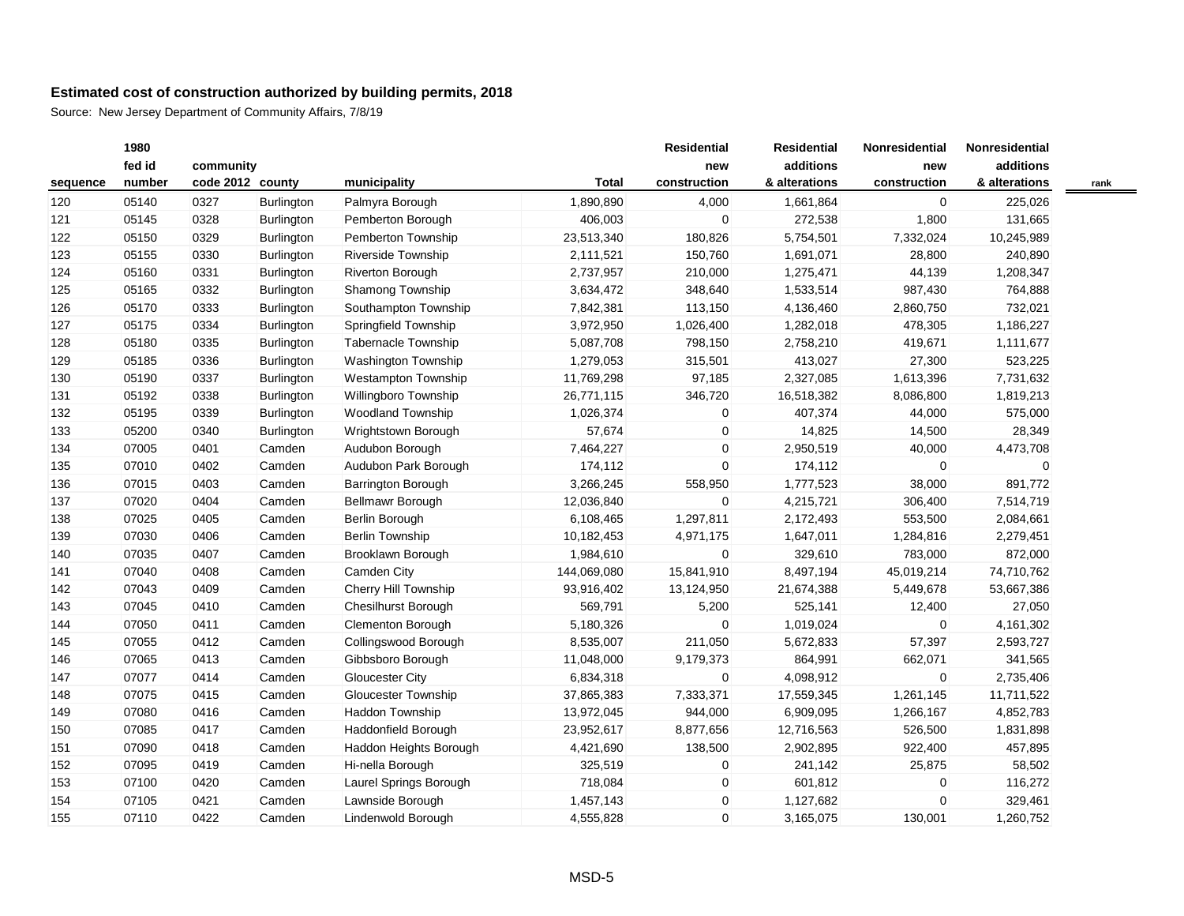|          | 1980   |                  |                   |                            |              | <b>Residential</b> | <b>Residential</b> | Nonresidential | Nonresidential |      |
|----------|--------|------------------|-------------------|----------------------------|--------------|--------------------|--------------------|----------------|----------------|------|
|          | fed id | community        |                   |                            |              | new                | additions          | new            | additions      |      |
| sequence | number | code 2012 county |                   | municipality               | <b>Total</b> | construction       | & alterations      | construction   | & alterations  | rank |
| 120      | 05140  | 0327             | Burlington        | Palmyra Borough            | 1,890,890    | 4,000              | 1,661,864          | $\overline{0}$ | 225,026        |      |
| 121      | 05145  | 0328             | Burlington        | Pemberton Borough          | 406,003      | $\mathbf 0$        | 272,538            | 1,800          | 131,665        |      |
| 122      | 05150  | 0329             | Burlington        | Pemberton Township         | 23,513,340   | 180,826            | 5,754,501          | 7,332,024      | 10,245,989     |      |
| 123      | 05155  | 0330             | Burlington        | Riverside Township         | 2,111,521    | 150,760            | 1,691,071          | 28,800         | 240,890        |      |
| 124      | 05160  | 0331             | Burlington        | Riverton Borough           | 2,737,957    | 210,000            | 1,275,471          | 44,139         | 1,208,347      |      |
| 125      | 05165  | 0332             | <b>Burlington</b> | Shamong Township           | 3,634,472    | 348,640            | 1,533,514          | 987,430        | 764,888        |      |
| 126      | 05170  | 0333             | <b>Burlington</b> | Southampton Township       | 7,842,381    | 113,150            | 4,136,460          | 2,860,750      | 732,021        |      |
| 127      | 05175  | 0334             | Burlington        | Springfield Township       | 3,972,950    | 1,026,400          | 1,282,018          | 478,305        | 1,186,227      |      |
| 128      | 05180  | 0335             | Burlington        | <b>Tabernacle Township</b> | 5,087,708    | 798,150            | 2,758,210          | 419,671        | 1,111,677      |      |
| 129      | 05185  | 0336             | Burlington        | Washington Township        | 1,279,053    | 315,501            | 413,027            | 27,300         | 523,225        |      |
| 130      | 05190  | 0337             | <b>Burlington</b> | Westampton Township        | 11,769,298   | 97,185             | 2,327,085          | 1,613,396      | 7,731,632      |      |
| 131      | 05192  | 0338             | Burlington        | Willingboro Township       | 26,771,115   | 346,720            | 16,518,382         | 8,086,800      | 1,819,213      |      |
| 132      | 05195  | 0339             | Burlington        | <b>Woodland Township</b>   | 1,026,374    | $\mathbf 0$        | 407,374            | 44,000         | 575,000        |      |
| 133      | 05200  | 0340             | Burlington        | Wrightstown Borough        | 57,674       | 0                  | 14,825             | 14,500         | 28,349         |      |
| 134      | 07005  | 0401             | Camden            | Audubon Borough            | 7,464,227    | 0                  | 2,950,519          | 40,000         | 4,473,708      |      |
| 135      | 07010  | 0402             | Camden            | Audubon Park Borough       | 174,112      | $\mathbf 0$        | 174,112            | $\mathbf{0}$   | 0              |      |
| 136      | 07015  | 0403             | Camden            | <b>Barrington Borough</b>  | 3,266,245    | 558,950            | 1,777,523          | 38,000         | 891,772        |      |
| 137      | 07020  | 0404             | Camden            | Bellmawr Borough           | 12,036,840   | 0                  | 4,215,721          | 306,400        | 7,514,719      |      |
| 138      | 07025  | 0405             | Camden            | Berlin Borough             | 6,108,465    | 1,297,811          | 2,172,493          | 553,500        | 2,084,661      |      |
| 139      | 07030  | 0406             | Camden            | <b>Berlin Township</b>     | 10,182,453   | 4,971,175          | 1,647,011          | 1,284,816      | 2,279,451      |      |
| 140      | 07035  | 0407             | Camden            | Brooklawn Borough          | 1,984,610    | 0                  | 329,610            | 783,000        | 872,000        |      |
| 141      | 07040  | 0408             | Camden            | Camden City                | 144,069,080  | 15,841,910         | 8,497,194          | 45,019,214     | 74,710,762     |      |
| 142      | 07043  | 0409             | Camden            | Cherry Hill Township       | 93,916,402   | 13,124,950         | 21,674,388         | 5,449,678      | 53,667,386     |      |
| 143      | 07045  | 0410             | Camden            | Chesilhurst Borough        | 569,791      | 5,200              | 525,141            | 12,400         | 27,050         |      |
| 144      | 07050  | 0411             | Camden            | Clementon Borough          | 5,180,326    | $\mathbf 0$        | 1,019,024          | $\overline{0}$ | 4,161,302      |      |
| 145      | 07055  | 0412             | Camden            | Collingswood Borough       | 8,535,007    | 211,050            | 5,672,833          | 57,397         | 2,593,727      |      |
| 146      | 07065  | 0413             | Camden            | Gibbsboro Borough          | 11,048,000   | 9,179,373          | 864,991            | 662,071        | 341,565        |      |
| 147      | 07077  | 0414             | Camden            | <b>Gloucester City</b>     | 6,834,318    | 0                  | 4,098,912          | $\mathbf 0$    | 2,735,406      |      |
| 148      | 07075  | 0415             | Camden            | Gloucester Township        | 37,865,383   | 7,333,371          | 17,559,345         | 1,261,145      | 11,711,522     |      |
| 149      | 07080  | 0416             | Camden            | Haddon Township            | 13,972,045   | 944,000            | 6,909,095          | 1,266,167      | 4,852,783      |      |
| 150      | 07085  | 0417             | Camden            | Haddonfield Borough        | 23,952,617   | 8,877,656          | 12,716,563         | 526,500        | 1,831,898      |      |
| 151      | 07090  | 0418             | Camden            | Haddon Heights Borough     | 4,421,690    | 138,500            | 2,902,895          | 922,400        | 457,895        |      |
| 152      | 07095  | 0419             | Camden            | Hi-nella Borough           | 325,519      | 0                  | 241,142            | 25,875         | 58,502         |      |
| 153      | 07100  | 0420             | Camden            | Laurel Springs Borough     | 718,084      | 0                  | 601,812            | $\mathbf 0$    | 116,272        |      |
| 154      | 07105  | 0421             | Camden            | Lawnside Borough           | 1,457,143    | $\mathbf 0$        | 1,127,682          | $\mathbf 0$    | 329,461        |      |
| 155      | 07110  | 0422             | Camden            | Lindenwold Borough         | 4,555,828    | $\mathbf 0$        | 3,165,075          | 130,001        | 1,260,752      |      |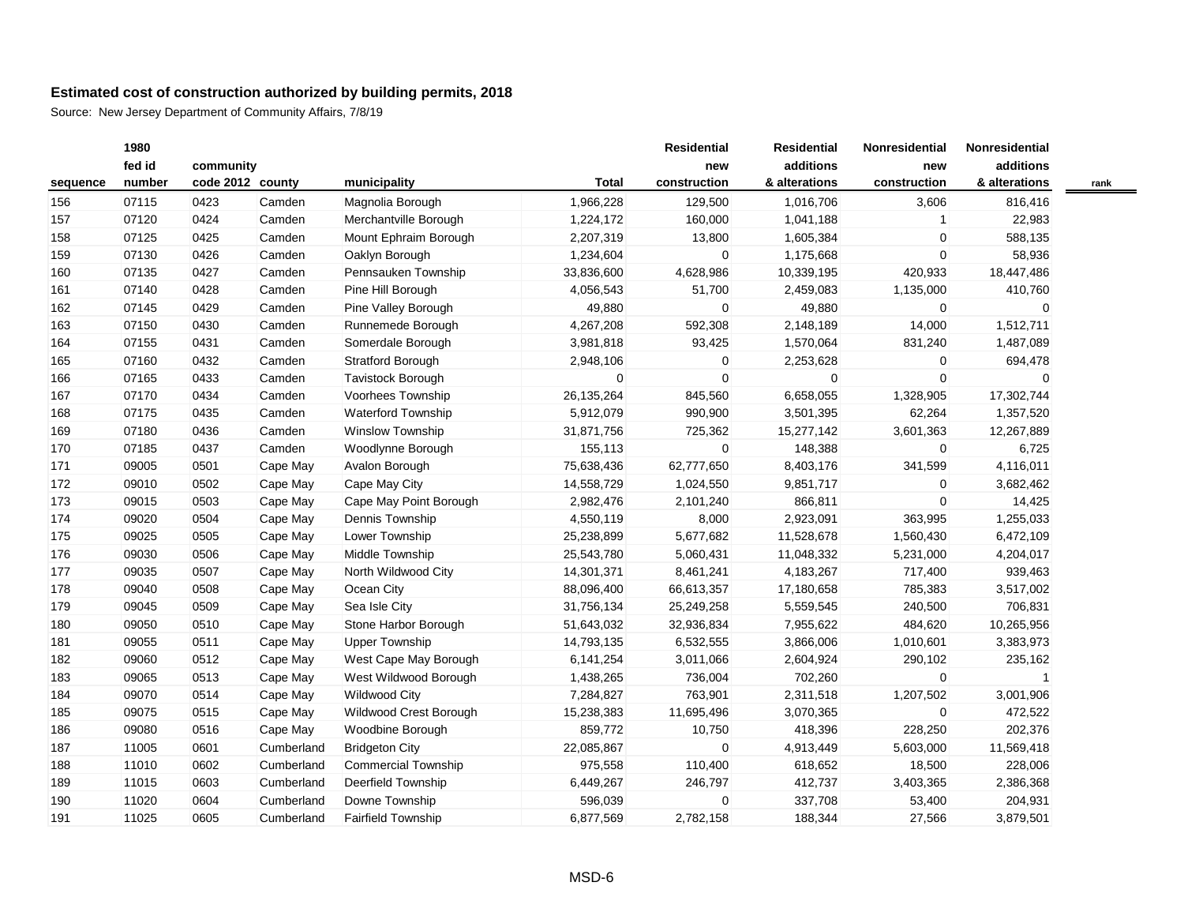|          | 1980   |                  |            |                            |              | <b>Residential</b> | <b>Residential</b> | <b>Nonresidential</b> | Nonresidential |      |
|----------|--------|------------------|------------|----------------------------|--------------|--------------------|--------------------|-----------------------|----------------|------|
|          | fed id | community        |            |                            |              | new                | additions          | new                   | additions      |      |
| sequence | number | code 2012 county |            | municipality               | <b>Total</b> | construction       | & alterations      | construction          | & alterations  | rank |
| 156      | 07115  | 0423             | Camden     | Magnolia Borough           | 1,966,228    | 129,500            | 1,016,706          | 3,606                 | 816,416        |      |
| 157      | 07120  | 0424             | Camden     | Merchantville Borough      | 1,224,172    | 160,000            | 1,041,188          | $\mathbf{1}$          | 22,983         |      |
| 158      | 07125  | 0425             | Camden     | Mount Ephraim Borough      | 2,207,319    | 13,800             | 1,605,384          | $\mathbf 0$           | 588,135        |      |
| 159      | 07130  | 0426             | Camden     | Oaklyn Borough             | 1,234,604    | 0                  | 1,175,668          | $\mathbf 0$           | 58,936         |      |
| 160      | 07135  | 0427             | Camden     | Pennsauken Township        | 33,836,600   | 4,628,986          | 10,339,195         | 420,933               | 18,447,486     |      |
| 161      | 07140  | 0428             | Camden     | Pine Hill Borough          | 4,056,543    | 51,700             | 2,459,083          | 1,135,000             | 410,760        |      |
| 162      | 07145  | 0429             | Camden     | Pine Valley Borough        | 49,880       | 0                  | 49,880             | $\mathbf 0$           | 0              |      |
| 163      | 07150  | 0430             | Camden     | Runnemede Borough          | 4,267,208    | 592,308            | 2,148,189          | 14,000                | 1,512,711      |      |
| 164      | 07155  | 0431             | Camden     | Somerdale Borough          | 3,981,818    | 93,425             | 1,570,064          | 831,240               | 1,487,089      |      |
| 165      | 07160  | 0432             | Camden     | <b>Stratford Borough</b>   | 2,948,106    | 0                  | 2,253,628          | $\mathbf 0$           | 694,478        |      |
| 166      | 07165  | 0433             | Camden     | <b>Tavistock Borough</b>   | $\mathbf 0$  | 0                  | $\mathbf 0$        | $\mathbf 0$           | 0              |      |
| 167      | 07170  | 0434             | Camden     | Voorhees Township          | 26, 135, 264 | 845,560            | 6,658,055          | 1,328,905             | 17,302,744     |      |
| 168      | 07175  | 0435             | Camden     | <b>Waterford Township</b>  | 5,912,079    | 990,900            | 3,501,395          | 62,264                | 1,357,520      |      |
| 169      | 07180  | 0436             | Camden     | Winslow Township           | 31,871,756   | 725,362            | 15,277,142         | 3,601,363             | 12,267,889     |      |
| 170      | 07185  | 0437             | Camden     | Woodlynne Borough          | 155,113      | 0                  | 148,388            | $\mathbf 0$           | 6,725          |      |
| 171      | 09005  | 0501             | Cape May   | Avalon Borough             | 75,638,436   | 62,777,650         | 8,403,176          | 341,599               | 4,116,011      |      |
| 172      | 09010  | 0502             | Cape May   | Cape May City              | 14,558,729   | 1,024,550          | 9,851,717          | $\mathbf 0$           | 3,682,462      |      |
| 173      | 09015  | 0503             | Cape May   | Cape May Point Borough     | 2,982,476    | 2,101,240          | 866,811            | $\mathbf 0$           | 14,425         |      |
| 174      | 09020  | 0504             | Cape May   | Dennis Township            | 4,550,119    | 8,000              | 2,923,091          | 363,995               | 1,255,033      |      |
| 175      | 09025  | 0505             | Cape May   | Lower Township             | 25,238,899   | 5,677,682          | 11,528,678         | 1,560,430             | 6,472,109      |      |
| 176      | 09030  | 0506             | Cape May   | Middle Township            | 25,543,780   | 5,060,431          | 11,048,332         | 5,231,000             | 4,204,017      |      |
| 177      | 09035  | 0507             | Cape May   | North Wildwood City        | 14,301,371   | 8,461,241          | 4,183,267          | 717,400               | 939,463        |      |
| 178      | 09040  | 0508             | Cape May   | Ocean City                 | 88,096,400   | 66,613,357         | 17,180,658         | 785,383               | 3,517,002      |      |
| 179      | 09045  | 0509             | Cape May   | Sea Isle City              | 31,756,134   | 25,249,258         | 5,559,545          | 240,500               | 706,831        |      |
| 180      | 09050  | 0510             | Cape May   | Stone Harbor Borough       | 51,643,032   | 32,936,834         | 7,955,622          | 484,620               | 10,265,956     |      |
| 181      | 09055  | 0511             | Cape May   | <b>Upper Township</b>      | 14,793,135   | 6,532,555          | 3,866,006          | 1,010,601             | 3,383,973      |      |
| 182      | 09060  | 0512             | Cape May   | West Cape May Borough      | 6,141,254    | 3,011,066          | 2,604,924          | 290,102               | 235,162        |      |
| 183      | 09065  | 0513             | Cape May   | West Wildwood Borough      | 1,438,265    | 736,004            | 702,260            | $\mathbf 0$           | 1              |      |
| 184      | 09070  | 0514             | Cape May   | <b>Wildwood City</b>       | 7,284,827    | 763,901            | 2,311,518          | 1,207,502             | 3,001,906      |      |
| 185      | 09075  | 0515             | Cape May   | Wildwood Crest Borough     | 15,238,383   | 11,695,496         | 3,070,365          | $\mathbf 0$           | 472,522        |      |
| 186      | 09080  | 0516             | Cape May   | Woodbine Borough           | 859,772      | 10,750             | 418,396            | 228,250               | 202,376        |      |
| 187      | 11005  | 0601             | Cumberland | <b>Bridgeton City</b>      | 22,085,867   | 0                  | 4,913,449          | 5,603,000             | 11,569,418     |      |
| 188      | 11010  | 0602             | Cumberland | <b>Commercial Township</b> | 975,558      | 110,400            | 618,652            | 18,500                | 228,006        |      |
| 189      | 11015  | 0603             | Cumberland | Deerfield Township         | 6,449,267    | 246,797            | 412,737            | 3,403,365             | 2,386,368      |      |
| 190      | 11020  | 0604             | Cumberland | Downe Township             | 596,039      | 0                  | 337,708            | 53,400                | 204,931        |      |
| 191      | 11025  | 0605             | Cumberland | Fairfield Township         | 6,877,569    | 2,782,158          | 188,344            | 27,566                | 3,879,501      |      |
|          |        |                  |            |                            |              |                    |                    |                       |                |      |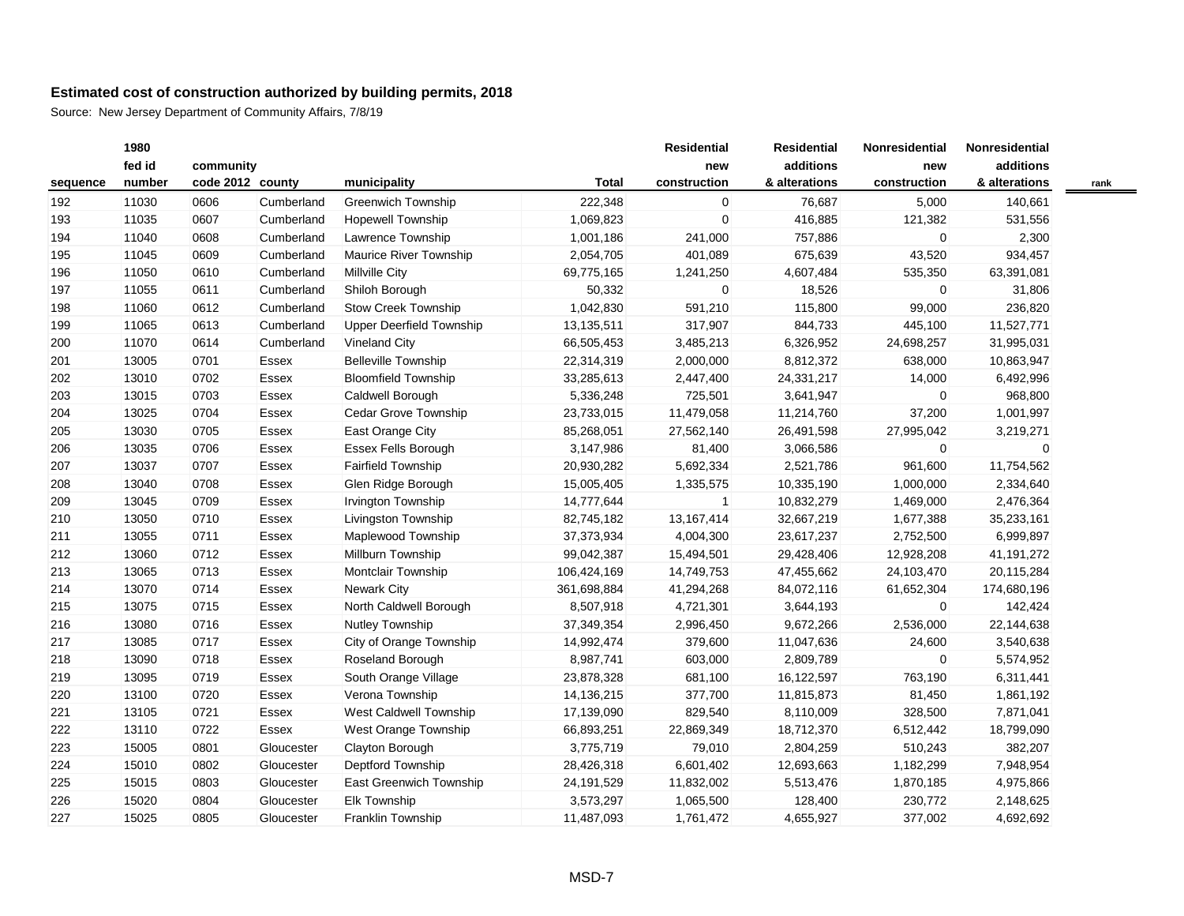| fed id<br>community<br>code 2012 county<br>number<br>municipality<br><b>Total</b><br>construction<br>sequence<br>222,348<br>11030<br>0606<br><b>Greenwich Township</b><br>192<br>Cumberland<br>0607<br>Cumberland<br><b>Hopewell Township</b><br>1,069,823<br>193<br>11035 | additions<br>new<br>& alterations<br>$\overline{0}$<br>76,687<br>$\Omega$<br>416,885<br>757,886<br>675,639 | new<br>construction<br>5,000<br>121,382<br>0 | additions<br>& alterations<br>140,661<br>531,556 | rank |
|----------------------------------------------------------------------------------------------------------------------------------------------------------------------------------------------------------------------------------------------------------------------------|------------------------------------------------------------------------------------------------------------|----------------------------------------------|--------------------------------------------------|------|
|                                                                                                                                                                                                                                                                            |                                                                                                            |                                              |                                                  |      |
|                                                                                                                                                                                                                                                                            |                                                                                                            |                                              |                                                  |      |
|                                                                                                                                                                                                                                                                            |                                                                                                            |                                              |                                                  |      |
|                                                                                                                                                                                                                                                                            |                                                                                                            |                                              |                                                  |      |
| Lawrence Township<br>11040<br>Cumberland<br>1,001,186<br>241,000<br>194<br>0608                                                                                                                                                                                            |                                                                                                            |                                              | 2,300                                            |      |
| 11045<br>0609<br>Cumberland<br>Maurice River Township<br>2,054,705<br>401,089<br>195                                                                                                                                                                                       |                                                                                                            | 43,520                                       | 934,457                                          |      |
| 11050<br>Cumberland<br><b>Millville City</b><br>196<br>0610<br>69,775,165<br>1,241,250                                                                                                                                                                                     | 4,607,484                                                                                                  | 535,350                                      | 63,391,081                                       |      |
| 11055<br>Cumberland<br>Shiloh Borough<br>50,332<br>197<br>0611                                                                                                                                                                                                             | 18,526<br>0                                                                                                | 0                                            | 31,806                                           |      |
| 198<br>11060<br>0612<br>Cumberland<br>Stow Creek Township<br>1,042,830<br>591,210                                                                                                                                                                                          | 115,800                                                                                                    | 99,000                                       | 236,820                                          |      |
| 199<br>11065<br>0613<br>Cumberland<br><b>Upper Deerfield Township</b><br>13,135,511<br>317,907                                                                                                                                                                             | 844,733                                                                                                    | 445,100                                      | 11,527,771                                       |      |
| 11070<br>200<br>0614<br>Cumberland<br>Vineland City<br>66,505,453<br>3,485,213                                                                                                                                                                                             | 6,326,952                                                                                                  | 24,698,257                                   | 31,995,031                                       |      |
| 13005<br><b>Belleville Township</b><br>2,000,000<br>201<br>0701<br>Essex<br>22,314,319                                                                                                                                                                                     | 8,812,372                                                                                                  | 638,000                                      | 10,863,947                                       |      |
| 202<br>13010<br>0702<br><b>Bloomfield Township</b><br>33,285,613<br>2,447,400<br>Essex                                                                                                                                                                                     | 24,331,217                                                                                                 | 14,000                                       | 6,492,996                                        |      |
| 203<br>0703<br>Caldwell Borough<br>725,501<br>13015<br>Essex<br>5,336,248                                                                                                                                                                                                  | 3,641,947                                                                                                  | $\overline{0}$                               | 968,800                                          |      |
| 204<br>0704<br>Cedar Grove Township<br>11,479,058<br>13025<br>Essex<br>23,733,015                                                                                                                                                                                          | 11,214,760                                                                                                 | 37,200                                       | 1,001,997                                        |      |
| East Orange City<br>205<br>13030<br>0705<br>Essex<br>85,268,051<br>27,562,140                                                                                                                                                                                              | 26,491,598                                                                                                 | 27,995,042                                   | 3,219,271                                        |      |
| 206<br>13035<br>0706<br>Essex Fells Borough<br>3,147,986<br>81,400<br>Essex                                                                                                                                                                                                | 3,066,586                                                                                                  | 0                                            | $\mathbf 0$                                      |      |
| 207<br>13037<br>0707<br>Essex<br><b>Fairfield Township</b><br>20,930,282<br>5,692,334                                                                                                                                                                                      | 2,521,786                                                                                                  | 961,600                                      | 11,754,562                                       |      |
| Glen Ridge Borough<br>208<br>13040<br>0708<br>Essex<br>15,005,405<br>1,335,575                                                                                                                                                                                             | 10,335,190                                                                                                 | 1,000,000                                    | 2,334,640                                        |      |
| 209<br>13045<br>0709<br>Essex<br>Irvington Township<br>14,777,644                                                                                                                                                                                                          | 10,832,279<br>1                                                                                            | 1,469,000                                    | 2,476,364                                        |      |
| 13, 167, 414<br>210<br>13050<br>0710<br>Livingston Township<br>Essex<br>82,745,182                                                                                                                                                                                         | 32,667,219                                                                                                 | 1,677,388                                    | 35,233,161                                       |      |
| 13055<br>Maplewood Township<br>211<br>0711<br>Essex<br>37,373,934<br>4,004,300                                                                                                                                                                                             | 23,617,237                                                                                                 | 2,752,500                                    | 6,999,897                                        |      |
| 0712<br>Millburn Township<br>99,042,387<br>212<br>13060<br>Essex<br>15,494,501                                                                                                                                                                                             | 29,428,406                                                                                                 | 12,928,208                                   | 41,191,272                                       |      |
| 213<br>13065<br>0713<br>Essex<br>Montclair Township<br>106,424,169<br>14,749,753                                                                                                                                                                                           | 47,455,662                                                                                                 | 24,103,470                                   | 20,115,284                                       |      |
| <b>Newark City</b><br>41,294,268<br>214<br>13070<br>0714<br>Essex<br>361,698,884                                                                                                                                                                                           | 84,072,116                                                                                                 | 61,652,304                                   | 174,680,196                                      |      |
| North Caldwell Borough<br>8,507,918<br>4,721,301<br>215<br>13075<br>0715<br>Essex                                                                                                                                                                                          | 3,644,193                                                                                                  | $\overline{0}$                               | 142,424                                          |      |
| <b>Nutley Township</b><br>216<br>13080<br>0716<br>Essex<br>37,349,354<br>2,996,450                                                                                                                                                                                         | 9,672,266                                                                                                  | 2,536,000                                    | 22,144,638                                       |      |
| City of Orange Township<br>217<br>13085<br>0717<br>Essex<br>14,992,474<br>379,600                                                                                                                                                                                          | 11,047,636                                                                                                 | 24,600                                       | 3,540,638                                        |      |
| 218<br>13090<br>0718<br>Essex<br>Roseland Borough<br>8,987,741<br>603,000                                                                                                                                                                                                  | 2,809,789                                                                                                  | 0                                            | 5,574,952                                        |      |
| 13095<br>South Orange Village<br>219<br>0719<br>Essex<br>23,878,328<br>681,100                                                                                                                                                                                             | 16,122,597                                                                                                 | 763,190                                      | 6,311,441                                        |      |
| Verona Township<br>220<br>13100<br>0720<br>Essex<br>14,136,215<br>377,700                                                                                                                                                                                                  | 11,815,873                                                                                                 | 81,450                                       | 1,861,192                                        |      |
| 221<br>13105<br>0721<br>West Caldwell Township<br>829,540<br>Essex<br>17,139,090                                                                                                                                                                                           | 8,110,009                                                                                                  | 328,500                                      | 7,871,041                                        |      |
| 222<br>13110<br>0722<br>West Orange Township<br>22,869,349<br>Essex<br>66,893,251                                                                                                                                                                                          | 18,712,370                                                                                                 | 6,512,442                                    | 18,799,090                                       |      |
| Clayton Borough<br>223<br>15005<br>0801<br>Gloucester<br>3,775,719<br>79,010                                                                                                                                                                                               | 2,804,259                                                                                                  | 510,243                                      | 382,207                                          |      |
| Deptford Township<br>224<br>15010<br>0802<br>Gloucester<br>28,426,318<br>6,601,402                                                                                                                                                                                         | 12,693,663                                                                                                 | 1,182,299                                    | 7,948,954                                        |      |
| 225<br>15015<br>0803<br>Gloucester<br>East Greenwich Township<br>11,832,002<br>24, 191, 529                                                                                                                                                                                | 5,513,476                                                                                                  | 1,870,185                                    | 4,975,866                                        |      |
| Elk Township<br>226<br>15020<br>0804<br>Gloucester<br>3,573,297<br>1,065,500                                                                                                                                                                                               | 128,400                                                                                                    | 230,772                                      | 2,148,625                                        |      |
| 227<br>15025<br>0805<br>Franklin Township<br>11,487,093<br>1,761,472<br>Gloucester                                                                                                                                                                                         | 4,655,927                                                                                                  | 377,002                                      | 4,692,692                                        |      |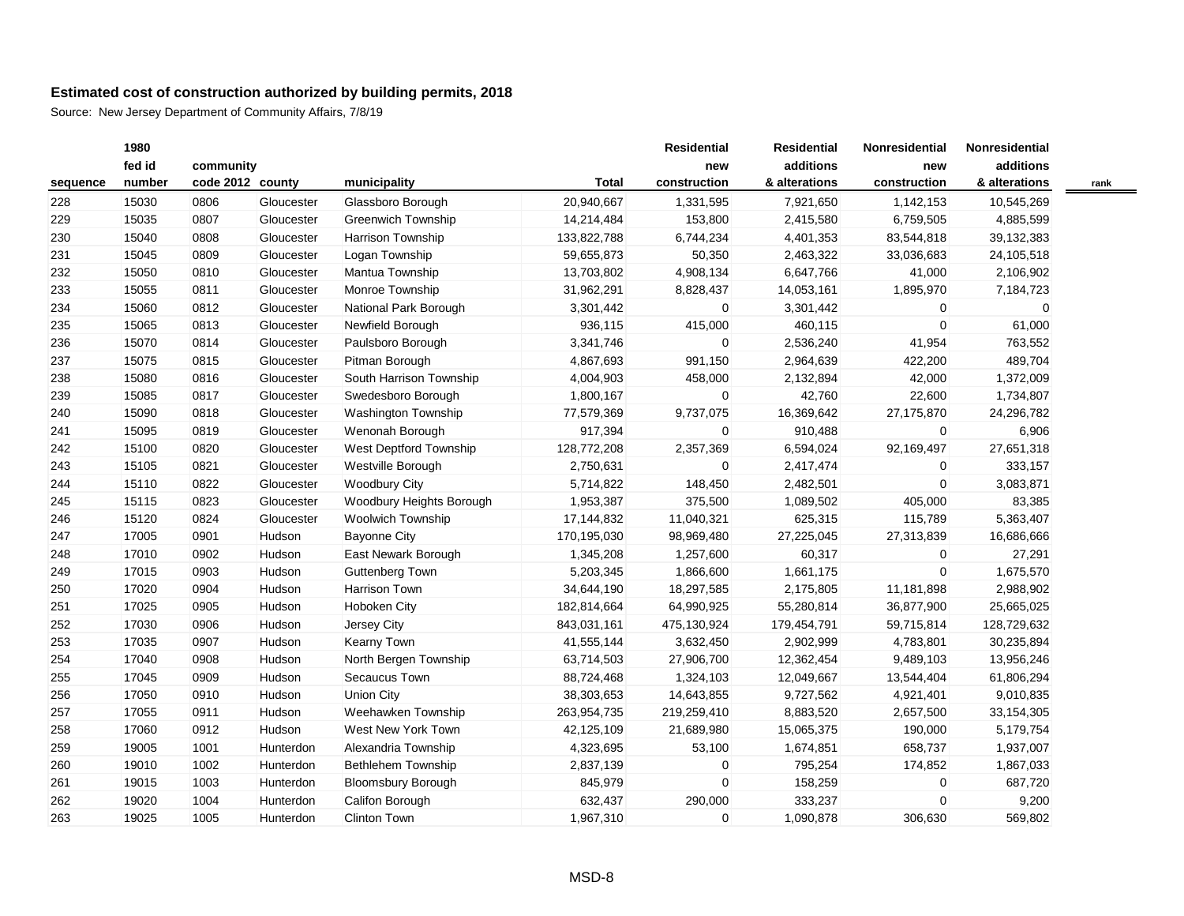|          | 1980   |                  |            |                           |              | <b>Residential</b> | <b>Residential</b> | Nonresidential | Nonresidential |      |
|----------|--------|------------------|------------|---------------------------|--------------|--------------------|--------------------|----------------|----------------|------|
|          | fed id | community        |            |                           |              | new                | additions          | new            | additions      |      |
| sequence | number | code 2012 county |            | municipality              | <b>Total</b> | construction       | & alterations      | construction   | & alterations  | rank |
| 228      | 15030  | 0806             | Gloucester | Glassboro Borough         | 20,940,667   | 1,331,595          | 7,921,650          | 1,142,153      | 10,545,269     |      |
| 229      | 15035  | 0807             | Gloucester | <b>Greenwich Township</b> | 14,214,484   | 153,800            | 2,415,580          | 6,759,505      | 4,885,599      |      |
| 230      | 15040  | 0808             | Gloucester | <b>Harrison Township</b>  | 133,822,788  | 6,744,234          | 4,401,353          | 83,544,818     | 39,132,383     |      |
| 231      | 15045  | 0809             | Gloucester | Logan Township            | 59,655,873   | 50,350             | 2,463,322          | 33,036,683     | 24,105,518     |      |
| 232      | 15050  | 0810             | Gloucester | Mantua Township           | 13,703,802   | 4,908,134          | 6,647,766          | 41,000         | 2,106,902      |      |
| 233      | 15055  | 0811             | Gloucester | Monroe Township           | 31,962,291   | 8,828,437          | 14,053,161         | 1,895,970      | 7,184,723      |      |
| 234      | 15060  | 0812             | Gloucester | National Park Borough     | 3,301,442    | 0                  | 3,301,442          | 0              | $\mathbf{0}$   |      |
| 235      | 15065  | 0813             | Gloucester | Newfield Borough          | 936,115      | 415,000            | 460,115            | $\mathbf 0$    | 61,000         |      |
| 236      | 15070  | 0814             | Gloucester | Paulsboro Borough         | 3,341,746    | 0                  | 2,536,240          | 41,954         | 763,552        |      |
| 237      | 15075  | 0815             | Gloucester | Pitman Borough            | 4,867,693    | 991,150            | 2,964,639          | 422,200        | 489,704        |      |
| 238      | 15080  | 0816             | Gloucester | South Harrison Township   | 4,004,903    | 458,000            | 2,132,894          | 42,000         | 1,372,009      |      |
| 239      | 15085  | 0817             | Gloucester | Swedesboro Borough        | 1,800,167    | $\mathbf 0$        | 42,760             | 22,600         | 1,734,807      |      |
| 240      | 15090  | 0818             | Gloucester | Washington Township       | 77,579,369   | 9,737,075          | 16,369,642         | 27,175,870     | 24,296,782     |      |
| 241      | 15095  | 0819             | Gloucester | Wenonah Borough           | 917,394      | 0                  | 910,488            | $\mathbf{0}$   | 6,906          |      |
| 242      | 15100  | 0820             | Gloucester | West Deptford Township    | 128,772,208  | 2,357,369          | 6,594,024          | 92,169,497     | 27,651,318     |      |
| 243      | 15105  | 0821             | Gloucester | Westville Borough         | 2,750,631    | 0                  | 2,417,474          | $\mathbf 0$    | 333,157        |      |
| 244      | 15110  | 0822             | Gloucester | <b>Woodbury City</b>      | 5,714,822    | 148,450            | 2,482,501          | $\overline{0}$ | 3,083,871      |      |
| 245      | 15115  | 0823             | Gloucester | Woodbury Heights Borough  | 1,953,387    | 375,500            | 1,089,502          | 405,000        | 83,385         |      |
| 246      | 15120  | 0824             | Gloucester | Woolwich Township         | 17,144,832   | 11,040,321         | 625,315            | 115,789        | 5,363,407      |      |
| 247      | 17005  | 0901             | Hudson     | <b>Bayonne City</b>       | 170,195,030  | 98,969,480         | 27,225,045         | 27,313,839     | 16,686,666     |      |
| 248      | 17010  | 0902             | Hudson     | East Newark Borough       | 1,345,208    | 1,257,600          | 60,317             | $\mathbf 0$    | 27,291         |      |
| 249      | 17015  | 0903             | Hudson     | Guttenberg Town           | 5,203,345    | 1,866,600          | 1,661,175          | $\mathbf 0$    | 1,675,570      |      |
| 250      | 17020  | 0904             | Hudson     | <b>Harrison Town</b>      | 34,644,190   | 18,297,585         | 2,175,805          | 11,181,898     | 2,988,902      |      |
| 251      | 17025  | 0905             | Hudson     | Hoboken City              | 182,814,664  | 64,990,925         | 55,280,814         | 36,877,900     | 25,665,025     |      |
| 252      | 17030  | 0906             | Hudson     | Jersey City               | 843,031,161  | 475,130,924        | 179,454,791        | 59,715,814     | 128,729,632    |      |
| 253      | 17035  | 0907             | Hudson     | Kearny Town               | 41,555,144   | 3,632,450          | 2,902,999          | 4,783,801      | 30,235,894     |      |
| 254      | 17040  | 0908             | Hudson     | North Bergen Township     | 63,714,503   | 27,906,700         | 12,362,454         | 9,489,103      | 13,956,246     |      |
| 255      | 17045  | 0909             | Hudson     | Secaucus Town             | 88,724,468   | 1,324,103          | 12,049,667         | 13,544,404     | 61,806,294     |      |
| 256      | 17050  | 0910             | Hudson     | <b>Union City</b>         | 38,303,653   | 14,643,855         | 9,727,562          | 4,921,401      | 9,010,835      |      |
| 257      | 17055  | 0911             | Hudson     | Weehawken Township        | 263,954,735  | 219,259,410        | 8,883,520          | 2,657,500      | 33,154,305     |      |
| 258      | 17060  | 0912             | Hudson     | West New York Town        | 42,125,109   | 21,689,980         | 15,065,375         | 190,000        | 5,179,754      |      |
| 259      | 19005  | 1001             | Hunterdon  | Alexandria Township       | 4,323,695    | 53,100             | 1,674,851          | 658,737        | 1,937,007      |      |
| 260      | 19010  | 1002             | Hunterdon  | Bethlehem Township        | 2,837,139    | $\mathbf 0$        | 795,254            | 174,852        | 1,867,033      |      |
| 261      | 19015  | 1003             | Hunterdon  | Bloomsbury Borough        | 845,979      | $\mathbf 0$        | 158,259            | $\mathbf 0$    | 687,720        |      |
| 262      | 19020  | 1004             | Hunterdon  | Califon Borough           | 632,437      | 290,000            | 333,237            | $\mathbf 0$    | 9,200          |      |
| 263      | 19025  | 1005             | Hunterdon  | Clinton Town              | 1,967,310    | $\mathbf 0$        | 1,090,878          | 306,630        | 569,802        |      |
|          |        |                  |            |                           |              |                    |                    |                |                |      |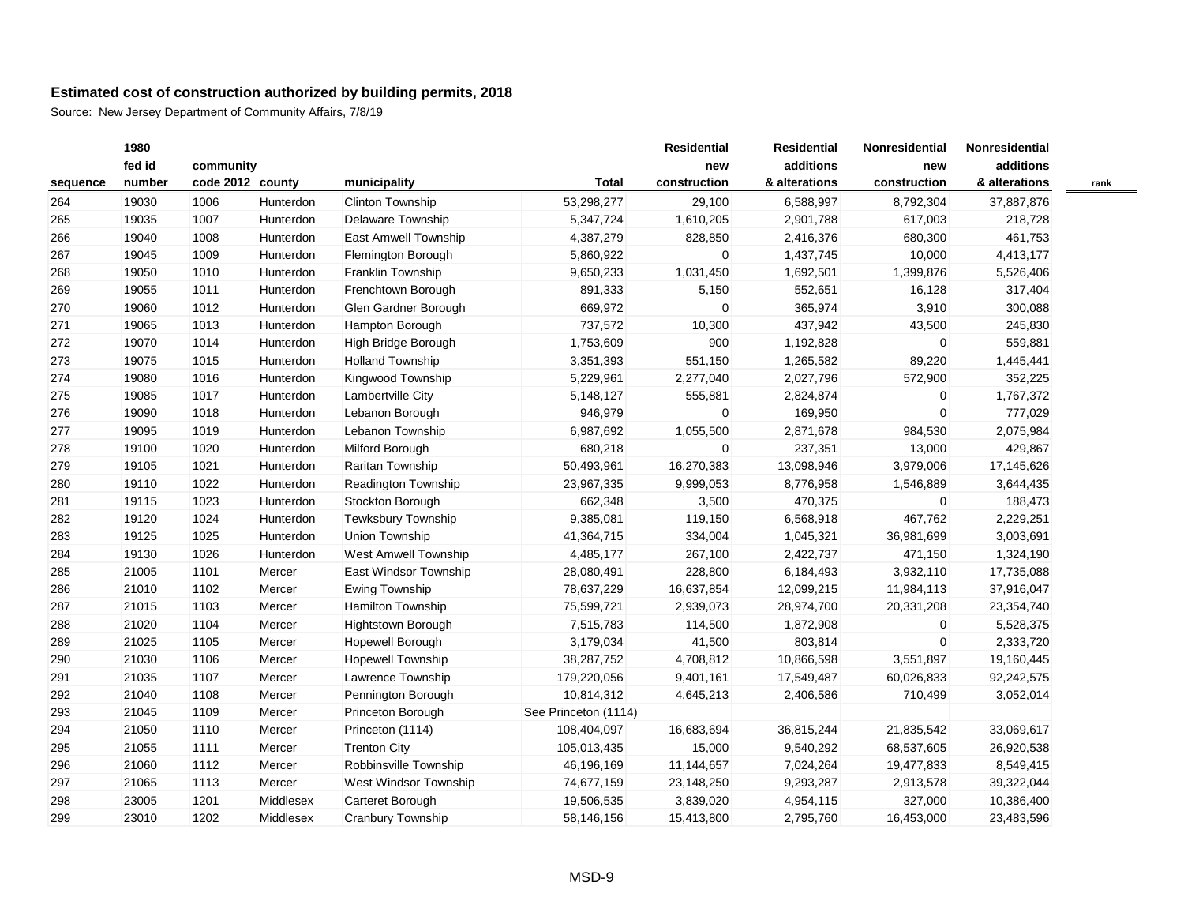|          | 1980   |                  |           |                           |                      | <b>Residential</b> | <b>Residential</b> | Nonresidential | Nonresidential |      |
|----------|--------|------------------|-----------|---------------------------|----------------------|--------------------|--------------------|----------------|----------------|------|
|          | fed id | community        |           |                           |                      | new                | additions          | new            | additions      |      |
| sequence | number | code 2012 county |           | municipality              | <b>Total</b>         | construction       | & alterations      | construction   | & alterations  | rank |
| 264      | 19030  | 1006             | Hunterdon | Clinton Township          | 53,298,277           | 29,100             | 6,588,997          | 8,792,304      | 37,887,876     |      |
| 265      | 19035  | 1007             | Hunterdon | Delaware Township         | 5,347,724            | 1,610,205          | 2,901,788          | 617,003        | 218,728        |      |
| 266      | 19040  | 1008             | Hunterdon | East Amwell Township      | 4,387,279            | 828,850            | 2,416,376          | 680,300        | 461,753        |      |
| 267      | 19045  | 1009             | Hunterdon | Flemington Borough        | 5,860,922            | 0                  | 1,437,745          | 10,000         | 4,413,177      |      |
| 268      | 19050  | 1010             | Hunterdon | <b>Franklin Township</b>  | 9,650,233            | 1,031,450          | 1,692,501          | 1,399,876      | 5,526,406      |      |
| 269      | 19055  | 1011             | Hunterdon | Frenchtown Borough        | 891,333              | 5,150              | 552,651            | 16,128         | 317,404        |      |
| 270      | 19060  | 1012             | Hunterdon | Glen Gardner Borough      | 669,972              | 0                  | 365,974            | 3,910          | 300,088        |      |
| 271      | 19065  | 1013             | Hunterdon | <b>Hampton Borough</b>    | 737,572              | 10,300             | 437,942            | 43,500         | 245,830        |      |
| 272      | 19070  | 1014             | Hunterdon | High Bridge Borough       | 1,753,609            | 900                | 1,192,828          | $\mathbf 0$    | 559,881        |      |
| 273      | 19075  | 1015             | Hunterdon | <b>Holland Township</b>   | 3,351,393            | 551,150            | 1,265,582          | 89,220         | 1,445,441      |      |
| 274      | 19080  | 1016             | Hunterdon | Kingwood Township         | 5,229,961            | 2,277,040          | 2,027,796          | 572,900        | 352,225        |      |
| 275      | 19085  | 1017             | Hunterdon | Lambertville City         | 5,148,127            | 555,881            | 2,824,874          | $\mathbf{0}$   | 1,767,372      |      |
| 276      | 19090  | 1018             | Hunterdon | Lebanon Borough           | 946,979              | $\mathbf 0$        | 169,950            | $\mathbf{0}$   | 777,029        |      |
| 277      | 19095  | 1019             | Hunterdon | Lebanon Township          | 6,987,692            | 1,055,500          | 2,871,678          | 984,530        | 2,075,984      |      |
| 278      | 19100  | 1020             | Hunterdon | Milford Borough           | 680,218              | $\mathbf 0$        | 237,351            | 13,000         | 429,867        |      |
| 279      | 19105  | 1021             | Hunterdon | Raritan Township          | 50,493,961           | 16,270,383         | 13,098,946         | 3,979,006      | 17,145,626     |      |
| 280      | 19110  | 1022             | Hunterdon | Readington Township       | 23,967,335           | 9,999,053          | 8,776,958          | 1,546,889      | 3,644,435      |      |
| 281      | 19115  | 1023             | Hunterdon | Stockton Borough          | 662,348              | 3,500              | 470,375            | $\mathbf 0$    | 188,473        |      |
| 282      | 19120  | 1024             | Hunterdon | Tewksbury Township        | 9,385,081            | 119,150            | 6,568,918          | 467,762        | 2,229,251      |      |
| 283      | 19125  | 1025             | Hunterdon | Union Township            | 41,364,715           | 334,004            | 1,045,321          | 36,981,699     | 3,003,691      |      |
| 284      | 19130  | 1026             | Hunterdon | West Amwell Township      | 4,485,177            | 267,100            | 2,422,737          | 471,150        | 1,324,190      |      |
| 285      | 21005  | 1101             | Mercer    | East Windsor Township     | 28,080,491           | 228,800            | 6,184,493          | 3,932,110      | 17,735,088     |      |
| 286      | 21010  | 1102             | Mercer    | Ewing Township            | 78,637,229           | 16,637,854         | 12,099,215         | 11,984,113     | 37,916,047     |      |
| 287      | 21015  | 1103             | Mercer    | Hamilton Township         | 75,599,721           | 2,939,073          | 28,974,700         | 20,331,208     | 23,354,740     |      |
| 288      | 21020  | 1104             | Mercer    | <b>Hightstown Borough</b> | 7,515,783            | 114,500            | 1,872,908          | $\overline{0}$ | 5,528,375      |      |
| 289      | 21025  | 1105             | Mercer    | Hopewell Borough          | 3,179,034            | 41,500             | 803,814            | $\overline{0}$ | 2,333,720      |      |
| 290      | 21030  | 1106             | Mercer    | <b>Hopewell Township</b>  | 38,287,752           | 4,708,812          | 10,866,598         | 3,551,897      | 19,160,445     |      |
| 291      | 21035  | 1107             | Mercer    | Lawrence Township         | 179,220,056          | 9,401,161          | 17,549,487         | 60,026,833     | 92,242,575     |      |
| 292      | 21040  | 1108             | Mercer    | Pennington Borough        | 10,814,312           | 4,645,213          | 2,406,586          | 710,499        | 3,052,014      |      |
| 293      | 21045  | 1109             | Mercer    | Princeton Borough         | See Princeton (1114) |                    |                    |                |                |      |
| 294      | 21050  | 1110             | Mercer    | Princeton (1114)          | 108,404,097          | 16,683,694         | 36,815,244         | 21,835,542     | 33,069,617     |      |
| 295      | 21055  | 1111             | Mercer    | <b>Trenton City</b>       | 105,013,435          | 15,000             | 9,540,292          | 68,537,605     | 26,920,538     |      |
| 296      | 21060  | 1112             | Mercer    | Robbinsville Township     | 46,196,169           | 11,144,657         | 7,024,264          | 19,477,833     | 8,549,415      |      |
| 297      | 21065  | 1113             | Mercer    | West Windsor Township     | 74,677,159           | 23,148,250         | 9,293,287          | 2,913,578      | 39,322,044     |      |
| 298      | 23005  | 1201             | Middlesex | Carteret Borough          | 19,506,535           | 3,839,020          | 4,954,115          | 327,000        | 10,386,400     |      |
| 299      | 23010  | 1202             | Middlesex | Cranbury Township         | 58,146,156           | 15,413,800         | 2,795,760          | 16,453,000     | 23,483,596     |      |
|          |        |                  |           |                           |                      |                    |                    |                |                |      |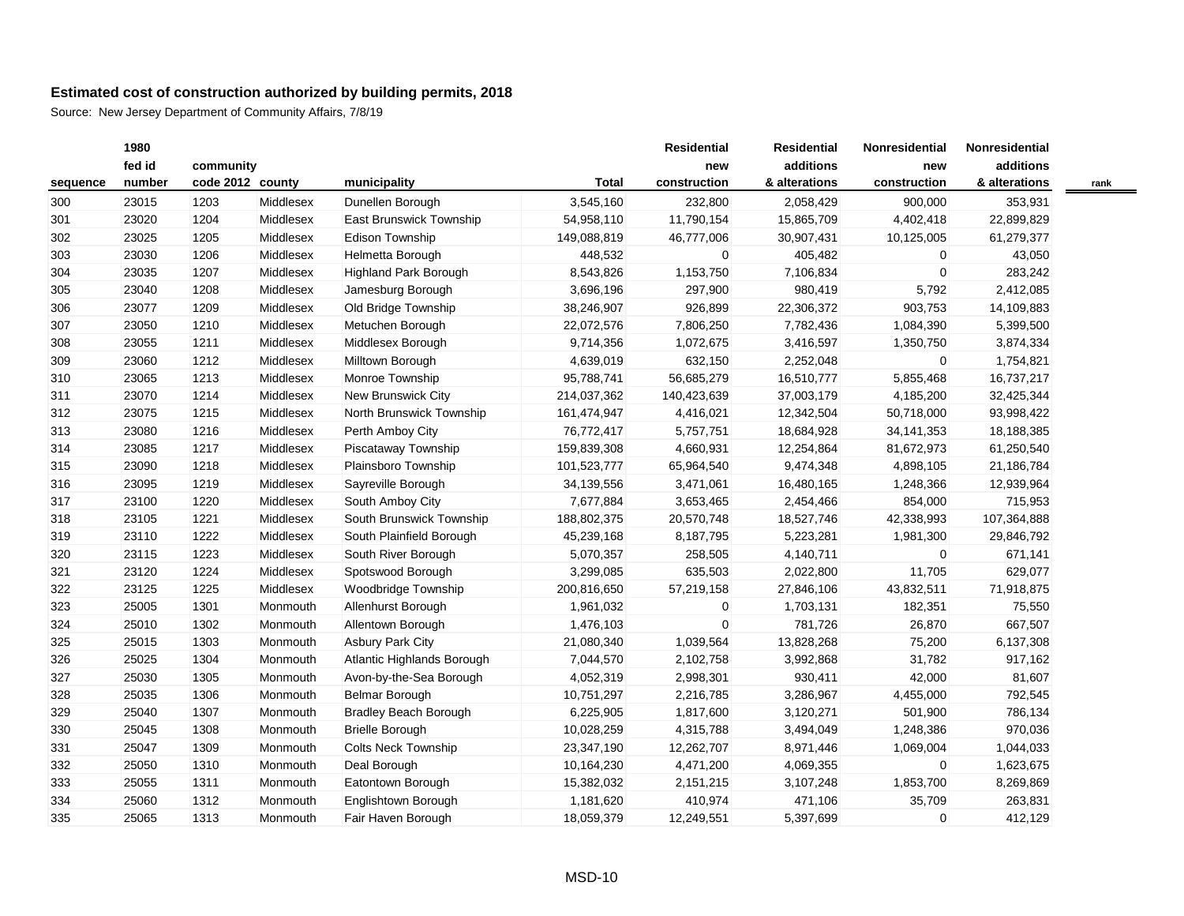|          | 1980   |                  |           |                              |              | <b>Residential</b> | <b>Residential</b> | Nonresidential | Nonresidential |      |
|----------|--------|------------------|-----------|------------------------------|--------------|--------------------|--------------------|----------------|----------------|------|
|          | fed id | community        |           |                              |              | new                | additions          | new            | additions      |      |
| sequence | number | code 2012 county |           | municipality                 | <b>Total</b> | construction       | & alterations      | construction   | & alterations  | rank |
| 300      | 23015  | 1203             | Middlesex | Dunellen Borough             | 3,545,160    | 232,800            | 2,058,429          | 900,000        | 353,931        |      |
| 301      | 23020  | 1204             | Middlesex | East Brunswick Township      | 54,958,110   | 11,790,154         | 15,865,709         | 4,402,418      | 22,899,829     |      |
| 302      | 23025  | 1205             | Middlesex | Edison Township              | 149,088,819  | 46,777,006         | 30,907,431         | 10,125,005     | 61,279,377     |      |
| 303      | 23030  | 1206             | Middlesex | Helmetta Borough             | 448,532      | 0                  | 405,482            | $\mathbf 0$    | 43,050         |      |
| 304      | 23035  | 1207             | Middlesex | <b>Highland Park Borough</b> | 8,543,826    | 1,153,750          | 7,106,834          | $\mathbf{0}$   | 283,242        |      |
| 305      | 23040  | 1208             | Middlesex | Jamesburg Borough            | 3,696,196    | 297,900            | 980,419            | 5,792          | 2,412,085      |      |
| 306      | 23077  | 1209             | Middlesex | Old Bridge Township          | 38,246,907   | 926,899            | 22,306,372         | 903,753        | 14,109,883     |      |
| 307      | 23050  | 1210             | Middlesex | Metuchen Borough             | 22,072,576   | 7,806,250          | 7,782,436          | 1,084,390      | 5,399,500      |      |
| 308      | 23055  | 1211             | Middlesex | Middlesex Borough            | 9,714,356    | 1,072,675          | 3,416,597          | 1,350,750      | 3,874,334      |      |
| 309      | 23060  | 1212             | Middlesex | Milltown Borough             | 4,639,019    | 632,150            | 2,252,048          | $\mathbf 0$    | 1,754,821      |      |
| 310      | 23065  | 1213             | Middlesex | Monroe Township              | 95,788,741   | 56,685,279         | 16,510,777         | 5,855,468      | 16,737,217     |      |
| 311      | 23070  | 1214             | Middlesex | New Brunswick City           | 214,037,362  | 140,423,639        | 37,003,179         | 4,185,200      | 32,425,344     |      |
| 312      | 23075  | 1215             | Middlesex | North Brunswick Township     | 161,474,947  | 4,416,021          | 12,342,504         | 50,718,000     | 93,998,422     |      |
| 313      | 23080  | 1216             | Middlesex | Perth Amboy City             | 76,772,417   | 5,757,751          | 18,684,928         | 34, 141, 353   | 18,188,385     |      |
| 314      | 23085  | 1217             | Middlesex | Piscataway Township          | 159,839,308  | 4,660,931          | 12,254,864         | 81,672,973     | 61,250,540     |      |
| 315      | 23090  | 1218             | Middlesex | Plainsboro Township          | 101,523,777  | 65,964,540         | 9,474,348          | 4,898,105      | 21,186,784     |      |
| 316      | 23095  | 1219             | Middlesex | Sayreville Borough           | 34,139,556   | 3,471,061          | 16,480,165         | 1,248,366      | 12,939,964     |      |
| 317      | 23100  | 1220             | Middlesex | South Amboy City             | 7,677,884    | 3,653,465          | 2,454,466          | 854,000        | 715,953        |      |
| 318      | 23105  | 1221             | Middlesex | South Brunswick Township     | 188,802,375  | 20,570,748         | 18,527,746         | 42,338,993     | 107,364,888    |      |
| 319      | 23110  | 1222             | Middlesex | South Plainfield Borough     | 45,239,168   | 8,187,795          | 5,223,281          | 1,981,300      | 29,846,792     |      |
| 320      | 23115  | 1223             | Middlesex | South River Borough          | 5,070,357    | 258,505            | 4,140,711          | $\mathbf 0$    | 671,141        |      |
| 321      | 23120  | 1224             | Middlesex | Spotswood Borough            | 3,299,085    | 635,503            | 2,022,800          | 11,705         | 629,077        |      |
| 322      | 23125  | 1225             | Middlesex | Woodbridge Township          | 200,816,650  | 57,219,158         | 27,846,106         | 43,832,511     | 71,918,875     |      |
| 323      | 25005  | 1301             | Monmouth  | Allenhurst Borough           | 1,961,032    | $\mathbf 0$        | 1,703,131          | 182,351        | 75,550         |      |
| 324      | 25010  | 1302             | Monmouth  | Allentown Borough            | 1,476,103    | $\mathbf 0$        | 781,726            | 26,870         | 667,507        |      |
| 325      | 25015  | 1303             | Monmouth  | <b>Asbury Park City</b>      | 21,080,340   | 1,039,564          | 13,828,268         | 75,200         | 6,137,308      |      |
| 326      | 25025  | 1304             | Monmouth  | Atlantic Highlands Borough   | 7,044,570    | 2,102,758          | 3,992,868          | 31,782         | 917,162        |      |
| 327      | 25030  | 1305             | Monmouth  | Avon-by-the-Sea Borough      | 4,052,319    | 2,998,301          | 930,411            | 42,000         | 81,607         |      |
| 328      | 25035  | 1306             | Monmouth  | Belmar Borough               | 10,751,297   | 2,216,785          | 3,286,967          | 4,455,000      | 792,545        |      |
| 329      | 25040  | 1307             | Monmouth  | <b>Bradley Beach Borough</b> | 6,225,905    | 1,817,600          | 3,120,271          | 501,900        | 786,134        |      |
| 330      | 25045  | 1308             | Monmouth  | <b>Brielle Borough</b>       | 10,028,259   | 4,315,788          | 3,494,049          | 1,248,386      | 970,036        |      |
| 331      | 25047  | 1309             | Monmouth  | <b>Colts Neck Township</b>   | 23,347,190   | 12,262,707         | 8,971,446          | 1,069,004      | 1,044,033      |      |
| 332      | 25050  | 1310             | Monmouth  | Deal Borough                 | 10,164,230   | 4,471,200          | 4,069,355          | $\mathbf 0$    | 1,623,675      |      |
| 333      | 25055  | 1311             | Monmouth  | Eatontown Borough            | 15,382,032   | 2,151,215          | 3,107,248          | 1,853,700      | 8,269,869      |      |
| 334      | 25060  | 1312             | Monmouth  | Englishtown Borough          | 1,181,620    | 410,974            | 471,106            | 35,709         | 263,831        |      |
| 335      | 25065  | 1313             | Monmouth  | Fair Haven Borough           | 18,059,379   | 12,249,551         | 5,397,699          | $\mathbf 0$    | 412,129        |      |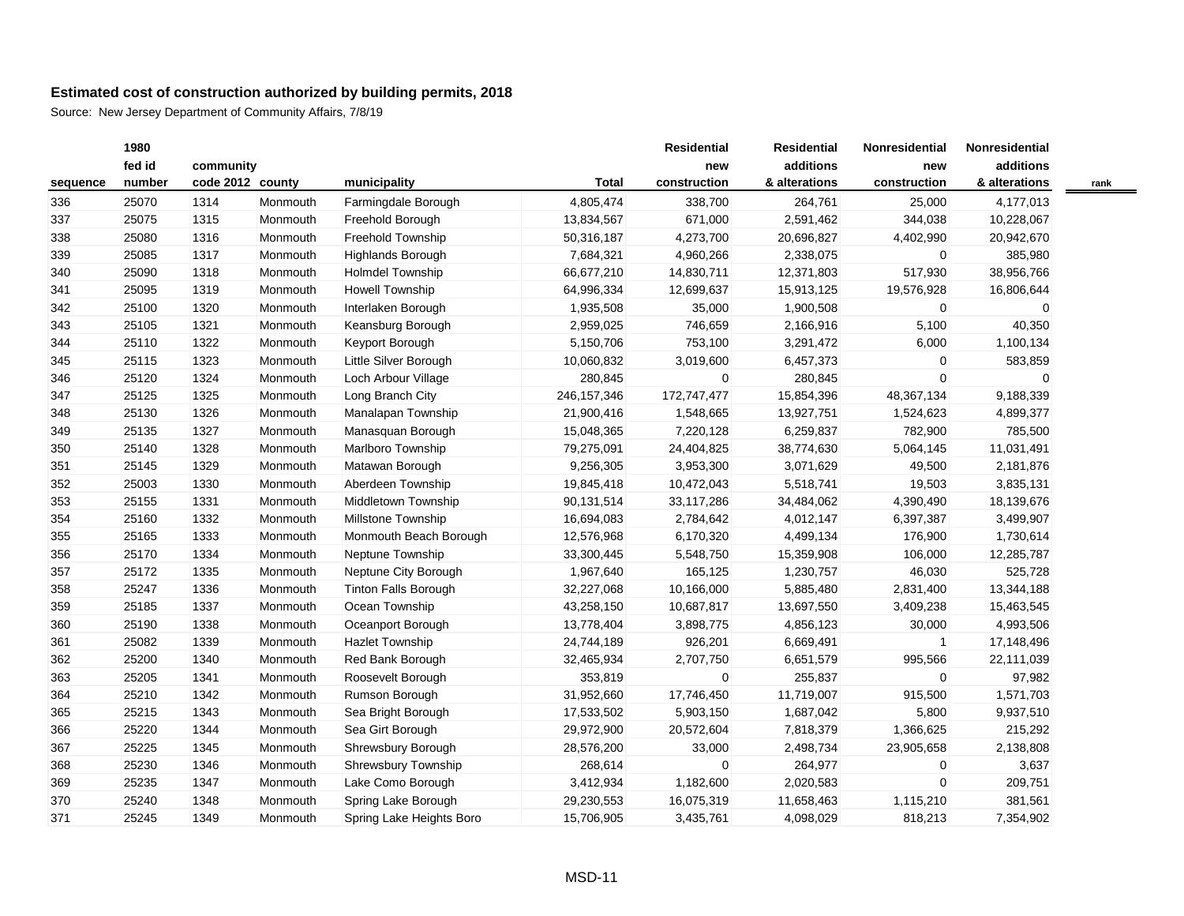|          | 1980   |                  |          |                             |               | <b>Residential</b> | <b>Residential</b> | Nonresidential | Nonresidential |      |
|----------|--------|------------------|----------|-----------------------------|---------------|--------------------|--------------------|----------------|----------------|------|
|          | fed id | community        |          |                             |               | new                | additions          | new            | additions      |      |
| sequence | number | code 2012 county |          | municipality                | <b>Total</b>  | construction       | & alterations      | construction   | & alterations  | rank |
| 336      | 25070  | 1314             | Monmouth | Farmingdale Borough         | 4,805,474     | 338,700            | 264,761            | 25,000         | 4,177,013      |      |
| 337      | 25075  | 1315             | Monmouth | Freehold Borough            | 13,834,567    | 671,000            | 2,591,462          | 344,038        | 10,228,067     |      |
| 338      | 25080  | 1316             | Monmouth | Freehold Township           | 50,316,187    | 4,273,700          | 20,696,827         | 4,402,990      | 20,942,670     |      |
| 339      | 25085  | 1317             | Monmouth | <b>Highlands Borough</b>    | 7,684,321     | 4,960,266          | 2,338,075          | 0              | 385,980        |      |
| 340      | 25090  | 1318             | Monmouth | <b>Holmdel Township</b>     | 66,677,210    | 14,830,711         | 12,371,803         | 517,930        | 38,956,766     |      |
| 341      | 25095  | 1319             | Monmouth | Howell Township             | 64,996,334    | 12,699,637         | 15,913,125         | 19,576,928     | 16,806,644     |      |
| 342      | 25100  | 1320             | Monmouth | Interlaken Borough          | 1,935,508     | 35,000             | 1,900,508          | $\mathbf 0$    | $\mathbf 0$    |      |
| 343      | 25105  | 1321             | Monmouth | Keansburg Borough           | 2,959,025     | 746,659            | 2,166,916          | 5,100          | 40,350         |      |
| 344      | 25110  | 1322             | Monmouth | Keyport Borough             | 5,150,706     | 753,100            | 3,291,472          | 6,000          | 1,100,134      |      |
| 345      | 25115  | 1323             | Monmouth | Little Silver Borough       | 10,060,832    | 3,019,600          | 6,457,373          | 0              | 583,859        |      |
| 346      | 25120  | 1324             | Monmouth | Loch Arbour Village         | 280,845       | 0                  | 280,845            | $\Omega$       | $\mathbf 0$    |      |
| 347      | 25125  | 1325             | Monmouth | Long Branch City            | 246, 157, 346 | 172,747,477        | 15,854,396         | 48,367,134     | 9,188,339      |      |
| 348      | 25130  | 1326             | Monmouth | Manalapan Township          | 21,900,416    | 1,548,665          | 13,927,751         | 1,524,623      | 4,899,377      |      |
| 349      | 25135  | 1327             | Monmouth | Manasquan Borough           | 15,048,365    | 7,220,128          | 6,259,837          | 782,900        | 785,500        |      |
| 350      | 25140  | 1328             | Monmouth | Marlboro Township           | 79,275,091    | 24,404,825         | 38,774,630         | 5,064,145      | 11,031,491     |      |
| 351      | 25145  | 1329             | Monmouth | Matawan Borough             | 9,256,305     | 3,953,300          | 3,071,629          | 49,500         | 2,181,876      |      |
| 352      | 25003  | 1330             | Monmouth | Aberdeen Township           | 19,845,418    | 10,472,043         | 5,518,741          | 19,503         | 3,835,131      |      |
| 353      | 25155  | 1331             | Monmouth | Middletown Township         | 90,131,514    | 33,117,286         | 34,484,062         | 4,390,490      | 18,139,676     |      |
| 354      | 25160  | 1332             | Monmouth | Millstone Township          | 16,694,083    | 2,784,642          | 4,012,147          | 6,397,387      | 3,499,907      |      |
| 355      | 25165  | 1333             | Monmouth | Monmouth Beach Borough      | 12,576,968    | 6,170,320          | 4,499,134          | 176,900        | 1,730,614      |      |
| 356      | 25170  | 1334             | Monmouth | Neptune Township            | 33,300,445    | 5,548,750          | 15,359,908         | 106,000        | 12,285,787     |      |
| 357      | 25172  | 1335             | Monmouth | Neptune City Borough        | 1,967,640     | 165,125            | 1,230,757          | 46,030         | 525,728        |      |
| 358      | 25247  | 1336             | Monmouth | <b>Tinton Falls Borough</b> | 32,227,068    | 10,166,000         | 5,885,480          | 2,831,400      | 13,344,188     |      |
| 359      | 25185  | 1337             | Monmouth | Ocean Township              | 43,258,150    | 10,687,817         | 13,697,550         | 3,409,238      | 15,463,545     |      |
| 360      | 25190  | 1338             | Monmouth | Oceanport Borough           | 13,778,404    | 3,898,775          | 4,856,123          | 30,000         | 4,993,506      |      |
| 361      | 25082  | 1339             | Monmouth | Hazlet Township             | 24,744,189    | 926,201            | 6,669,491          | $\mathbf{1}$   | 17,148,496     |      |
| 362      | 25200  | 1340             | Monmouth | Red Bank Borough            | 32,465,934    | 2,707,750          | 6,651,579          | 995,566        | 22,111,039     |      |
| 363      | 25205  | 1341             | Monmouth | Roosevelt Borough           | 353,819       | 0                  | 255,837            | 0              | 97,982         |      |
| 364      | 25210  | 1342             | Monmouth | Rumson Borough              | 31,952,660    | 17,746,450         | 11,719,007         | 915,500        | 1,571,703      |      |
| 365      | 25215  | 1343             | Monmouth | Sea Bright Borough          | 17,533,502    | 5,903,150          | 1,687,042          | 5,800          | 9,937,510      |      |
| 366      | 25220  | 1344             | Monmouth | Sea Girt Borough            | 29,972,900    | 20,572,604         | 7,818,379          | 1,366,625      | 215,292        |      |
| 367      | 25225  | 1345             | Monmouth | Shrewsbury Borough          | 28,576,200    | 33,000             | 2,498,734          | 23,905,658     | 2,138,808      |      |
| 368      | 25230  | 1346             | Monmouth | Shrewsbury Township         | 268,614       | 0                  | 264,977            | 0              | 3,637          |      |
| 369      | 25235  | 1347             | Monmouth | Lake Como Borough           | 3,412,934     | 1,182,600          | 2,020,583          | 0              | 209,751        |      |
| 370      | 25240  | 1348             | Monmouth | Spring Lake Borough         | 29,230,553    | 16,075,319         | 11,658,463         | 1,115,210      | 381,561        |      |
| 371      | 25245  | 1349             | Monmouth | Spring Lake Heights Boro    | 15,706,905    | 3,435,761          | 4,098,029          | 818,213        | 7,354,902      |      |
|          |        |                  |          |                             |               |                    |                    |                |                |      |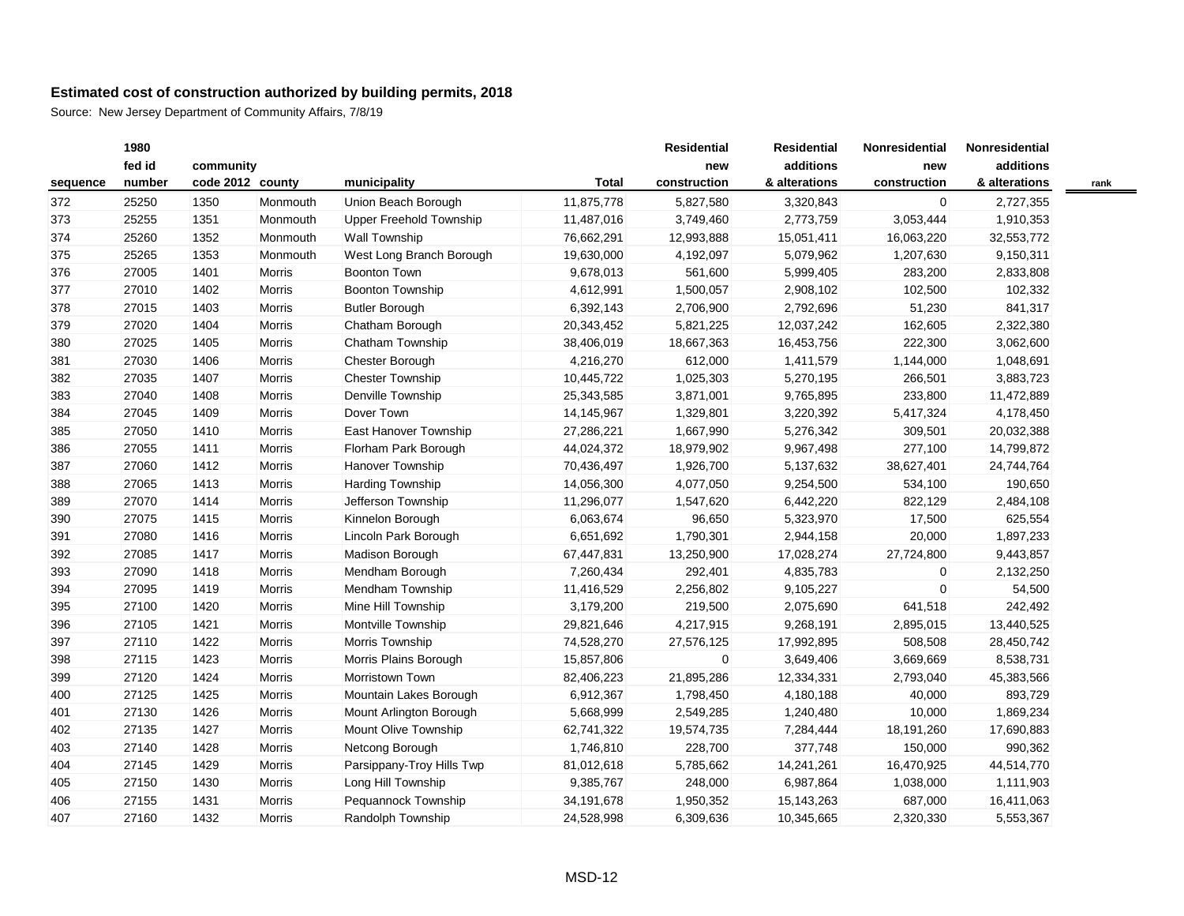|          | 1980   |                  |               |                           |              | <b>Residential</b> | <b>Residential</b> | Nonresidential | Nonresidential |      |
|----------|--------|------------------|---------------|---------------------------|--------------|--------------------|--------------------|----------------|----------------|------|
|          | fed id | community        |               |                           |              | new                | additions          | new            | additions      |      |
| sequence | number | code 2012 county |               | municipality              | <b>Total</b> | construction       | & alterations      | construction   | & alterations  | rank |
| 372      | 25250  | 1350             | Monmouth      | Union Beach Borough       | 11,875,778   | 5,827,580          | 3,320,843          | $\overline{0}$ | 2,727,355      |      |
| 373      | 25255  | 1351             | Monmouth      | Upper Freehold Township   | 11,487,016   | 3,749,460          | 2,773,759          | 3,053,444      | 1,910,353      |      |
| 374      | 25260  | 1352             | Monmouth      | <b>Wall Township</b>      | 76,662,291   | 12,993,888         | 15,051,411         | 16,063,220     | 32,553,772     |      |
| 375      | 25265  | 1353             | Monmouth      | West Long Branch Borough  | 19,630,000   | 4,192,097          | 5,079,962          | 1,207,630      | 9,150,311      |      |
| 376      | 27005  | 1401             | Morris        | Boonton Town              | 9,678,013    | 561,600            | 5,999,405          | 283,200        | 2,833,808      |      |
| 377      | 27010  | 1402             | Morris        | <b>Boonton Township</b>   | 4,612,991    | 1,500,057          | 2,908,102          | 102,500        | 102,332        |      |
| 378      | 27015  | 1403             | Morris        | <b>Butler Borough</b>     | 6,392,143    | 2,706,900          | 2,792,696          | 51,230         | 841,317        |      |
| 379      | 27020  | 1404             | <b>Morris</b> | Chatham Borough           | 20,343,452   | 5,821,225          | 12,037,242         | 162,605        | 2,322,380      |      |
| 380      | 27025  | 1405             | Morris        | Chatham Township          | 38,406,019   | 18,667,363         | 16,453,756         | 222,300        | 3,062,600      |      |
| 381      | 27030  | 1406             | Morris        | Chester Borough           | 4,216,270    | 612,000            | 1,411,579          | 1,144,000      | 1,048,691      |      |
| 382      | 27035  | 1407             | <b>Morris</b> | <b>Chester Township</b>   | 10,445,722   | 1,025,303          | 5,270,195          | 266,501        | 3,883,723      |      |
| 383      | 27040  | 1408             | Morris        | Denville Township         | 25,343,585   | 3,871,001          | 9,765,895          | 233,800        | 11,472,889     |      |
| 384      | 27045  | 1409             | Morris        | Dover Town                | 14,145,967   | 1,329,801          | 3,220,392          | 5,417,324      | 4,178,450      |      |
| 385      | 27050  | 1410             | Morris        | East Hanover Township     | 27,286,221   | 1,667,990          | 5,276,342          | 309,501        | 20,032,388     |      |
| 386      | 27055  | 1411             | Morris        | Florham Park Borough      | 44,024,372   | 18,979,902         | 9,967,498          | 277,100        | 14,799,872     |      |
| 387      | 27060  | 1412             | Morris        | Hanover Township          | 70,436,497   | 1,926,700          | 5,137,632          | 38,627,401     | 24,744,764     |      |
| 388      | 27065  | 1413             | <b>Morris</b> | <b>Harding Township</b>   | 14,056,300   | 4,077,050          | 9,254,500          | 534,100        | 190,650        |      |
| 389      | 27070  | 1414             | Morris        | Jefferson Township        | 11,296,077   | 1,547,620          | 6,442,220          | 822,129        | 2,484,108      |      |
| 390      | 27075  | 1415             | Morris        | Kinnelon Borough          | 6,063,674    | 96,650             | 5,323,970          | 17,500         | 625,554        |      |
| 391      | 27080  | 1416             | <b>Morris</b> | Lincoln Park Borough      | 6,651,692    | 1,790,301          | 2,944,158          | 20,000         | 1,897,233      |      |
| 392      | 27085  | 1417             | <b>Morris</b> | Madison Borough           | 67,447,831   | 13,250,900         | 17,028,274         | 27,724,800     | 9,443,857      |      |
| 393      | 27090  | 1418             | Morris        | Mendham Borough           | 7,260,434    | 292,401            | 4,835,783          | $\mathbf{0}$   | 2,132,250      |      |
| 394      | 27095  | 1419             | <b>Morris</b> | Mendham Township          | 11,416,529   | 2,256,802          | 9,105,227          | $\mathbf 0$    | 54,500         |      |
| 395      | 27100  | 1420             | Morris        | Mine Hill Township        | 3,179,200    | 219,500            | 2,075,690          | 641,518        | 242,492        |      |
| 396      | 27105  | 1421             | Morris        | Montville Township        | 29,821,646   | 4,217,915          | 9,268,191          | 2,895,015      | 13,440,525     |      |
| 397      | 27110  | 1422             | Morris        | Morris Township           | 74,528,270   | 27,576,125         | 17,992,895         | 508,508        | 28,450,742     |      |
| 398      | 27115  | 1423             | Morris        | Morris Plains Borough     | 15,857,806   | 0                  | 3,649,406          | 3,669,669      | 8,538,731      |      |
| 399      | 27120  | 1424             | Morris        | Morristown Town           | 82,406,223   | 21,895,286         | 12,334,331         | 2,793,040      | 45,383,566     |      |
| 400      | 27125  | 1425             | <b>Morris</b> | Mountain Lakes Borough    | 6,912,367    | 1,798,450          | 4,180,188          | 40,000         | 893,729        |      |
| 401      | 27130  | 1426             | Morris        | Mount Arlington Borough   | 5,668,999    | 2,549,285          | 1,240,480          | 10,000         | 1,869,234      |      |
| 402      | 27135  | 1427             | Morris        | Mount Olive Township      | 62,741,322   | 19,574,735         | 7,284,444          | 18,191,260     | 17,690,883     |      |
| 403      | 27140  | 1428             | Morris        | Netcong Borough           | 1,746,810    | 228,700            | 377,748            | 150,000        | 990,362        |      |
| 404      | 27145  | 1429             | Morris        | Parsippany-Troy Hills Twp | 81,012,618   | 5,785,662          | 14,241,261         | 16,470,925     | 44,514,770     |      |
| 405      | 27150  | 1430             | Morris        | Long Hill Township        | 9,385,767    | 248,000            | 6,987,864          | 1,038,000      | 1,111,903      |      |
| 406      | 27155  | 1431             | Morris        | Pequannock Township       | 34, 191, 678 | 1,950,352          | 15,143,263         | 687,000        | 16,411,063     |      |
| 407      | 27160  | 1432             | Morris        | Randolph Township         | 24,528,998   | 6,309,636          | 10,345,665         | 2,320,330      | 5,553,367      |      |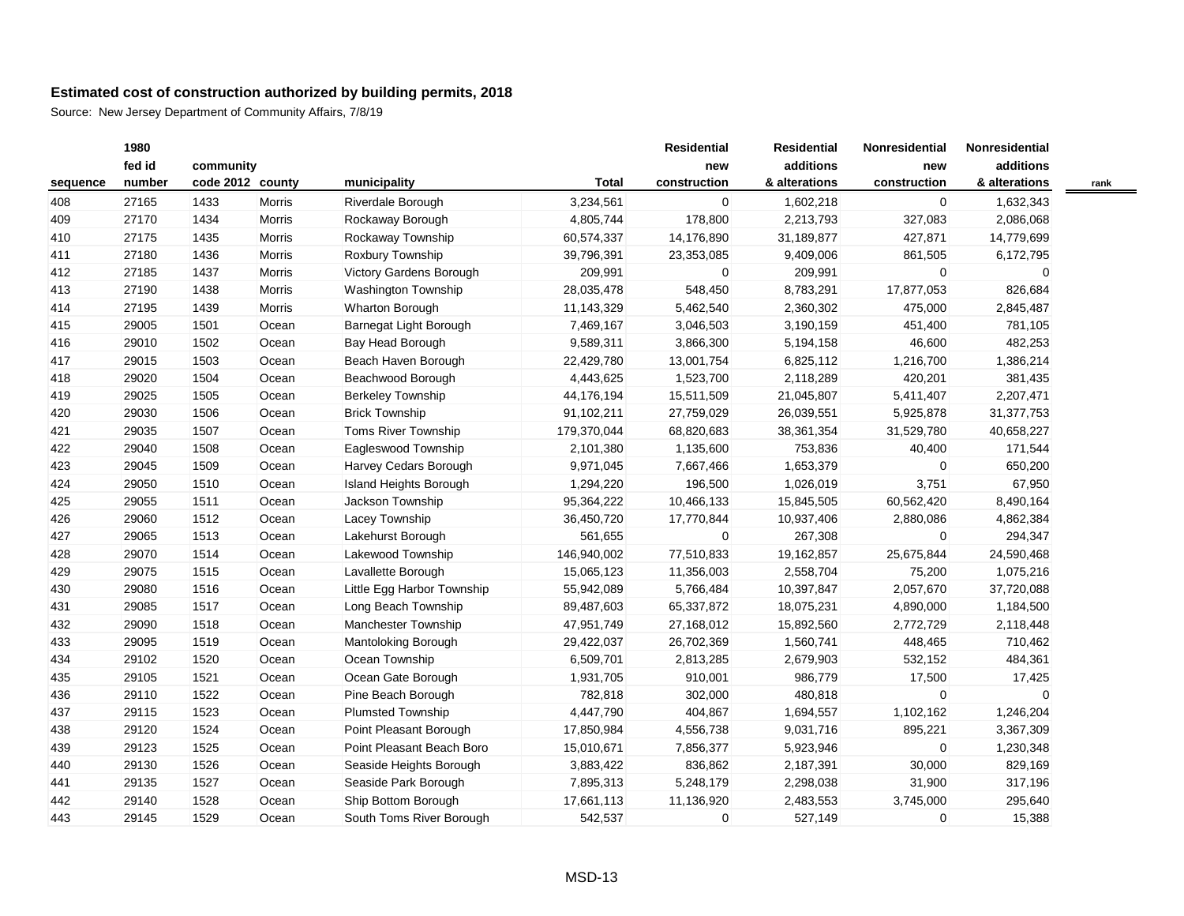Source: New Jersey Department of Community Affairs, 7/8/19

|          | 1980   |                  |               |                            |              | <b>Residential</b> | <b>Residential</b> | Nonresidential | Nonresidential |      |
|----------|--------|------------------|---------------|----------------------------|--------------|--------------------|--------------------|----------------|----------------|------|
|          | fed id | community        |               |                            |              | new                | additions          | new            | additions      |      |
| sequence | number | code 2012 county |               | municipality               | <b>Total</b> | construction       | & alterations      | construction   | & alterations  | rank |
| 408      | 27165  | 1433             | <b>Morris</b> | Riverdale Borough          | 3,234,561    | $\overline{0}$     | 1,602,218          | $\mathbf 0$    | 1,632,343      |      |
| 409      | 27170  | 1434             | <b>Morris</b> | Rockaway Borough           | 4,805,744    | 178,800            | 2,213,793          | 327,083        | 2,086,068      |      |
| 410      | 27175  | 1435             | <b>Morris</b> | Rockaway Township          | 60,574,337   | 14,176,890         | 31,189,877         | 427,871        | 14,779,699     |      |
| 411      | 27180  | 1436             | <b>Morris</b> | Roxbury Township           | 39,796,391   | 23,353,085         | 9,409,006          | 861,505        | 6,172,795      |      |
| 412      | 27185  | 1437             | Morris        | Victory Gardens Borough    | 209,991      | 0                  | 209,991            | 0              | $\Omega$       |      |
| 413      | 27190  | 1438             | Morris        | Washington Township        | 28,035,478   | 548,450            | 8,783,291          | 17,877,053     | 826,684        |      |
| 414      | 27195  | 1439             | Morris        | Wharton Borough            | 11,143,329   | 5,462,540          | 2,360,302          | 475,000        | 2,845,487      |      |
| 415      | 29005  | 1501             | Ocean         | Barnegat Light Borough     | 7,469,167    | 3,046,503          | 3,190,159          | 451,400        | 781,105        |      |
| 416      | 29010  | 1502             | Ocean         | Bay Head Borough           | 9,589,311    | 3,866,300          | 5,194,158          | 46,600         | 482,253        |      |
| 417      | 29015  | 1503             | Ocean         | Beach Haven Borough        | 22,429,780   | 13,001,754         | 6,825,112          | 1,216,700      | 1,386,214      |      |
| 418      | 29020  | 1504             | Ocean         | Beachwood Borough          | 4,443,625    | 1,523,700          | 2,118,289          | 420,201        | 381,435        |      |
| 419      | 29025  | 1505             | Ocean         | <b>Berkeley Township</b>   | 44,176,194   | 15,511,509         | 21,045,807         | 5,411,407      | 2,207,471      |      |
| 420      | 29030  | 1506             | Ocean         | <b>Brick Township</b>      | 91,102,211   | 27,759,029         | 26,039,551         | 5,925,878      | 31,377,753     |      |
| 421      | 29035  | 1507             | Ocean         | Toms River Township        | 179,370,044  | 68,820,683         | 38,361,354         | 31,529,780     | 40,658,227     |      |
| 422      | 29040  | 1508             | Ocean         | Eagleswood Township        | 2,101,380    | 1,135,600          | 753,836            | 40,400         | 171,544        |      |
| 423      | 29045  | 1509             | Ocean         | Harvey Cedars Borough      | 9,971,045    | 7,667,466          | 1,653,379          | 0              | 650,200        |      |
| 424      | 29050  | 1510             | Ocean         | Island Heights Borough     | 1,294,220    | 196,500            | 1,026,019          | 3,751          | 67,950         |      |
| 425      | 29055  | 1511             | Ocean         | Jackson Township           | 95,364,222   | 10,466,133         | 15,845,505         | 60,562,420     | 8,490,164      |      |
| 426      | 29060  | 1512             | Ocean         | Lacey Township             | 36,450,720   | 17,770,844         | 10,937,406         | 2,880,086      | 4,862,384      |      |
| 427      | 29065  | 1513             | Ocean         | Lakehurst Borough          | 561,655      | 0                  | 267,308            | 0              | 294,347        |      |
| 428      | 29070  | 1514             | Ocean         | Lakewood Township          | 146,940,002  | 77,510,833         | 19,162,857         | 25,675,844     | 24,590,468     |      |
| 429      | 29075  | 1515             | Ocean         | Lavallette Borough         | 15,065,123   | 11,356,003         | 2,558,704          | 75,200         | 1,075,216      |      |
| 430      | 29080  | 1516             | Ocean         | Little Egg Harbor Township | 55,942,089   | 5,766,484          | 10,397,847         | 2,057,670      | 37,720,088     |      |
| 431      | 29085  | 1517             | Ocean         | Long Beach Township        | 89,487,603   | 65,337,872         | 18,075,231         | 4,890,000      | 1,184,500      |      |
| 432      | 29090  | 1518             | Ocean         | Manchester Township        | 47,951,749   | 27,168,012         | 15,892,560         | 2,772,729      | 2,118,448      |      |
| 433      | 29095  | 1519             | Ocean         | Mantoloking Borough        | 29,422,037   | 26,702,369         | 1,560,741          | 448,465        | 710,462        |      |
| 434      | 29102  | 1520             | Ocean         | Ocean Township             | 6,509,701    | 2,813,285          | 2,679,903          | 532,152        | 484,361        |      |
| 435      | 29105  | 1521             | Ocean         | Ocean Gate Borough         | 1,931,705    | 910,001            | 986,779            | 17,500         | 17,425         |      |
| 436      | 29110  | 1522             | Ocean         | Pine Beach Borough         | 782,818      | 302,000            | 480,818            | $\mathbf 0$    | $\Omega$       |      |
| 437      | 29115  | 1523             | Ocean         | <b>Plumsted Township</b>   | 4,447,790    | 404,867            | 1,694,557          | 1,102,162      | 1,246,204      |      |
| 438      | 29120  | 1524             | Ocean         | Point Pleasant Borough     | 17,850,984   | 4,556,738          | 9,031,716          | 895,221        | 3,367,309      |      |
| 439      | 29123  | 1525             | Ocean         | Point Pleasant Beach Boro  | 15,010,671   | 7,856,377          | 5,923,946          | $\mathbf 0$    | 1,230,348      |      |
| 440      | 29130  | 1526             | Ocean         | Seaside Heights Borough    | 3,883,422    | 836,862            | 2,187,391          | 30,000         | 829,169        |      |
| 441      | 29135  | 1527             | Ocean         | Seaside Park Borough       | 7,895,313    | 5,248,179          | 2,298,038          | 31,900         | 317,196        |      |
| 442      | 29140  | 1528             | Ocean         | Ship Bottom Borough        | 17,661,113   | 11,136,920         | 2,483,553          | 3,745,000      | 295,640        |      |
| 443      | 29145  | 1529             | Ocean         | South Toms River Borough   | 542,537      | 0                  | 527,149            | $\mathbf 0$    | 15,388         |      |

 $\equiv$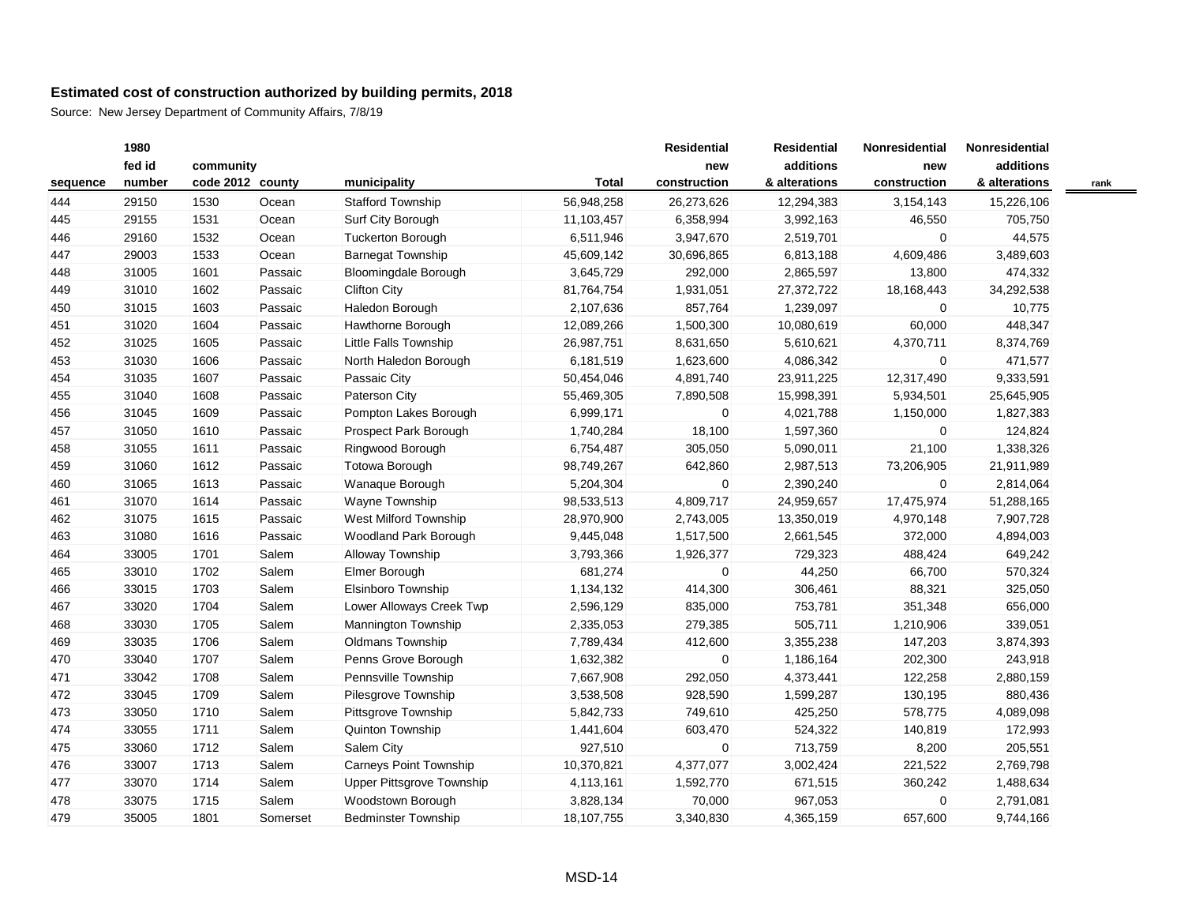|          | 1980   |                  |          |                            |            | <b>Residential</b> | <b>Residential</b> | <b>Nonresidential</b> | Nonresidential |      |
|----------|--------|------------------|----------|----------------------------|------------|--------------------|--------------------|-----------------------|----------------|------|
|          | fed id | community        |          |                            |            | new                | additions          | new                   | additions      |      |
| sequence | number | code 2012 county |          | municipality               | Total      | construction       | & alterations      | construction          | & alterations  | rank |
| 444      | 29150  | 1530             | Ocean    | <b>Stafford Township</b>   | 56,948,258 | 26,273,626         | 12,294,383         | 3,154,143             | 15,226,106     |      |
| 445      | 29155  | 1531             | Ocean    | Surf City Borough          | 11,103,457 | 6,358,994          | 3,992,163          | 46,550                | 705,750        |      |
| 446      | 29160  | 1532             | Ocean    | Tuckerton Borough          | 6,511,946  | 3,947,670          | 2,519,701          | $\overline{0}$        | 44,575         |      |
| 447      | 29003  | 1533             | Ocean    | <b>Barnegat Township</b>   | 45,609,142 | 30,696,865         | 6,813,188          | 4,609,486             | 3,489,603      |      |
| 448      | 31005  | 1601             | Passaic  | Bloomingdale Borough       | 3,645,729  | 292,000            | 2,865,597          | 13,800                | 474,332        |      |
| 449      | 31010  | 1602             | Passaic  | <b>Clifton City</b>        | 81,764,754 | 1,931,051          | 27,372,722         | 18,168,443            | 34,292,538     |      |
| 450      | 31015  | 1603             | Passaic  | Haledon Borough            | 2,107,636  | 857,764            | 1,239,097          | $\overline{0}$        | 10,775         |      |
| 451      | 31020  | 1604             | Passaic  | Hawthorne Borough          | 12,089,266 | 1,500,300          | 10,080,619         | 60,000                | 448,347        |      |
| 452      | 31025  | 1605             | Passaic  | Little Falls Township      | 26,987,751 | 8,631,650          | 5,610,621          | 4,370,711             | 8,374,769      |      |
| 453      | 31030  | 1606             | Passaic  | North Haledon Borough      | 6,181,519  | 1,623,600          | 4,086,342          | $\mathbf{0}$          | 471,577        |      |
| 454      | 31035  | 1607             | Passaic  | Passaic City               | 50,454,046 | 4,891,740          | 23,911,225         | 12,317,490            | 9,333,591      |      |
| 455      | 31040  | 1608             | Passaic  | Paterson City              | 55,469,305 | 7,890,508          | 15,998,391         | 5,934,501             | 25,645,905     |      |
| 456      | 31045  | 1609             | Passaic  | Pompton Lakes Borough      | 6,999,171  | 0                  | 4,021,788          | 1,150,000             | 1,827,383      |      |
| 457      | 31050  | 1610             | Passaic  | Prospect Park Borough      | 1,740,284  | 18,100             | 1,597,360          | $\mathbf{0}$          | 124,824        |      |
| 458      | 31055  | 1611             | Passaic  | Ringwood Borough           | 6,754,487  | 305,050            | 5,090,011          | 21,100                | 1,338,326      |      |
| 459      | 31060  | 1612             | Passaic  | Totowa Borough             | 98,749,267 | 642,860            | 2,987,513          | 73,206,905            | 21,911,989     |      |
| 460      | 31065  | 1613             | Passaic  | Wanaque Borough            | 5,204,304  | 0                  | 2,390,240          | $\mathbf{0}$          | 2,814,064      |      |
| 461      | 31070  | 1614             | Passaic  | Wayne Township             | 98,533,513 | 4,809,717          | 24,959,657         | 17,475,974            | 51,288,165     |      |
| 462      | 31075  | 1615             | Passaic  | West Milford Township      | 28,970,900 | 2,743,005          | 13,350,019         | 4,970,148             | 7,907,728      |      |
| 463      | 31080  | 1616             | Passaic  | Woodland Park Borough      | 9,445,048  | 1,517,500          | 2,661,545          | 372,000               | 4,894,003      |      |
| 464      | 33005  | 1701             | Salem    | <b>Alloway Township</b>    | 3,793,366  | 1,926,377          | 729,323            | 488,424               | 649,242        |      |
| 465      | 33010  | 1702             | Salem    | Elmer Borough              | 681,274    | 0                  | 44,250             | 66,700                | 570,324        |      |
| 466      | 33015  | 1703             | Salem    | Elsinboro Township         | 1,134,132  | 414,300            | 306,461            | 88,321                | 325,050        |      |
| 467      | 33020  | 1704             | Salem    | Lower Alloways Creek Twp   | 2,596,129  | 835,000            | 753,781            | 351,348               | 656,000        |      |
| 468      | 33030  | 1705             | Salem    | Mannington Township        | 2,335,053  | 279,385            | 505,711            | 1,210,906             | 339,051        |      |
| 469      | 33035  | 1706             | Salem    | Oldmans Township           | 7,789,434  | 412,600            | 3,355,238          | 147,203               | 3,874,393      |      |
| 470      | 33040  | 1707             | Salem    | Penns Grove Borough        | 1,632,382  | 0                  | 1,186,164          | 202,300               | 243,918        |      |
| 471      | 33042  | 1708             | Salem    | Pennsville Township        | 7,667,908  | 292,050            | 4,373,441          | 122,258               | 2,880,159      |      |
| 472      | 33045  | 1709             | Salem    | Pilesgrove Township        | 3,538,508  | 928,590            | 1,599,287          | 130,195               | 880,436        |      |
| 473      | 33050  | 1710             | Salem    | Pittsgrove Township        | 5,842,733  | 749,610            | 425,250            | 578,775               | 4,089,098      |      |
| 474      | 33055  | 1711             | Salem    | Quinton Township           | 1,441,604  | 603,470            | 524,322            | 140,819               | 172,993        |      |
| 475      | 33060  | 1712             | Salem    | Salem City                 | 927,510    | 0                  | 713,759            | 8,200                 | 205,551        |      |
| 476      | 33007  | 1713             | Salem    | Carneys Point Township     | 10,370,821 | 4,377,077          | 3,002,424          | 221,522               | 2,769,798      |      |
| 477      | 33070  | 1714             | Salem    | Upper Pittsgrove Township  | 4,113,161  | 1,592,770          | 671,515            | 360,242               | 1,488,634      |      |
| 478      | 33075  | 1715             | Salem    | Woodstown Borough          | 3,828,134  | 70,000             | 967,053            | $\overline{0}$        | 2,791,081      |      |
| 479      | 35005  | 1801             | Somerset | <b>Bedminster Township</b> | 18,107,755 | 3,340,830          | 4,365,159          | 657,600               | 9,744,166      |      |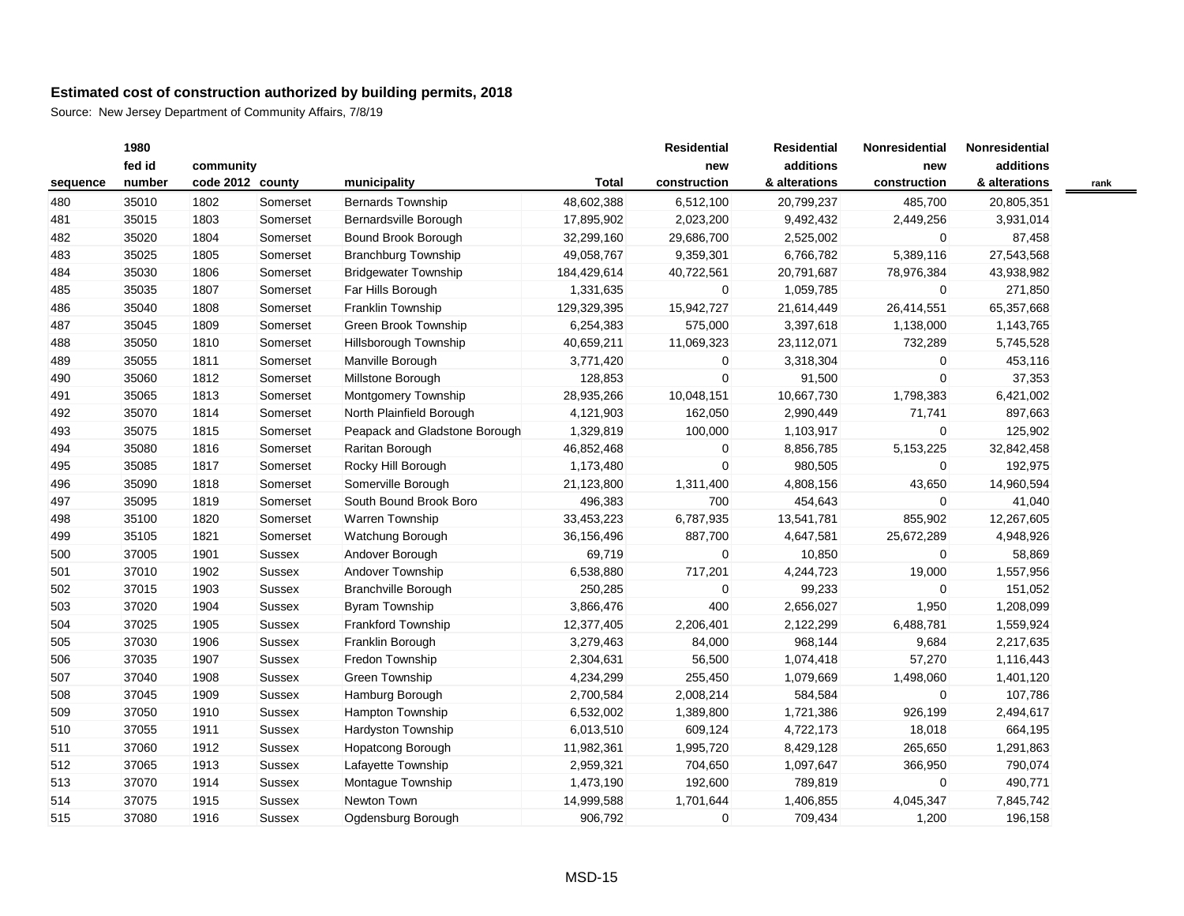| fed id<br>additions<br>additions<br>community<br>new<br>new<br>number<br>code 2012 county<br>municipality<br>Total<br>construction<br>& alterations<br>construction<br>& alterations<br>sequence<br>480<br>35010<br>1802<br><b>Bernards Township</b><br>48,602,388<br>6,512,100<br>20,799,237<br>485,700<br>20,805,351<br>Somerset<br>Bernardsville Borough<br>9,492,432<br>481<br>35015<br>1803<br>Somerset<br>17,895,902<br>2,023,200<br>2,449,256<br>3,931,014<br>29,686,700<br>2,525,002<br>482<br>35020<br>1804<br>Bound Brook Borough<br>32,299,160<br>0<br>87,458<br>Somerset<br>35025<br>9,359,301<br>6,766,782<br>5,389,116<br>27,543,568<br>483<br>1805<br>Somerset<br><b>Branchburg Township</b><br>49,058,767<br>484<br>35030<br>1806<br>Somerset<br><b>Bridgewater Township</b><br>184,429,614<br>40,722,561<br>20,791,687<br>78,976,384<br>43,938,982<br>485<br>35035<br>1807<br>Far Hills Borough<br>1,059,785<br>271,850<br>Somerset<br>1,331,635<br>0<br>$\mathbf 0$<br>486<br>35040<br>1808<br>Franklin Township<br>129,329,395<br>15,942,727<br>21,614,449<br>26,414,551<br>65,357,668<br>Somerset<br>Green Brook Township<br>487<br>35045<br>1809<br>Somerset<br>6,254,383<br>575,000<br>3,397,618<br>1,138,000<br>1,143,765<br>35050<br>732,289<br>488<br>1810<br>Hillsborough Township<br>40,659,211<br>11,069,323<br>23,112,071<br>5,745,528<br>Somerset<br>489<br>35055<br>1811<br>Manville Borough<br>3,771,420<br>0<br>3,318,304<br>$\overline{0}$<br>453,116<br>Somerset<br>$\Omega$<br>$\Omega$<br>490<br>Millstone Borough<br>91,500<br>37,353<br>35060<br>1812<br>Somerset<br>128,853<br>35065<br>1813<br>28,935,266<br>10,048,151<br>10,667,730<br>1,798,383<br>6,421,002<br>491<br>Somerset<br>Montgomery Township<br>2,990,449<br>71,741<br>897,663<br>492<br>35070<br>1814<br>Somerset<br>North Plainfield Borough<br>4,121,903<br>162,050<br>493<br>Peapack and Gladstone Borough<br>100,000<br>1,103,917<br>$\overline{0}$<br>125,902<br>35075<br>1815<br>Somerset<br>1,329,819<br>494<br>35080<br>8,856,785<br>5, 153, 225<br>32,842,458<br>1816<br>Somerset<br>Raritan Borough<br>46,852,468<br>0<br>980,505<br>192,975<br>495<br>35085<br>1817<br>Somerset<br>Rocky Hill Borough<br>1,173,480<br>0<br>$\mathbf{0}$<br>Somerville Borough<br>1,311,400<br>4,808,156<br>43,650<br>14,960,594<br>496<br>35090<br>1818<br>Somerset<br>21,123,800<br>35095<br>South Bound Brook Boro<br>496,383<br>700<br>454,643<br>41,040<br>497<br>1819<br>Somerset<br>$\mathbf{0}$<br>35100<br><b>Warren Township</b><br>6,787,935<br>855,902<br>498<br>1820<br>Somerset<br>33,453,223<br>13,541,781<br>12,267,605<br>499<br>35105<br>Watchung Borough<br>36,156,496<br>887,700<br>4,647,581<br>25,672,289<br>4,948,926<br>1821<br>Somerset<br>69,719<br>58,869<br>500<br>37005<br>1901<br>Andover Borough<br>0<br>10,850<br>$\mathbf 0$<br>Sussex<br>501<br>37010<br>Andover Township<br>6,538,880<br>717,201<br>19,000<br>1,557,956<br>1902<br><b>Sussex</b><br>4,244,723<br>250,285<br>$\mathbf 0$<br>502<br>37015<br>1903<br><b>Sussex</b><br><b>Branchville Borough</b><br>0<br>99,233<br>151,052<br>400<br>2,656,027<br>1,950<br>503<br>37020<br>1904<br><b>Sussex</b><br><b>Byram Township</b><br>3,866,476<br>1,208,099 |      |
|-------------------------------------------------------------------------------------------------------------------------------------------------------------------------------------------------------------------------------------------------------------------------------------------------------------------------------------------------------------------------------------------------------------------------------------------------------------------------------------------------------------------------------------------------------------------------------------------------------------------------------------------------------------------------------------------------------------------------------------------------------------------------------------------------------------------------------------------------------------------------------------------------------------------------------------------------------------------------------------------------------------------------------------------------------------------------------------------------------------------------------------------------------------------------------------------------------------------------------------------------------------------------------------------------------------------------------------------------------------------------------------------------------------------------------------------------------------------------------------------------------------------------------------------------------------------------------------------------------------------------------------------------------------------------------------------------------------------------------------------------------------------------------------------------------------------------------------------------------------------------------------------------------------------------------------------------------------------------------------------------------------------------------------------------------------------------------------------------------------------------------------------------------------------------------------------------------------------------------------------------------------------------------------------------------------------------------------------------------------------------------------------------------------------------------------------------------------------------------------------------------------------------------------------------------------------------------------------------------------------------------------------------------------------------------------------------------------------------------------------------------------------------------------------------------------------------------------------------------------------------------------------------------------------------------------------------------------------------------------------------------------------------------------------------------------------------------------------------------------------------------------------------------------------------------------------------------------------------------------------------------|------|
|                                                                                                                                                                                                                                                                                                                                                                                                                                                                                                                                                                                                                                                                                                                                                                                                                                                                                                                                                                                                                                                                                                                                                                                                                                                                                                                                                                                                                                                                                                                                                                                                                                                                                                                                                                                                                                                                                                                                                                                                                                                                                                                                                                                                                                                                                                                                                                                                                                                                                                                                                                                                                                                                                                                                                                                                                                                                                                                                                                                                                                                                                                                                                                                                                                                       |      |
|                                                                                                                                                                                                                                                                                                                                                                                                                                                                                                                                                                                                                                                                                                                                                                                                                                                                                                                                                                                                                                                                                                                                                                                                                                                                                                                                                                                                                                                                                                                                                                                                                                                                                                                                                                                                                                                                                                                                                                                                                                                                                                                                                                                                                                                                                                                                                                                                                                                                                                                                                                                                                                                                                                                                                                                                                                                                                                                                                                                                                                                                                                                                                                                                                                                       | rank |
|                                                                                                                                                                                                                                                                                                                                                                                                                                                                                                                                                                                                                                                                                                                                                                                                                                                                                                                                                                                                                                                                                                                                                                                                                                                                                                                                                                                                                                                                                                                                                                                                                                                                                                                                                                                                                                                                                                                                                                                                                                                                                                                                                                                                                                                                                                                                                                                                                                                                                                                                                                                                                                                                                                                                                                                                                                                                                                                                                                                                                                                                                                                                                                                                                                                       |      |
|                                                                                                                                                                                                                                                                                                                                                                                                                                                                                                                                                                                                                                                                                                                                                                                                                                                                                                                                                                                                                                                                                                                                                                                                                                                                                                                                                                                                                                                                                                                                                                                                                                                                                                                                                                                                                                                                                                                                                                                                                                                                                                                                                                                                                                                                                                                                                                                                                                                                                                                                                                                                                                                                                                                                                                                                                                                                                                                                                                                                                                                                                                                                                                                                                                                       |      |
|                                                                                                                                                                                                                                                                                                                                                                                                                                                                                                                                                                                                                                                                                                                                                                                                                                                                                                                                                                                                                                                                                                                                                                                                                                                                                                                                                                                                                                                                                                                                                                                                                                                                                                                                                                                                                                                                                                                                                                                                                                                                                                                                                                                                                                                                                                                                                                                                                                                                                                                                                                                                                                                                                                                                                                                                                                                                                                                                                                                                                                                                                                                                                                                                                                                       |      |
|                                                                                                                                                                                                                                                                                                                                                                                                                                                                                                                                                                                                                                                                                                                                                                                                                                                                                                                                                                                                                                                                                                                                                                                                                                                                                                                                                                                                                                                                                                                                                                                                                                                                                                                                                                                                                                                                                                                                                                                                                                                                                                                                                                                                                                                                                                                                                                                                                                                                                                                                                                                                                                                                                                                                                                                                                                                                                                                                                                                                                                                                                                                                                                                                                                                       |      |
|                                                                                                                                                                                                                                                                                                                                                                                                                                                                                                                                                                                                                                                                                                                                                                                                                                                                                                                                                                                                                                                                                                                                                                                                                                                                                                                                                                                                                                                                                                                                                                                                                                                                                                                                                                                                                                                                                                                                                                                                                                                                                                                                                                                                                                                                                                                                                                                                                                                                                                                                                                                                                                                                                                                                                                                                                                                                                                                                                                                                                                                                                                                                                                                                                                                       |      |
|                                                                                                                                                                                                                                                                                                                                                                                                                                                                                                                                                                                                                                                                                                                                                                                                                                                                                                                                                                                                                                                                                                                                                                                                                                                                                                                                                                                                                                                                                                                                                                                                                                                                                                                                                                                                                                                                                                                                                                                                                                                                                                                                                                                                                                                                                                                                                                                                                                                                                                                                                                                                                                                                                                                                                                                                                                                                                                                                                                                                                                                                                                                                                                                                                                                       |      |
|                                                                                                                                                                                                                                                                                                                                                                                                                                                                                                                                                                                                                                                                                                                                                                                                                                                                                                                                                                                                                                                                                                                                                                                                                                                                                                                                                                                                                                                                                                                                                                                                                                                                                                                                                                                                                                                                                                                                                                                                                                                                                                                                                                                                                                                                                                                                                                                                                                                                                                                                                                                                                                                                                                                                                                                                                                                                                                                                                                                                                                                                                                                                                                                                                                                       |      |
|                                                                                                                                                                                                                                                                                                                                                                                                                                                                                                                                                                                                                                                                                                                                                                                                                                                                                                                                                                                                                                                                                                                                                                                                                                                                                                                                                                                                                                                                                                                                                                                                                                                                                                                                                                                                                                                                                                                                                                                                                                                                                                                                                                                                                                                                                                                                                                                                                                                                                                                                                                                                                                                                                                                                                                                                                                                                                                                                                                                                                                                                                                                                                                                                                                                       |      |
|                                                                                                                                                                                                                                                                                                                                                                                                                                                                                                                                                                                                                                                                                                                                                                                                                                                                                                                                                                                                                                                                                                                                                                                                                                                                                                                                                                                                                                                                                                                                                                                                                                                                                                                                                                                                                                                                                                                                                                                                                                                                                                                                                                                                                                                                                                                                                                                                                                                                                                                                                                                                                                                                                                                                                                                                                                                                                                                                                                                                                                                                                                                                                                                                                                                       |      |
|                                                                                                                                                                                                                                                                                                                                                                                                                                                                                                                                                                                                                                                                                                                                                                                                                                                                                                                                                                                                                                                                                                                                                                                                                                                                                                                                                                                                                                                                                                                                                                                                                                                                                                                                                                                                                                                                                                                                                                                                                                                                                                                                                                                                                                                                                                                                                                                                                                                                                                                                                                                                                                                                                                                                                                                                                                                                                                                                                                                                                                                                                                                                                                                                                                                       |      |
|                                                                                                                                                                                                                                                                                                                                                                                                                                                                                                                                                                                                                                                                                                                                                                                                                                                                                                                                                                                                                                                                                                                                                                                                                                                                                                                                                                                                                                                                                                                                                                                                                                                                                                                                                                                                                                                                                                                                                                                                                                                                                                                                                                                                                                                                                                                                                                                                                                                                                                                                                                                                                                                                                                                                                                                                                                                                                                                                                                                                                                                                                                                                                                                                                                                       |      |
|                                                                                                                                                                                                                                                                                                                                                                                                                                                                                                                                                                                                                                                                                                                                                                                                                                                                                                                                                                                                                                                                                                                                                                                                                                                                                                                                                                                                                                                                                                                                                                                                                                                                                                                                                                                                                                                                                                                                                                                                                                                                                                                                                                                                                                                                                                                                                                                                                                                                                                                                                                                                                                                                                                                                                                                                                                                                                                                                                                                                                                                                                                                                                                                                                                                       |      |
|                                                                                                                                                                                                                                                                                                                                                                                                                                                                                                                                                                                                                                                                                                                                                                                                                                                                                                                                                                                                                                                                                                                                                                                                                                                                                                                                                                                                                                                                                                                                                                                                                                                                                                                                                                                                                                                                                                                                                                                                                                                                                                                                                                                                                                                                                                                                                                                                                                                                                                                                                                                                                                                                                                                                                                                                                                                                                                                                                                                                                                                                                                                                                                                                                                                       |      |
|                                                                                                                                                                                                                                                                                                                                                                                                                                                                                                                                                                                                                                                                                                                                                                                                                                                                                                                                                                                                                                                                                                                                                                                                                                                                                                                                                                                                                                                                                                                                                                                                                                                                                                                                                                                                                                                                                                                                                                                                                                                                                                                                                                                                                                                                                                                                                                                                                                                                                                                                                                                                                                                                                                                                                                                                                                                                                                                                                                                                                                                                                                                                                                                                                                                       |      |
|                                                                                                                                                                                                                                                                                                                                                                                                                                                                                                                                                                                                                                                                                                                                                                                                                                                                                                                                                                                                                                                                                                                                                                                                                                                                                                                                                                                                                                                                                                                                                                                                                                                                                                                                                                                                                                                                                                                                                                                                                                                                                                                                                                                                                                                                                                                                                                                                                                                                                                                                                                                                                                                                                                                                                                                                                                                                                                                                                                                                                                                                                                                                                                                                                                                       |      |
|                                                                                                                                                                                                                                                                                                                                                                                                                                                                                                                                                                                                                                                                                                                                                                                                                                                                                                                                                                                                                                                                                                                                                                                                                                                                                                                                                                                                                                                                                                                                                                                                                                                                                                                                                                                                                                                                                                                                                                                                                                                                                                                                                                                                                                                                                                                                                                                                                                                                                                                                                                                                                                                                                                                                                                                                                                                                                                                                                                                                                                                                                                                                                                                                                                                       |      |
|                                                                                                                                                                                                                                                                                                                                                                                                                                                                                                                                                                                                                                                                                                                                                                                                                                                                                                                                                                                                                                                                                                                                                                                                                                                                                                                                                                                                                                                                                                                                                                                                                                                                                                                                                                                                                                                                                                                                                                                                                                                                                                                                                                                                                                                                                                                                                                                                                                                                                                                                                                                                                                                                                                                                                                                                                                                                                                                                                                                                                                                                                                                                                                                                                                                       |      |
|                                                                                                                                                                                                                                                                                                                                                                                                                                                                                                                                                                                                                                                                                                                                                                                                                                                                                                                                                                                                                                                                                                                                                                                                                                                                                                                                                                                                                                                                                                                                                                                                                                                                                                                                                                                                                                                                                                                                                                                                                                                                                                                                                                                                                                                                                                                                                                                                                                                                                                                                                                                                                                                                                                                                                                                                                                                                                                                                                                                                                                                                                                                                                                                                                                                       |      |
|                                                                                                                                                                                                                                                                                                                                                                                                                                                                                                                                                                                                                                                                                                                                                                                                                                                                                                                                                                                                                                                                                                                                                                                                                                                                                                                                                                                                                                                                                                                                                                                                                                                                                                                                                                                                                                                                                                                                                                                                                                                                                                                                                                                                                                                                                                                                                                                                                                                                                                                                                                                                                                                                                                                                                                                                                                                                                                                                                                                                                                                                                                                                                                                                                                                       |      |
|                                                                                                                                                                                                                                                                                                                                                                                                                                                                                                                                                                                                                                                                                                                                                                                                                                                                                                                                                                                                                                                                                                                                                                                                                                                                                                                                                                                                                                                                                                                                                                                                                                                                                                                                                                                                                                                                                                                                                                                                                                                                                                                                                                                                                                                                                                                                                                                                                                                                                                                                                                                                                                                                                                                                                                                                                                                                                                                                                                                                                                                                                                                                                                                                                                                       |      |
|                                                                                                                                                                                                                                                                                                                                                                                                                                                                                                                                                                                                                                                                                                                                                                                                                                                                                                                                                                                                                                                                                                                                                                                                                                                                                                                                                                                                                                                                                                                                                                                                                                                                                                                                                                                                                                                                                                                                                                                                                                                                                                                                                                                                                                                                                                                                                                                                                                                                                                                                                                                                                                                                                                                                                                                                                                                                                                                                                                                                                                                                                                                                                                                                                                                       |      |
|                                                                                                                                                                                                                                                                                                                                                                                                                                                                                                                                                                                                                                                                                                                                                                                                                                                                                                                                                                                                                                                                                                                                                                                                                                                                                                                                                                                                                                                                                                                                                                                                                                                                                                                                                                                                                                                                                                                                                                                                                                                                                                                                                                                                                                                                                                                                                                                                                                                                                                                                                                                                                                                                                                                                                                                                                                                                                                                                                                                                                                                                                                                                                                                                                                                       |      |
|                                                                                                                                                                                                                                                                                                                                                                                                                                                                                                                                                                                                                                                                                                                                                                                                                                                                                                                                                                                                                                                                                                                                                                                                                                                                                                                                                                                                                                                                                                                                                                                                                                                                                                                                                                                                                                                                                                                                                                                                                                                                                                                                                                                                                                                                                                                                                                                                                                                                                                                                                                                                                                                                                                                                                                                                                                                                                                                                                                                                                                                                                                                                                                                                                                                       |      |
|                                                                                                                                                                                                                                                                                                                                                                                                                                                                                                                                                                                                                                                                                                                                                                                                                                                                                                                                                                                                                                                                                                                                                                                                                                                                                                                                                                                                                                                                                                                                                                                                                                                                                                                                                                                                                                                                                                                                                                                                                                                                                                                                                                                                                                                                                                                                                                                                                                                                                                                                                                                                                                                                                                                                                                                                                                                                                                                                                                                                                                                                                                                                                                                                                                                       |      |
| 504<br>37025<br><b>Sussex</b><br>Frankford Township<br>12,377,405<br>2,206,401<br>2,122,299<br>6,488,781<br>1,559,924<br>1905                                                                                                                                                                                                                                                                                                                                                                                                                                                                                                                                                                                                                                                                                                                                                                                                                                                                                                                                                                                                                                                                                                                                                                                                                                                                                                                                                                                                                                                                                                                                                                                                                                                                                                                                                                                                                                                                                                                                                                                                                                                                                                                                                                                                                                                                                                                                                                                                                                                                                                                                                                                                                                                                                                                                                                                                                                                                                                                                                                                                                                                                                                                         |      |
| 37030<br>Franklin Borough<br>84,000<br>968,144<br>9,684<br>2,217,635<br>505<br>1906<br><b>Sussex</b><br>3,279,463                                                                                                                                                                                                                                                                                                                                                                                                                                                                                                                                                                                                                                                                                                                                                                                                                                                                                                                                                                                                                                                                                                                                                                                                                                                                                                                                                                                                                                                                                                                                                                                                                                                                                                                                                                                                                                                                                                                                                                                                                                                                                                                                                                                                                                                                                                                                                                                                                                                                                                                                                                                                                                                                                                                                                                                                                                                                                                                                                                                                                                                                                                                                     |      |
| 37035<br>Fredon Township<br>56,500<br>57,270<br>506<br>1907<br><b>Sussex</b><br>2,304,631<br>1,074,418<br>1,116,443                                                                                                                                                                                                                                                                                                                                                                                                                                                                                                                                                                                                                                                                                                                                                                                                                                                                                                                                                                                                                                                                                                                                                                                                                                                                                                                                                                                                                                                                                                                                                                                                                                                                                                                                                                                                                                                                                                                                                                                                                                                                                                                                                                                                                                                                                                                                                                                                                                                                                                                                                                                                                                                                                                                                                                                                                                                                                                                                                                                                                                                                                                                                   |      |
| 507<br>37040<br>1908<br><b>Sussex</b><br>Green Township<br>255,450<br>1,079,669<br>1,498,060<br>4,234,299<br>1,401,120                                                                                                                                                                                                                                                                                                                                                                                                                                                                                                                                                                                                                                                                                                                                                                                                                                                                                                                                                                                                                                                                                                                                                                                                                                                                                                                                                                                                                                                                                                                                                                                                                                                                                                                                                                                                                                                                                                                                                                                                                                                                                                                                                                                                                                                                                                                                                                                                                                                                                                                                                                                                                                                                                                                                                                                                                                                                                                                                                                                                                                                                                                                                |      |
| Sussex<br>Hamburg Borough<br>508<br>37045<br>1909<br>2,700,584<br>2,008,214<br>584,584<br>0<br>107,786                                                                                                                                                                                                                                                                                                                                                                                                                                                                                                                                                                                                                                                                                                                                                                                                                                                                                                                                                                                                                                                                                                                                                                                                                                                                                                                                                                                                                                                                                                                                                                                                                                                                                                                                                                                                                                                                                                                                                                                                                                                                                                                                                                                                                                                                                                                                                                                                                                                                                                                                                                                                                                                                                                                                                                                                                                                                                                                                                                                                                                                                                                                                                |      |
| 509<br>37050<br>1910<br>Sussex<br><b>Hampton Township</b><br>6,532,002<br>1,389,800<br>1,721,386<br>926,199<br>2,494,617                                                                                                                                                                                                                                                                                                                                                                                                                                                                                                                                                                                                                                                                                                                                                                                                                                                                                                                                                                                                                                                                                                                                                                                                                                                                                                                                                                                                                                                                                                                                                                                                                                                                                                                                                                                                                                                                                                                                                                                                                                                                                                                                                                                                                                                                                                                                                                                                                                                                                                                                                                                                                                                                                                                                                                                                                                                                                                                                                                                                                                                                                                                              |      |
| 510<br>37055<br>1911<br><b>Sussex</b><br>Hardyston Township<br>6,013,510<br>609,124<br>4,722,173<br>18,018<br>664,195                                                                                                                                                                                                                                                                                                                                                                                                                                                                                                                                                                                                                                                                                                                                                                                                                                                                                                                                                                                                                                                                                                                                                                                                                                                                                                                                                                                                                                                                                                                                                                                                                                                                                                                                                                                                                                                                                                                                                                                                                                                                                                                                                                                                                                                                                                                                                                                                                                                                                                                                                                                                                                                                                                                                                                                                                                                                                                                                                                                                                                                                                                                                 |      |
| 37060<br>Hopatcong Borough<br>511<br>1912<br>Sussex<br>11,982,361<br>1,995,720<br>8,429,128<br>265,650<br>1,291,863                                                                                                                                                                                                                                                                                                                                                                                                                                                                                                                                                                                                                                                                                                                                                                                                                                                                                                                                                                                                                                                                                                                                                                                                                                                                                                                                                                                                                                                                                                                                                                                                                                                                                                                                                                                                                                                                                                                                                                                                                                                                                                                                                                                                                                                                                                                                                                                                                                                                                                                                                                                                                                                                                                                                                                                                                                                                                                                                                                                                                                                                                                                                   |      |
| 512<br>37065<br>1913<br>Lafayette Township<br>366,950<br>790,074<br><b>Sussex</b><br>2,959,321<br>704,650<br>1,097,647                                                                                                                                                                                                                                                                                                                                                                                                                                                                                                                                                                                                                                                                                                                                                                                                                                                                                                                                                                                                                                                                                                                                                                                                                                                                                                                                                                                                                                                                                                                                                                                                                                                                                                                                                                                                                                                                                                                                                                                                                                                                                                                                                                                                                                                                                                                                                                                                                                                                                                                                                                                                                                                                                                                                                                                                                                                                                                                                                                                                                                                                                                                                |      |
| 513<br>37070<br>1914<br><b>Sussex</b><br>Montague Township<br>192,600<br>789,819<br>$\overline{0}$<br>490,771<br>1,473,190                                                                                                                                                                                                                                                                                                                                                                                                                                                                                                                                                                                                                                                                                                                                                                                                                                                                                                                                                                                                                                                                                                                                                                                                                                                                                                                                                                                                                                                                                                                                                                                                                                                                                                                                                                                                                                                                                                                                                                                                                                                                                                                                                                                                                                                                                                                                                                                                                                                                                                                                                                                                                                                                                                                                                                                                                                                                                                                                                                                                                                                                                                                            |      |
| 514<br>Newton Town<br>1,406,855<br>4,045,347<br>37075<br>1915<br><b>Sussex</b><br>14,999,588<br>1,701,644<br>7,845,742                                                                                                                                                                                                                                                                                                                                                                                                                                                                                                                                                                                                                                                                                                                                                                                                                                                                                                                                                                                                                                                                                                                                                                                                                                                                                                                                                                                                                                                                                                                                                                                                                                                                                                                                                                                                                                                                                                                                                                                                                                                                                                                                                                                                                                                                                                                                                                                                                                                                                                                                                                                                                                                                                                                                                                                                                                                                                                                                                                                                                                                                                                                                |      |
| 515<br>37080<br>1916<br>Ogdensburg Borough<br>0<br>709,434<br>1,200<br>196,158<br><b>Sussex</b><br>906,792                                                                                                                                                                                                                                                                                                                                                                                                                                                                                                                                                                                                                                                                                                                                                                                                                                                                                                                                                                                                                                                                                                                                                                                                                                                                                                                                                                                                                                                                                                                                                                                                                                                                                                                                                                                                                                                                                                                                                                                                                                                                                                                                                                                                                                                                                                                                                                                                                                                                                                                                                                                                                                                                                                                                                                                                                                                                                                                                                                                                                                                                                                                                            |      |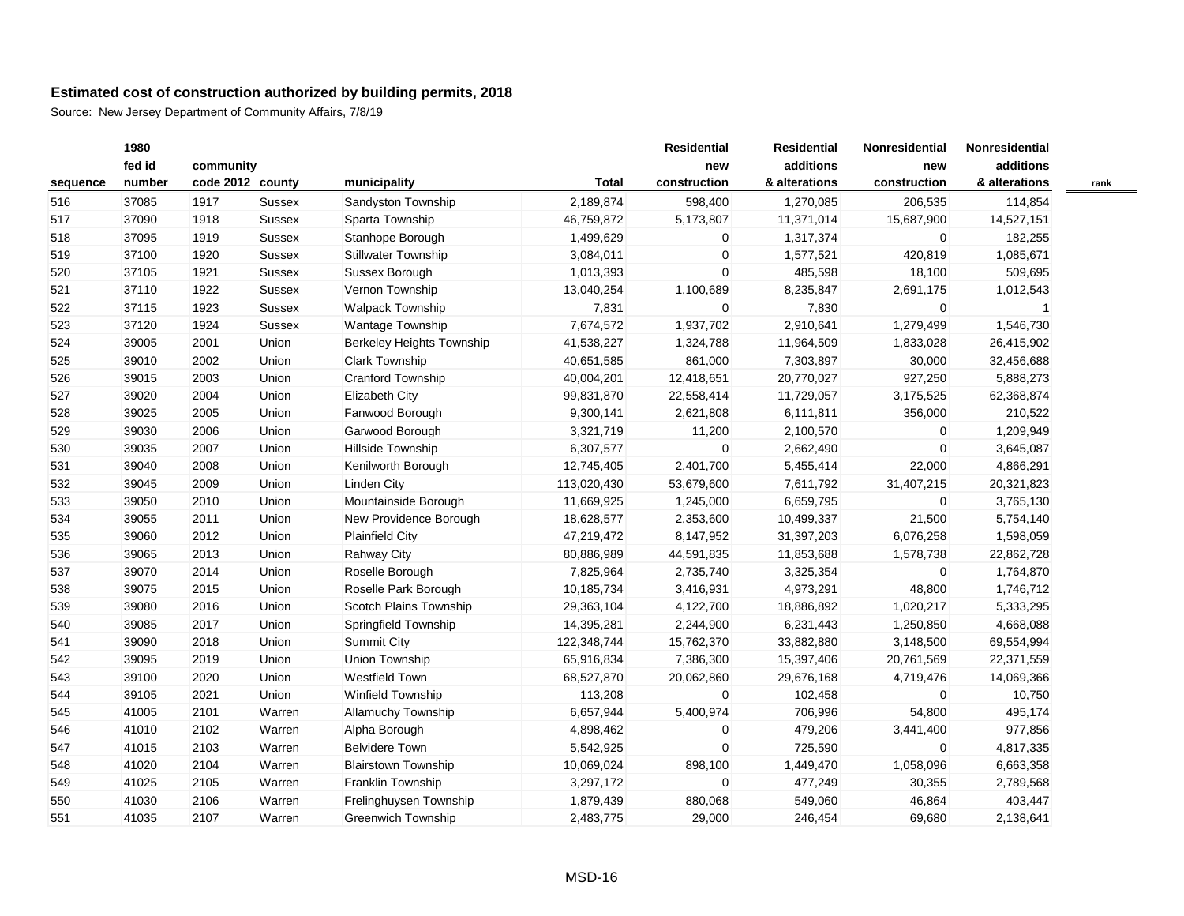|          | 1980   |                  |               |                                  |              | <b>Residential</b> | <b>Residential</b> | Nonresidential | Nonresidential |  |
|----------|--------|------------------|---------------|----------------------------------|--------------|--------------------|--------------------|----------------|----------------|--|
|          | fed id | community        |               |                                  |              | new                | additions          | new            | additions      |  |
| sequence | number | code 2012 county |               | municipality                     | <b>Total</b> | construction       | & alterations      | construction   | & alterations  |  |
| 516      | 37085  | 1917             | <b>Sussex</b> | Sandyston Township               | 2,189,874    | 598,400            | 1,270,085          | 206,535        | 114,854        |  |
| 517      | 37090  | 1918             | Sussex        | Sparta Township                  | 46,759,872   | 5,173,807          | 11,371,014         | 15,687,900     | 14,527,151     |  |
| 518      | 37095  | 1919             | Sussex        | Stanhope Borough                 | 1,499,629    | 0                  | 1,317,374          | $\mathbf 0$    | 182,255        |  |
| 519      | 37100  | 1920             | <b>Sussex</b> | Stillwater Township              | 3,084,011    | 0                  | 1,577,521          | 420,819        | 1,085,671      |  |
| 520      | 37105  | 1921             | <b>Sussex</b> | Sussex Borough                   | 1,013,393    | 0                  | 485,598            | 18,100         | 509,695        |  |
| 521      | 37110  | 1922             | Sussex        | Vernon Township                  | 13,040,254   | 1,100,689          | 8,235,847          | 2,691,175      | 1,012,543      |  |
| 522      | 37115  | 1923             | Sussex        | Walpack Township                 | 7,831        | 0                  | 7,830              | $\mathbf 0$    |                |  |
| 523      | 37120  | 1924             | <b>Sussex</b> | Wantage Township                 | 7,674,572    | 1,937,702          | 2,910,641          | 1,279,499      | 1,546,730      |  |
| 524      | 39005  | 2001             | Union         | <b>Berkeley Heights Township</b> | 41,538,227   | 1,324,788          | 11,964,509         | 1,833,028      | 26,415,902     |  |
| 525      | 39010  | 2002             | Union         | <b>Clark Township</b>            | 40,651,585   | 861,000            | 7,303,897          | 30,000         | 32,456,688     |  |
| 526      | 39015  | 2003             | Union         | Cranford Township                | 40,004,201   | 12,418,651         | 20,770,027         | 927,250        | 5,888,273      |  |
| 527      | 39020  | 2004             | Union         | Elizabeth City                   | 99,831,870   | 22,558,414         | 11,729,057         | 3,175,525      | 62,368,874     |  |
| 528      | 39025  | 2005             | Union         | Fanwood Borough                  | 9,300,141    | 2,621,808          | 6,111,811          | 356,000        | 210,522        |  |
| 529      | 39030  | 2006             | Union         | Garwood Borough                  | 3,321,719    | 11,200             | 2,100,570          | $\mathbf{0}$   | 1,209,949      |  |
| 530      | 39035  | 2007             | Union         | Hillside Township                | 6,307,577    | 0                  | 2,662,490          | $\overline{0}$ | 3,645,087      |  |
| 531      | 39040  | 2008             | Union         | Kenilworth Borough               | 12,745,405   | 2,401,700          | 5,455,414          | 22,000         | 4,866,291      |  |
| 532      | 39045  | 2009             | Union         | Linden City                      | 113,020,430  | 53,679,600         | 7,611,792          | 31,407,215     | 20,321,823     |  |
| 533      | 39050  | 2010             | Union         | Mountainside Borough             | 11,669,925   | 1,245,000          | 6,659,795          | $\mathbf 0$    | 3,765,130      |  |
| 534      | 39055  | 2011             | Union         | New Providence Borough           | 18,628,577   | 2,353,600          | 10,499,337         | 21,500         | 5,754,140      |  |
| 535      | 39060  | 2012             | Union         | <b>Plainfield City</b>           | 47,219,472   | 8,147,952          | 31,397,203         | 6,076,258      | 1,598,059      |  |
| 536      | 39065  | 2013             | Union         | Rahway City                      | 80,886,989   | 44,591,835         | 11,853,688         | 1,578,738      | 22,862,728     |  |
| 537      | 39070  | 2014             | Union         | Roselle Borough                  | 7,825,964    | 2,735,740          | 3,325,354          | $\overline{0}$ | 1,764,870      |  |
| 538      | 39075  | 2015             | Union         | Roselle Park Borough             | 10,185,734   | 3,416,931          | 4,973,291          | 48,800         | 1,746,712      |  |
| 539      | 39080  | 2016             | Union         | Scotch Plains Township           | 29,363,104   | 4,122,700          | 18,886,892         | 1,020,217      | 5,333,295      |  |
| 540      | 39085  | 2017             | Union         | Springfield Township             | 14,395,281   | 2,244,900          | 6,231,443          | 1,250,850      | 4,668,088      |  |
| 541      | 39090  | 2018             | Union         | <b>Summit City</b>               | 122,348,744  | 15,762,370         | 33,882,880         | 3,148,500      | 69,554,994     |  |
| 542      | 39095  | 2019             | Union         | Union Township                   | 65,916,834   | 7,386,300          | 15,397,406         | 20,761,569     | 22,371,559     |  |
| 543      | 39100  | 2020             | Union         | <b>Westfield Town</b>            | 68,527,870   | 20,062,860         | 29,676,168         | 4,719,476      | 14,069,366     |  |
| 544      | 39105  | 2021             | Union         | <b>Winfield Township</b>         | 113,208      | 0                  | 102,458            | $\mathbf 0$    | 10,750         |  |
| 545      | 41005  | 2101             | Warren        | <b>Allamuchy Township</b>        | 6,657,944    | 5,400,974          | 706,996            | 54,800         | 495,174        |  |
| 546      | 41010  | 2102             | Warren        | Alpha Borough                    | 4,898,462    | 0                  | 479,206            | 3,441,400      | 977,856        |  |
| 547      | 41015  | 2103             | Warren        | <b>Belvidere Town</b>            | 5,542,925    | $\mathbf 0$        | 725,590            | $\mathbf 0$    | 4,817,335      |  |
| 548      | 41020  | 2104             | Warren        | <b>Blairstown Township</b>       | 10,069,024   | 898,100            | 1,449,470          | 1,058,096      | 6,663,358      |  |
| 549      | 41025  | 2105             | Warren        | Franklin Township                | 3,297,172    | $\mathbf 0$        | 477,249            | 30,355         | 2,789,568      |  |
| 550      | 41030  | 2106             | Warren        | Frelinghuysen Township           | 1,879,439    | 880,068            | 549,060            | 46,864         | 403,447        |  |
| 551      | 41035  | 2107             | Warren        | <b>Greenwich Township</b>        | 2,483,775    | 29,000             | 246,454            | 69,680         | 2,138,641      |  |
|          |        |                  |               |                                  |              |                    |                    |                |                |  |